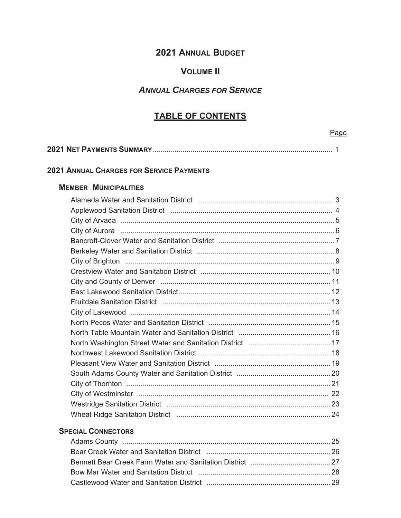# **2021 ANNUAL BUDGET**

# **VOLUME II**

# *ANNUAL CHARGES FOR SERVICE*

# **TABLE OF CONTENTS**

| Page |  |
|------|--|
|------|--|

|--|--|--|

#### **2021 ANNUAL CHARGES FOR SERVICE PAYMENTS**

#### **MEMBER MUNICIPALITIES**

#### **SPECIAL CONNECTORS**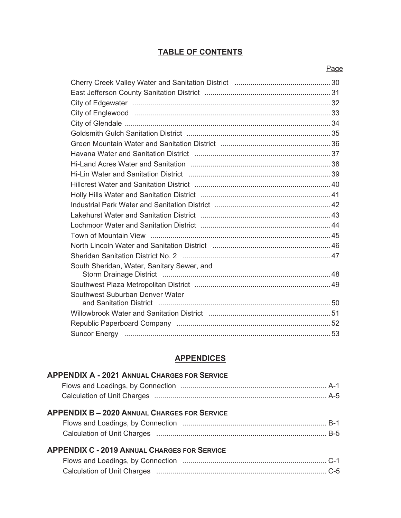# **TABLE OF CONTENTS**

#### and the contract of the contract of the contract of the contract of the contract of the contract of the contract of the contract of the contract of the contract of the contract of the contract of the contract of the contra

| South Sheridan, Water, Sanitary Sewer, and |  |
|--------------------------------------------|--|
|                                            |  |
|                                            |  |
| Southwest Suburban Denver Water            |  |
|                                            |  |
|                                            |  |
|                                            |  |

### **APPENDICES**

| <b>APPENDIX A - 2021 ANNUAL CHARGES FOR SERVICE</b> |  |
|-----------------------------------------------------|--|
|                                                     |  |
|                                                     |  |
| <b>APPENDIX B-2020 ANNUAL CHARGES FOR SERVICE</b>   |  |
|                                                     |  |
|                                                     |  |
| <b>APPENDIX C - 2019 ANNUAL CHARGES FOR SERVICE</b> |  |
|                                                     |  |
|                                                     |  |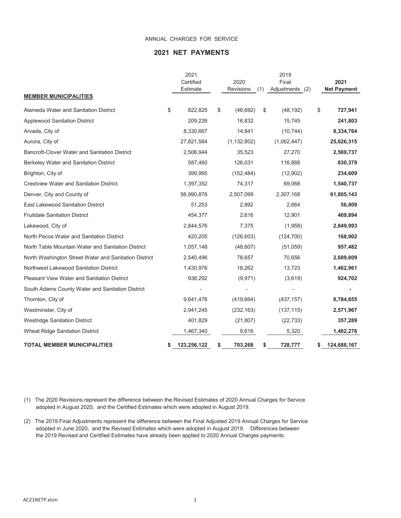#### ANNUAL CHARGES FOR SERVICE

#### **2021 NET PAYMENTS**

|                                                       | 2021<br>Certified | 2020            |     | 2019<br>Final      | 2021               |
|-------------------------------------------------------|-------------------|-----------------|-----|--------------------|--------------------|
|                                                       | Estimate          | Revisions       | (1) | Adjustments<br>(2) | <b>Net Payment</b> |
| <b>MEMBER MUNICIPALITIES</b>                          |                   |                 |     |                    |                    |
| Alameda Water and Sanitation District                 | \$<br>822,825     | \$<br>(46, 692) | \$  | (48, 192)          | \$<br>727,941      |
| <b>Applewood Sanitation District</b>                  | 209,226           | 16,832          |     | 15,745             | 241,803            |
| Arvada, City of                                       | 8,330,667         | 14,841          |     | (10, 744)          | 8,334,764          |
| Aurora, City of                                       | 27,821,564        | (1, 132, 802)   |     | (1,062,447)        | 25,626,315         |
| Bancroft-Clover Water and Sanitation District         | 2,506,944         | 35,523          |     | 27,270             | 2,569,737          |
| Berkeley Water and Sanitation District                | 587,460           | 126,031         |     | 116,888            | 830,379            |
| Brighton, City of                                     | 399,995           | (152, 484)      |     | (12,902)           | 234,609            |
| <b>Crestview Water and Sanitation District</b>        | 1,397,352         | 74,317          |     | 69,068             | 1,540,737          |
| Denver, City and County of                            | 56,990,876        | 2,507,099       |     | 2,307,168          | 61,805,143         |
| East Lakewood Sanitation District                     | 51,253            | 2,892           |     | 2,664              | 56,809             |
| <b>Fruitdale Sanitation District</b>                  | 454,377           | 2,616           |     | 12,901             | 469,894            |
| Lakewood, City of                                     | 2,844,576         | 7,375           |     | (1,958)            | 2,849,993          |
| North Pecos Water and Sanitation District             | 420,205           | (126, 603)      |     | (124, 700)         | 168,902            |
| North Table Mountain Water and Sanitation District    | 1,057,148         | (48, 607)       |     | (51,059)           | 957,482            |
| North Washington Street Water and Sanitation District | 2,540,496         | 78,657          |     | 70,656             | 2,689,809          |
| Northwest Lakewood Sanitation District                | 1,430,976         | 18,262          |     | 13,723             | 1,462,961          |
| <b>Pleasant View Water and Sanitation District</b>    | 938,292           | (9,971)         |     | (3,619)            | 924,702            |
| South Adams County Water and Sanitation District      |                   |                 |     |                    |                    |
| Thornton, City of                                     | 9,641,476         | (419, 664)      |     | (437, 157)         | 8,784,655          |
| Westminster, City of                                  | 2,941,245         | (232, 163)      |     | (137, 115)         | 2,571,967          |
| <b>Westridge Sanitation District</b>                  | 401,829           | (21, 807)       |     | (22, 733)          | 357,289            |
| <b>Wheat Ridge Sanitation District</b>                | 1,467,340         | 9,616           |     | 5,320              | 1,482,276          |
| <b>TOTAL MEMBER MUNICIPALITIES</b>                    | \$<br>123,256,122 | \$<br>703,268   | \$  | 728,777            | \$<br>124,688,167  |

(1) The 2020 Revisions represent the difference between the Revised Estimates of 2020 Annual Charges for Service adopted in August 2020, and the Certified Estimates which were adopted in August 2019.

(2) The 2019 Final Adjustments represent the difference between the Final Adjusted 2019 Annual Charges for Service adopted in June 2020, and the Revised Estimates which were adopted in August 2019. Differences between the 2019 Revised and Certified Estimates have already been applied to 2020 Annual Charges payments.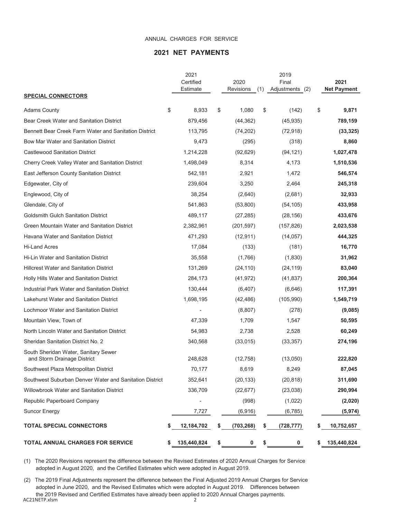#### ANNUAL CHARGES FOR SERVICE

#### **2021 NET PAYMENTS**

|                                                                     |    | 2021<br>Certified |    | 2020       |     | 2019<br>Final   | 2021               |
|---------------------------------------------------------------------|----|-------------------|----|------------|-----|-----------------|--------------------|
|                                                                     |    | Estimate          |    | Revisions  | (1) | Adjustments (2) | <b>Net Payment</b> |
| <b>SPECIAL CONNECTORS</b>                                           |    |                   |    |            |     |                 |                    |
| <b>Adams County</b>                                                 | \$ | 8,933             | \$ | 1,080      | \$  | (142)           | \$<br>9,871        |
| <b>Bear Creek Water and Sanitation District</b>                     |    | 879,456           |    | (44, 362)  |     | (45, 935)       | 789,159            |
| Bennett Bear Creek Farm Water and Sanitation District               |    | 113,795           |    | (74, 202)  |     | (72, 918)       | (33, 325)          |
| Bow Mar Water and Sanitation District                               |    | 9,473             |    | (295)      |     | (318)           | 8,860              |
| <b>Castlewood Sanitation District</b>                               |    | 1,214,228         |    | (92, 629)  |     | (94, 121)       | 1,027,478          |
| Cherry Creek Valley Water and Sanitation District                   |    | 1,498,049         |    | 8,314      |     | 4,173           | 1,510,536          |
| East Jefferson County Sanitation District                           |    | 542,181           |    | 2,921      |     | 1,472           | 546,574            |
| Edgewater, City of                                                  |    | 239,604           |    | 3,250      |     | 2,464           | 245,318            |
| Englewood, City of                                                  |    | 38,254            |    | (2,640)    |     | (2,681)         | 32,933             |
| Glendale, City of                                                   |    | 541,863           |    | (53,800)   |     | (54, 105)       | 433,958            |
| <b>Goldsmith Gulch Sanitation District</b>                          |    | 489,117           |    | (27, 285)  |     | (28, 156)       | 433,676            |
| Green Mountain Water and Sanitation District                        |    | 2,382,961         |    | (201, 597) |     | (157, 826)      | 2,023,538          |
| Havana Water and Sanitation District                                |    | 471,293           |    | (12, 911)  |     | (14, 057)       | 444,325            |
| <b>Hi-Land Acres</b>                                                |    | 17,084            |    | (133)      |     | (181)           | 16,770             |
| <b>Hi-Lin Water and Sanitation District</b>                         |    | 35,558            |    | (1,766)    |     | (1,830)         | 31,962             |
| <b>Hillcrest Water and Sanitation District</b>                      |    | 131,269           |    | (24, 110)  |     | (24, 119)       | 83,040             |
| Holly Hills Water and Sanitation District                           |    | 284,173           |    | (41, 972)  |     | (41, 837)       | 200,364            |
| Industrial Park Water and Sanitation District                       |    | 130,444           |    | (6, 407)   |     | (6, 646)        | 117,391            |
| Lakehurst Water and Sanitation District                             |    | 1,698,195         |    | (42, 486)  |     | (105, 990)      | 1,549,719          |
| Lochmoor Water and Sanitation District                              |    |                   |    | (8,807)    |     | (278)           | (9,085)            |
| Mountain View, Town of                                              |    | 47,339            |    | 1,709      |     | 1,547           | 50,595             |
| North Lincoln Water and Sanitation District                         |    | 54,983            |    | 2,738      |     | 2,528           | 60,249             |
| Sheridan Sanitation District No. 2                                  |    | 340,568           |    | (33,015)   |     | (33, 357)       | 274,196            |
| South Sheridan Water, Sanitary Sewer<br>and Storm Drainage District |    | 248,628           |    | (12,758)   |     | (13,050)        | 222,820            |
| Southwest Plaza Metropolitan District                               |    | 70,177            |    | 8,619      |     | 8,249           | 87,045             |
| Southwest Suburban Denver Water and Sanitation District             |    | 352,641           |    | (20, 133)  |     | (20, 818)       | 311,690            |
| <b>Willowbrook Water and Sanitation District</b>                    |    | 336,709           |    | (22, 677)  |     | (23,038)        | 290,994            |
| Republic Paperboard Company                                         |    |                   |    | (998)      |     | (1,022)         | (2,020)            |
| Suncor Energy                                                       |    | 7,727             |    | (6,916)    |     | (6, 785)        | (5, 974)           |
| <b>TOTAL SPECIAL CONNECTORS</b>                                     | S  | 12,184,702        | S  | (703, 268) | \$  | (728, 777)      | 10,752,657         |
| <b>TOTAL ANNUAL CHARGES FOR SERVICE</b>                             | \$ | 135,440,824       |    |            |     | 0               | 135,440,824        |

(1) The 2020 Revisions represent the difference between the Revised Estimates of 2020 Annual Charges for Service adopted in August 2020, and the Certified Estimates which were adopted in August 2019.

(2) The 2019 Final Adjustments represent the difference between the Final Adjusted 2019 Annual Charges for Service adopted in June 2020, and the Revised Estimates which were adopted in August 2019. Differences between the 2019 Revised and Certified Estimates have already been applied to 2020 Annual Charges payments. AC21NETP.xlsm 2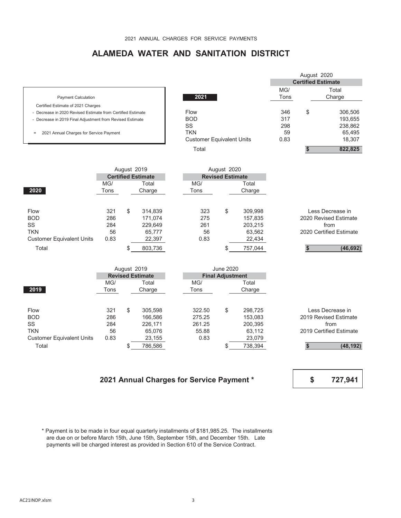# **ALAMEDA WATER AND SANITATION DISTRICT**

Payment Calculation

Certified Estimate of 2021 Charges

- Decrease in 2020 Revised Estimate from Certified Estimate **Flow**
- Decrease in 2019 Final Adjustment from Revised Estimate **BOD**

= 2021 Annual Charges for Service Payment **TKN** 

|                                  | August 2020               |       |         |  |  |  |  |  |
|----------------------------------|---------------------------|-------|---------|--|--|--|--|--|
|                                  | <b>Certified Estimate</b> |       |         |  |  |  |  |  |
|                                  | MG/                       | Total |         |  |  |  |  |  |
| 2021                             | Tons                      |       | Charge  |  |  |  |  |  |
|                                  |                           |       |         |  |  |  |  |  |
| <b>Flow</b>                      | 346                       | \$    | 306,506 |  |  |  |  |  |
| <b>BOD</b>                       | 317                       |       | 193,655 |  |  |  |  |  |
| SS                               | 298                       |       | 238,862 |  |  |  |  |  |
| <b>TKN</b>                       | 59                        |       | 65,495  |  |  |  |  |  |
| <b>Customer Equivalent Units</b> | 0.83                      |       | 18,307  |  |  |  |  |  |
| Total                            |                           |       | 822,825 |  |  |  |  |  |

|                                  |      |                           | August 2019 |      | August 2020             |         |  |                         |
|----------------------------------|------|---------------------------|-------------|------|-------------------------|---------|--|-------------------------|
|                                  |      | <b>Certified Estimate</b> |             |      | <b>Revised Estimate</b> |         |  |                         |
|                                  | MG/  |                           | Total       | MG/  |                         | Total   |  |                         |
| 2020                             | Tons |                           | Charge      | Tons |                         | Charge  |  |                         |
|                                  |      |                           |             |      |                         |         |  |                         |
| Flow                             | 321  | \$                        | 314,839     | 323  | \$                      | 309,998 |  | Less Decrease in        |
| <b>BOD</b>                       | 286  |                           | 171,074     | 275  |                         | 157.835 |  | 2020 Revised Estimate   |
| SS                               | 284  |                           | 229,649     | 261  |                         | 203.215 |  | from                    |
| <b>TKN</b>                       | 56   |                           | 65,777      | 56   |                         | 63,562  |  | 2020 Certified Estimate |
| <b>Customer Equivalent Units</b> | 0.83 |                           | 22,397      | 0.83 |                         | 22,434  |  |                         |
| Total                            |      |                           | 803,736     |      |                         | 757,044 |  | (46, 692)               |
|                                  |      |                           |             |      |                         |         |  |                         |

|                                  |                         | August 2019 |         | <b>June 2020</b> |    |                         |                         |
|----------------------------------|-------------------------|-------------|---------|------------------|----|-------------------------|-------------------------|
|                                  | <b>Revised Estimate</b> |             |         |                  |    | <b>Final Adjustment</b> |                         |
|                                  | MG/                     |             | Total   | MG/              |    | Total                   |                         |
| 2019                             | Tons                    |             | Charge  | Tons             |    | Charge                  |                         |
|                                  |                         |             |         |                  |    |                         |                         |
| Flow                             | 321                     | \$          | 305.598 | 322.50           | \$ | 298.725                 | Less Decrease in        |
| <b>BOD</b>                       | 286                     |             | 166,586 | 275.25           |    | 153,083                 | 2019 Revised Estimate   |
| <b>SS</b>                        | 284                     |             | 226,171 | 261.25           |    | 200,395                 | from                    |
| <b>TKN</b>                       | 56                      |             | 65,076  | 55.88            |    | 63,112                  | 2019 Certified Estimate |
| <b>Customer Equivalent Units</b> | 0.83                    |             | 23,155  | 0.83             |    | 23,079                  |                         |
| Total                            |                         |             | 786,586 |                  |    | 738,394                 | (48, 192)               |

# **2021 Annual Charges for Service Payment \***



 \* Payment is to be made in four equal quarterly installments of \$181,985.25. The installments are due on or before March 15th, June 15th, September 15th, and December 15th. Late payments will be charged interest as provided in Section 610 of the Service Contract.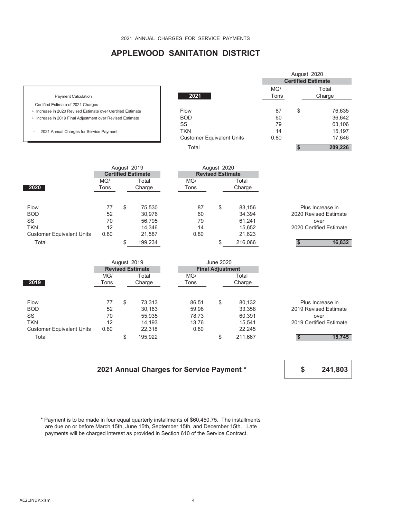2021 ANNUAL CHARGES FOR SERVICE PAYMENTS

### **APPLEWOOD SANITATION DISTRICT**

|                                                             |                                  |      | August 2020 |                           |  |
|-------------------------------------------------------------|----------------------------------|------|-------------|---------------------------|--|
|                                                             |                                  |      |             | <b>Certified Estimate</b> |  |
|                                                             |                                  | MG/  |             | Total                     |  |
| <b>Payment Calculation</b>                                  | 2021                             | Tons |             | Charge                    |  |
| Certified Estimate of 2021 Charges                          |                                  |      |             |                           |  |
| + Increase in 2020 Revised Estimate over Certified Estimate | <b>Flow</b>                      | 87   | \$          | 76,635                    |  |
| + Increase in 2019 Final Adjustment over Revised Estimate   | <b>BOD</b>                       | 60   |             | 36,642                    |  |
|                                                             | SS                               | 79   |             | 63,106                    |  |
| 2021 Annual Charges for Service Payment<br>$=$              | <b>TKN</b>                       | 14   |             | 15,197                    |  |
|                                                             | <b>Customer Equivalent Units</b> | 0.80 |             | 17,646                    |  |
|                                                             | Total                            |      |             | 209,226                   |  |
|                                                             |                                  |      |             |                           |  |

|                                  |                           | August 2019 |         |                         | August 2020 |         |                         |
|----------------------------------|---------------------------|-------------|---------|-------------------------|-------------|---------|-------------------------|
|                                  | <b>Certified Estimate</b> |             |         | <b>Revised Estimate</b> |             |         |                         |
|                                  | MG/                       |             | Total   | MG/                     |             | Total   |                         |
| 2020                             | Tons                      |             | Charge  | Tons                    |             | Charge  |                         |
|                                  |                           |             |         |                         |             |         |                         |
| Flow                             | 77                        | \$          | 75,530  | 87                      | \$          | 83,156  | Plus Increase in        |
| <b>BOD</b>                       | 52                        |             | 30,976  | 60                      |             | 34,394  | 2020 Revised Estimate   |
| SS                               | 70                        |             | 56,795  | 79                      |             | 61.241  | over                    |
| <b>TKN</b>                       | 12                        |             | 14,346  | 14                      |             | 15,652  | 2020 Certified Estimate |
| <b>Customer Equivalent Units</b> | 0.80                      |             | 21,587  | 0.80                    |             | 21,623  |                         |
| Total                            |                           |             | 199,234 |                         |             | 216,066 | 16,832                  |
|                                  |                           |             |         |                         |             |         |                         |

|                                  |                         | August 2019<br><b>June 2020</b> |         |  |       |                         |         |                         |
|----------------------------------|-------------------------|---------------------------------|---------|--|-------|-------------------------|---------|-------------------------|
|                                  | <b>Revised Estimate</b> |                                 |         |  |       | <b>Final Adjustment</b> |         |                         |
|                                  | MG/                     |                                 | Total   |  | MG/   |                         | Total   |                         |
| 2019                             | Tons                    |                                 | Charge  |  | Tons  |                         | Charge  |                         |
|                                  |                         |                                 |         |  |       |                         |         |                         |
| <b>Flow</b>                      | 77                      | \$                              | 73,313  |  | 86.51 | \$                      | 80,132  | Plus Increase in        |
| <b>BOD</b>                       | 52                      |                                 | 30,163  |  | 59.98 |                         | 33,358  | 2019 Revised Estimate   |
| SS                               | 70                      |                                 | 55,935  |  | 78.73 |                         | 60,391  | over                    |
| <b>TKN</b>                       | 12                      |                                 | 14.193  |  | 13.76 |                         | 15.541  | 2019 Certified Estimate |
| <b>Customer Equivalent Units</b> | 0.80                    |                                 | 22,318  |  | 0.80  |                         | 22,245  |                         |
| Total                            |                         |                                 | 195,922 |  |       |                         | 211,667 | 15,745                  |

### **2021 Annual Charges for Service Payment \***

**\$ 241,803**

 \* Payment is to be made in four equal quarterly installments of \$60,450.75. The installments are due on or before March 15th, June 15th, September 15th, and December 15th. Late payments will be charged interest as provided in Section 610 of the Service Contract.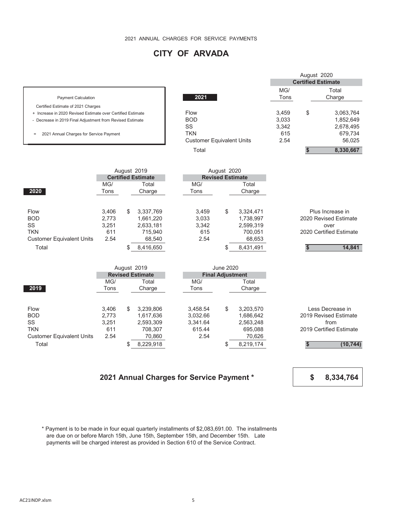# **CITY OF ARVADA**

|                                                              |                                  |             | <b>Certified Estimate</b> |
|--------------------------------------------------------------|----------------------------------|-------------|---------------------------|
| <b>Payment Calculation</b>                                   | 2021                             | MG/<br>Tons | Total<br>Charge           |
| Certified Estimate of 2021 Charges                           |                                  |             |                           |
| + Increase in 2020 Revised Estimate over Certified Estimate  | Flow                             | 3.459       | \$<br>3.063.764           |
| - Decrease in 2019 Final Adjustment from Revised Estimate    | <b>BOD</b>                       | 3,033       | 1,852,649                 |
|                                                              | SS                               | 3,342       | 2,678,495                 |
| 2021 Annual Charges for Service Payment<br>$\qquad \qquad =$ | <b>TKN</b>                       | 615         | 679,734                   |
|                                                              | <b>Customer Equivalent Units</b> | 2.54        | 56.025                    |
|                                                              | Total                            |             | 8.330.667                 |

| August 2019                      |                           |   |           |  | August 2020             |    |           |                         |
|----------------------------------|---------------------------|---|-----------|--|-------------------------|----|-----------|-------------------------|
|                                  | <b>Certified Estimate</b> |   |           |  | <b>Revised Estimate</b> |    |           |                         |
|                                  | MG/                       |   | Total     |  | MG/                     |    | Total     |                         |
| 2020                             | Tons                      |   | Charge    |  | Tons                    |    | Charge    |                         |
|                                  |                           |   |           |  |                         |    |           |                         |
| Flow                             | 3,406                     | S | 3,337,769 |  | 3,459                   | \$ | 3,324,471 | Plus Increase in        |
| <b>BOD</b>                       | 2,773                     |   | 1,661,220 |  | 3,033                   |    | 1,738,997 | 2020 Revised Estimate   |
| <b>SS</b>                        | 3,251                     |   | 2,633,181 |  | 3,342                   |    | 2,599,319 | over                    |
| <b>TKN</b>                       | 611                       |   | 715.940   |  | 615                     |    | 700.051   | 2020 Certified Estimate |
| <b>Customer Equivalent Units</b> | 2.54                      |   | 68,540    |  | 2.54                    |    | 68,653    |                         |
| Total                            |                           |   | 8,416,650 |  |                         | \$ | 8,431,491 | 14,841                  |
|                                  |                           |   |           |  |                         |    |           |                         |

|                                  |       |   | August 2019             | June 2020 |          |                         |           |                         |
|----------------------------------|-------|---|-------------------------|-----------|----------|-------------------------|-----------|-------------------------|
|                                  |       |   | <b>Revised Estimate</b> |           |          | <b>Final Adjustment</b> |           |                         |
|                                  | MG/   |   | Total                   |           | MG/      |                         | Total     |                         |
| 2019                             | Tons  |   | Charge                  |           | Tons     |                         | Charge    |                         |
|                                  |       |   |                         |           |          |                         |           |                         |
| <b>Flow</b>                      | 3,406 | S | 3,239,806               |           | 3,458.54 | \$                      | 3,203,570 | Less Decrease in        |
| <b>BOD</b>                       | 2.773 |   | 1,617,636               |           | 3.032.66 |                         | 1,686,642 | 2019 Revised Estimate   |
| <b>SS</b>                        | 3,251 |   | 2,593,309               |           | 3.341.64 |                         | 2,563,248 | from                    |
| <b>TKN</b>                       | 611   |   | 708.307                 |           | 615.44   |                         | 695.088   | 2019 Certified Estimate |
| <b>Customer Equivalent Units</b> | 2.54  |   | 70,860                  |           | 2.54     |                         | 70,626    |                         |
| Total                            |       |   | 8,229,918               |           |          |                         | 8,219,174 | (10, 744)               |

#### **2021 Annual Charges for Service Payment \***



August 2020

 \* Payment is to be made in four equal quarterly installments of \$2,083,691.00. The installments are due on or before March 15th, June 15th, September 15th, and December 15th. Late payments will be charged interest as provided in Section 610 of the Service Contract.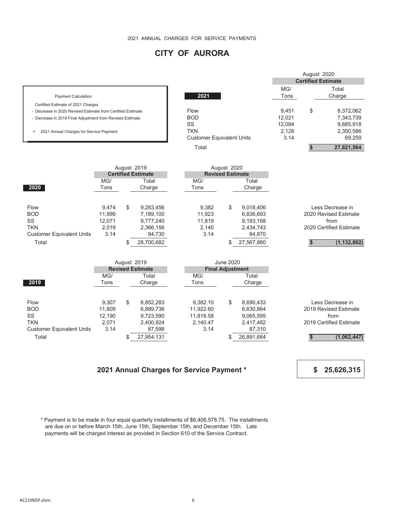2021 ANNUAL CHARGES FOR SERVICE PAYMENTS

# **CITY OF AURORA**

|                                                             |        |                                          |                                  |                  |            |        | August 2020               |                         |
|-------------------------------------------------------------|--------|------------------------------------------|----------------------------------|------------------|------------|--------|---------------------------|-------------------------|
|                                                             |        |                                          |                                  |                  |            |        | <b>Certified Estimate</b> |                         |
|                                                             |        |                                          |                                  |                  |            | MG/    |                           | Total                   |
| <b>Payment Calculation</b>                                  |        |                                          | 2021                             |                  |            | Tons   |                           | Charge                  |
| Certified Estimate of 2021 Charges                          |        |                                          |                                  |                  |            |        |                           |                         |
| - Decrease in 2020 Revised Estimate from Certified Estimate |        |                                          | Flow                             |                  |            | 9,451  | \$                        | 8,372,062               |
| - Decrease in 2019 Final Adjustment from Revised Estimate   |        |                                          | <b>BOD</b>                       |                  |            | 12,021 |                           | 7,343,739               |
|                                                             |        |                                          | SS                               |                  |            | 12,084 |                           | 9,685,918               |
| 2021 Annual Charges for Service Payment<br>$\equiv$         |        |                                          | <b>TKN</b>                       |                  |            | 2,128  |                           | 2,350,586               |
|                                                             |        |                                          | <b>Customer Equivalent Units</b> |                  |            | 3.14   |                           | 69,259                  |
|                                                             |        |                                          | Total                            |                  |            |        | $\mathsf{s}$              | 27,821,564              |
|                                                             |        |                                          |                                  |                  |            |        |                           |                         |
|                                                             |        | August 2019<br><b>Certified Estimate</b> | <b>Revised Estimate</b>          | August 2020      |            |        |                           |                         |
|                                                             | MG/    | Total                                    | MG/                              |                  | Total      |        |                           |                         |
| 2020                                                        | Tons   | Charge                                   | Tons                             |                  | Charge     |        |                           |                         |
|                                                             |        |                                          |                                  |                  |            |        |                           |                         |
| Flow                                                        | 9.474  | \$<br>9,283,456                          | 9,382                            | \$               | 9,018,406  |        |                           | Less Decrease in        |
| <b>BOD</b>                                                  | 11,999 | 7,189,100                                | 11,923                           |                  | 6,836,693  |        |                           | 2020 Revised Estimate   |
| SS                                                          | 12,071 | 9,777,240                                | 11,819                           |                  | 9,193,168  |        |                           | from                    |
| <b>TKN</b>                                                  | 2,019  | 2,366,156                                | 2,140                            |                  | 2,434,743  |        |                           | 2020 Certified Estimate |
| <b>Customer Equivalent Units</b>                            | 3.14   | 84,730                                   | 3.14                             |                  | 84,870     |        |                           |                         |
| Total                                                       |        | \$<br>28,700,682                         |                                  | \$               | 27,567,880 |        | S                         | (1, 132, 802)           |
|                                                             |        | August 2019                              |                                  | <b>June 2020</b> |            |        |                           |                         |
|                                                             |        | <b>Revised Estimate</b>                  | <b>Final Adjustment</b>          |                  |            |        |                           |                         |
|                                                             | MG/    | Total                                    | MG/                              |                  | Total      |        |                           |                         |
| 2019                                                        | Tons   | Charge                                   | Tons                             |                  | Charge     |        |                           |                         |
|                                                             |        |                                          |                                  |                  |            |        |                           |                         |
| Flow                                                        | 9,307  | \$<br>8,852,283                          | 9,382.10                         | \$               | 8,690,433  |        |                           | Less Decrease in        |
| <b>BOD</b>                                                  | 11,809 | 6,889,736                                | 11,922.60                        |                  | 6,630,864  |        |                           | 2019 Revised Estimate   |
| SS                                                          | 12,190 | 9,723,590                                | 11,818.58                        |                  | 9,065,595  |        |                           | from                    |
| <b>TKN</b>                                                  | 2,071  | 2,400,924                                | 2,140.47                         |                  | 2,417,482  |        |                           | 2019 Certified Estimate |
| <b>Customer Equivalent Units</b>                            | 3.14   | 87,598                                   | 3.14                             |                  | 87,310     |        |                           |                         |
| Total                                                       |        | \$<br>27,954,131                         |                                  | \$               | 26,891,684 |        | \$                        | (1,062,447)             |

### **2021 Annual Charges for Service Payment \***

**\$ 25,626,315**

 \* Payment is to be made in four equal quarterly installments of \$6,406,578.75. The installments are due on or before March 15th, June 15th, September 15th, and December 15th. Late payments will be charged interest as provided in Section 610 of the Service Contract.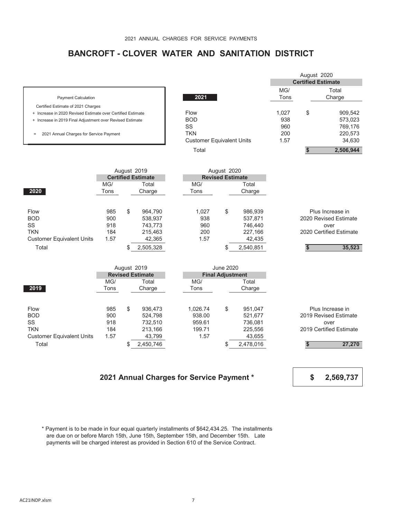# **BANCROFT - CLOVER WATER AND SANITATION DISTRICT**

|                                                              |                                  |       | August 2020               |           |
|--------------------------------------------------------------|----------------------------------|-------|---------------------------|-----------|
|                                                              |                                  |       | <b>Certified Estimate</b> |           |
|                                                              |                                  | MG/   |                           | Total     |
| <b>Payment Calculation</b>                                   | 2021                             | Tons  |                           | Charge    |
| Certified Estimate of 2021 Charges                           |                                  |       |                           |           |
| + Increase in 2020 Revised Estimate over Certified Estimate  | Flow                             | 1.027 | \$                        | 909,542   |
| + Increase in 2019 Final Adjustment over Revised Estimate    | <b>BOD</b>                       | 938   |                           | 573,023   |
|                                                              | SS                               | 960   |                           | 769,176   |
| 2021 Annual Charges for Service Payment<br>$\qquad \qquad =$ | <b>TKN</b>                       | 200   |                           | 220,573   |
|                                                              | <b>Customer Equivalent Units</b> | 1.57  |                           | 34,630    |
|                                                              | Total                            |       |                           | 2.506.944 |

|                                  |      |    | August 2019               |                         | August 2020 |           |                         |
|----------------------------------|------|----|---------------------------|-------------------------|-------------|-----------|-------------------------|
|                                  |      |    | <b>Certified Estimate</b> | <b>Revised Estimate</b> |             |           |                         |
|                                  | MG/  |    | Total                     | MG/                     |             | Total     |                         |
| 2020                             | Tons |    | Charge                    | Charge<br>Tons          |             |           |                         |
|                                  |      |    |                           |                         |             |           |                         |
| Flow                             | 985  | \$ | 964.790                   | 1.027                   | \$          | 986,939   | Plus Increase in        |
| <b>BOD</b>                       | 900  |    | 538,937                   | 938                     |             | 537,871   | 2020 Revised Estimate   |
| <b>SS</b>                        | 918  |    | 743.773                   | 960                     |             | 746.440   | over                    |
| <b>TKN</b>                       | 184  |    | 215,463                   | 200                     |             | 227,166   | 2020 Certified Estimate |
| <b>Customer Equivalent Units</b> | 1.57 |    | 42,365                    | 1.57                    |             | 42,435    |                         |
| Total                            |      |    | 2,505,328                 |                         | \$          | 2,540,851 | 35,523                  |
|                                  |      |    |                           |                         |             |           |                         |

|                                  |                         | August 2019<br>June 2020 |           |                         |          |    |           |                         |
|----------------------------------|-------------------------|--------------------------|-----------|-------------------------|----------|----|-----------|-------------------------|
|                                  | <b>Revised Estimate</b> |                          |           | <b>Final Adjustment</b> |          |    |           |                         |
|                                  | MG/                     |                          | Total     |                         | MG/      |    | Total     |                         |
| 2019                             | Tons                    |                          | Charge    |                         | Tons     |    | Charge    |                         |
|                                  |                         |                          |           |                         |          |    |           |                         |
| Flow                             | 985                     | \$                       | 936.473   |                         | 1.026.74 | \$ | 951.047   | Plus Increase in        |
| <b>BOD</b>                       | 900                     |                          | 524,798   |                         | 938.00   |    | 521,677   | 2019 Revised Estimate   |
| SS                               | 918                     |                          | 732.510   |                         | 959.61   |    | 736.081   | over                    |
| <b>TKN</b>                       | 184                     |                          | 213,166   |                         | 199.71   |    | 225,556   | 2019 Certified Estimate |
| <b>Customer Equivalent Units</b> | 1.57                    |                          | 43,799    |                         | 1.57     |    | 43,655    |                         |
| Total                            |                         |                          | 2,450,746 |                         |          |    | 2,478,016 | 27,270                  |

#### **2021 Annual Charges for Service Payment \***

**\$ 2,569,737**

 \* Payment is to be made in four equal quarterly installments of \$642,434.25. The installments are due on or before March 15th, June 15th, September 15th, and December 15th. Late payments will be charged interest as provided in Section 610 of the Service Contract.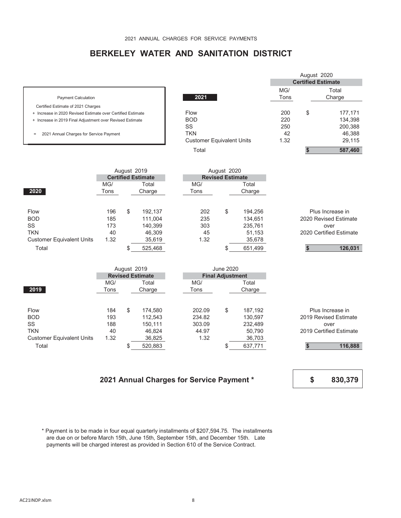# **BERKELEY WATER AND SANITATION DISTRICT**

- 
- 
- 

|                                                             |                                  |      | August 2020               |         |
|-------------------------------------------------------------|----------------------------------|------|---------------------------|---------|
|                                                             |                                  |      | <b>Certified Estimate</b> |         |
|                                                             |                                  | MG/  |                           | Total   |
| <b>Payment Calculation</b>                                  | 2021                             | Tons |                           | Charge  |
| Certified Estimate of 2021 Charges                          |                                  |      |                           |         |
| + Increase in 2020 Revised Estimate over Certified Estimate | Flow                             | 200  | \$                        | 177.171 |
| + Increase in 2019 Final Adjustment over Revised Estimate   | <b>BOD</b>                       | 220  |                           | 134,398 |
|                                                             | SS                               | 250  |                           | 200,388 |
| 2021 Annual Charges for Service Payment<br>$=$              | <b>TKN</b>                       | 42   |                           | 46.388  |
|                                                             | <b>Customer Equivalent Units</b> | 1.32 |                           | 29,115  |
|                                                             | Total                            |      |                           | 587,460 |
|                                                             |                                  |      |                           |         |

|                                  |      | August 2019               |                         | August 2020 |         |  |                         |
|----------------------------------|------|---------------------------|-------------------------|-------------|---------|--|-------------------------|
|                                  |      | <b>Certified Estimate</b> | <b>Revised Estimate</b> |             |         |  |                         |
|                                  | MG/  | Total                     | MG/                     |             | Total   |  |                         |
| 2020                             | Tons | Charge                    | Tons                    |             | Charge  |  |                         |
|                                  |      |                           |                         |             |         |  |                         |
| Flow                             | 196  | \$<br>192,137             | 202                     | \$          | 194,256 |  | Plus Increase in        |
| <b>BOD</b>                       | 185  | 111.004                   | 235                     |             | 134.651 |  | 2020 Revised Estimate   |
| SS                               | 173  | 140,399                   | 303                     |             | 235,761 |  | over                    |
| <b>TKN</b>                       | 40   | 46.309                    | 45                      |             | 51.153  |  | 2020 Certified Estimate |
| <b>Customer Equivalent Units</b> | 1.32 | 35,619                    | 1.32                    |             | 35,678  |  |                         |
| Total                            |      | 525,468                   |                         |             | 651,499 |  | 126,031                 |
|                                  |      |                           |                         |             |         |  |                         |

|                                  |                         | August 2019 |         | <b>June 2020</b> |                         |         |                         |
|----------------------------------|-------------------------|-------------|---------|------------------|-------------------------|---------|-------------------------|
|                                  | <b>Revised Estimate</b> |             |         |                  | <b>Final Adjustment</b> |         |                         |
|                                  | MG/                     |             | Total   | MG/              |                         | Total   |                         |
| 2019                             | Tons                    |             | Charge  | Tons             |                         | Charge  |                         |
|                                  |                         |             |         |                  |                         |         |                         |
| <b>Flow</b>                      | 184                     | \$          | 174.580 | 202.09           | \$                      | 187.192 | Plus Increase in        |
| <b>BOD</b>                       | 193                     |             | 112.543 | 234.82           |                         | 130.597 | 2019 Revised Estimate   |
| SS                               | 188                     |             | 150.111 | 303.09           |                         | 232,489 | over                    |
| <b>TKN</b>                       | 40                      |             | 46.824  | 44.97            |                         | 50.790  | 2019 Certified Estimate |
| <b>Customer Equivalent Units</b> | 1.32                    |             | 36,825  | 1.32             |                         | 36,703  |                         |
| Total                            |                         |             | 520,883 |                  |                         | 637,771 | 116,888                 |

### **2021 Annual Charges for Service Payment \***



 \* Payment is to be made in four equal quarterly installments of \$207,594.75. The installments are due on or before March 15th, June 15th, September 15th, and December 15th. Late payments will be charged interest as provided in Section 610 of the Service Contract.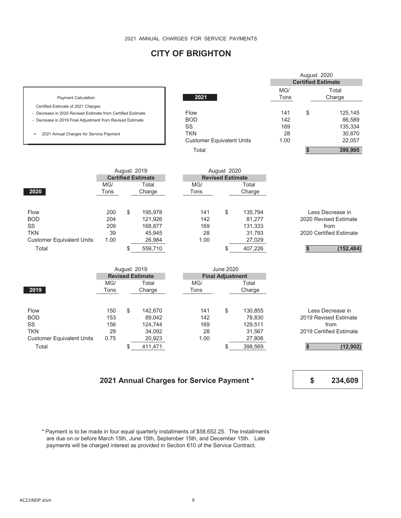# **CITY OF BRIGHTON**

|                                                             |                                  |             | <b>Certified Estimate</b> |
|-------------------------------------------------------------|----------------------------------|-------------|---------------------------|
| <b>Payment Calculation</b>                                  | 2021                             | MG/<br>Tons | Total<br>Charge           |
| Certified Estimate of 2021 Charges                          |                                  |             |                           |
| - Decrease in 2020 Revised Estimate from Certified Estimate | Flow                             | 141         | \$<br>125,145             |
| - Decrease in 2019 Final Adjustment from Revised Estimate   | <b>BOD</b>                       | 142         | 86,589                    |
|                                                             | SS                               | 169         | 135,334                   |
| 2021 Annual Charges for Service Payment<br>$\equiv$         | TKN                              | 28          | 30,870                    |
|                                                             | <b>Customer Equivalent Units</b> | 1.00        | 22,057                    |
|                                                             | Total                            |             | 399.995                   |

|                                  |      | August 2019 |                           |      | August 2020             |         |                         |
|----------------------------------|------|-------------|---------------------------|------|-------------------------|---------|-------------------------|
|                                  |      |             | <b>Certified Estimate</b> |      | <b>Revised Estimate</b> |         |                         |
|                                  | MG/  |             | Total                     | MG/  |                         | Total   |                         |
| 2020                             | Tons |             | Charge                    | Tons | Charge                  |         |                         |
|                                  |      |             |                           |      |                         |         |                         |
| Flow                             | 200  | \$          | 195.978                   | 141  | \$                      | 135.794 | I ess Decrease in       |
| <b>BOD</b>                       | 204  |             | 121,926                   | 142  |                         | 81,277  | 2020 Revised Estimate   |
| SS                               | 209  |             | 168,877                   | 169  |                         | 131,333 | from                    |
| <b>TKN</b>                       | 39   |             | 45,945                    | 28   |                         | 31,793  | 2020 Certified Estimate |
| <b>Customer Equivalent Units</b> | 1.00 |             | 26,984                    | 1.00 |                         | 27,029  |                         |
| Total                            |      |             | 559,710                   |      |                         | 407,226 | (152,484)               |
|                                  |      |             |                           |      |                         |         |                         |

|                                  | August 2019 |    | June 2020               |      |                         |         |                         |
|----------------------------------|-------------|----|-------------------------|------|-------------------------|---------|-------------------------|
|                                  |             |    | <b>Revised Estimate</b> |      | <b>Final Adjustment</b> |         |                         |
|                                  | MG/         |    | Total                   | MG/  |                         | Total   |                         |
| 2019                             | Tons        |    | Charge                  | Tons |                         | Charge  |                         |
|                                  |             |    |                         |      |                         |         |                         |
| <b>Flow</b>                      | 150         | \$ | 142,670                 | 141  | \$                      | 130,855 | Less Decrease in        |
| <b>BOD</b>                       | 153         |    | 89,042                  | 142  |                         | 78,830  | 2019 Revised Estimate   |
| SS                               | 156         |    | 124.744                 | 169  |                         | 129,511 | from                    |
| <b>TKN</b>                       | 29          |    | 34,092                  | 28   |                         | 31,567  | 2019 Certified Estimate |
| <b>Customer Equivalent Units</b> | 0.75        |    | 20,923                  | 1.00 |                         | 27,806  |                         |
| Total                            |             |    | 411,471                 |      |                         | 398,569 | (12,902)                |

### **2021 Annual Charges for Service Payment \***

**\$ 234,609**

August 2020

 \* Payment is to be made in four equal quarterly installments of \$58,652.25. The installments are due on or before March 15th, June 15th, September 15th, and December 15th. Late payments will be charged interest as provided in Section 610 of the Service Contract.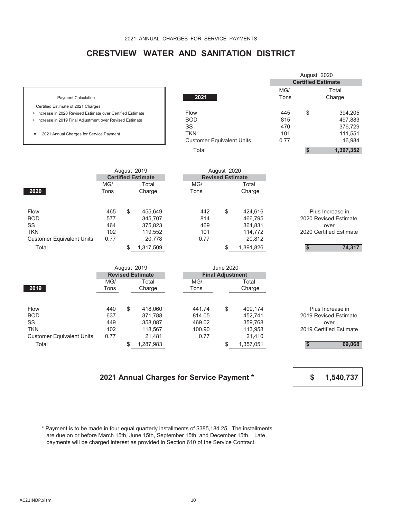## **CRESTVIEW WATER AND SANITATION DISTRICT**

- 
- 
- 

|                                                             |                                  |      | August 2020               |           |
|-------------------------------------------------------------|----------------------------------|------|---------------------------|-----------|
|                                                             |                                  |      | <b>Certified Estimate</b> |           |
|                                                             |                                  | MG/  |                           | Total     |
| <b>Payment Calculation</b>                                  | 2021                             | Tons |                           | Charge    |
| Certified Estimate of 2021 Charges                          |                                  |      |                           |           |
| + Increase in 2020 Revised Estimate over Certified Estimate | Flow                             | 445  | \$                        | 394,205   |
| + Increase in 2019 Final Adjustment over Revised Estimate   | <b>BOD</b>                       | 815  |                           | 497,883   |
|                                                             | SS                               | 470  |                           | 376,729   |
| 2021 Annual Charges for Service Payment<br>$=$              | <b>TKN</b>                       | 101  |                           | 111,551   |
|                                                             | <b>Customer Equivalent Units</b> | 0.77 |                           | 16.984    |
|                                                             | Total                            |      |                           | 1,397,352 |

|                                  |      |    | August 2019               |      | August 2020             |           |                         |
|----------------------------------|------|----|---------------------------|------|-------------------------|-----------|-------------------------|
|                                  |      |    | <b>Certified Estimate</b> |      | <b>Revised Estimate</b> |           |                         |
|                                  | MG/  |    | Total                     | MG/  |                         |           |                         |
| 2020                             | Tons |    | Charge                    | Tons | Charge                  |           |                         |
|                                  |      |    |                           |      |                         |           |                         |
| Flow                             | 465  | S  | 455,649                   | 442  | \$                      | 424.616   | Plus Increase in        |
| <b>BOD</b>                       | 577  |    | 345.707                   | 814  |                         | 466.795   | 2020 Revised Estimate   |
| SS                               | 464  |    | 375,823                   | 469  |                         | 364,831   | over                    |
| <b>TKN</b>                       | 102  |    | 119,552                   | 101  |                         | 114.772   | 2020 Certified Estimate |
| <b>Customer Equivalent Units</b> | 0.77 |    | 20,778                    | 0.77 |                         | 20,812    |                         |
| Total                            |      | \$ | 1,317,509                 |      | J                       | 1,391,826 | 74,317                  |

|                                  |      | August 2019             |                         | June 2020 |           |                         |
|----------------------------------|------|-------------------------|-------------------------|-----------|-----------|-------------------------|
|                                  |      | <b>Revised Estimate</b> | <b>Final Adjustment</b> |           |           |                         |
|                                  | MG/  | Total                   | MG/                     |           | Total     |                         |
| 2019                             | Tons | Charge                  | Tons                    |           | Charge    |                         |
|                                  |      |                         |                         |           |           |                         |
| <b>Flow</b>                      | 440  | \$<br>418,060           | 441.74                  | \$        | 409.174   | Plus Increase in        |
| <b>BOD</b>                       | 637  | 371,788                 | 814.05                  |           | 452.741   | 2019 Revised Estimate   |
| <b>SS</b>                        | 449  | 358,087                 | 469.02                  |           | 359,768   | over                    |
| <b>TKN</b>                       | 102  | 118,567                 | 100.90                  |           | 113,958   | 2019 Certified Estimate |
| <b>Customer Equivalent Units</b> | 0.77 | 21,481                  | 0.77                    |           | 21,410    |                         |
| Total                            |      | 1,287,983               |                         |           | 1,357,051 | 69,068                  |

#### **2021 Annual Charges for Service Payment \***

**\$ 1,540,737**

 \* Payment is to be made in four equal quarterly installments of \$385,184.25. The installments are due on or before March 15th, June 15th, September 15th, and December 15th. Late payments will be charged interest as provided in Section 610 of the Service Contract.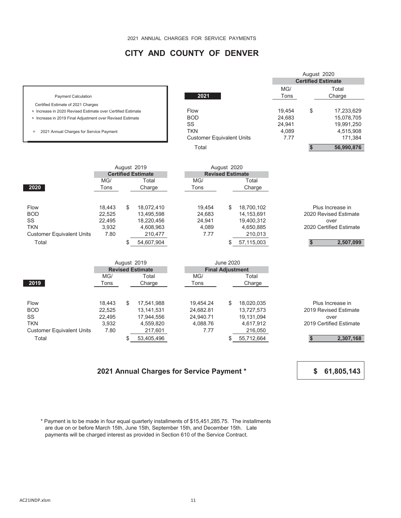# **CITY AND COUNTY OF DENVER**

| <b>Payment Calculation</b>                                  |        |             |                           |  | 2021                             |                  |            | MG/<br>Tons |    | Total<br>Charge         |
|-------------------------------------------------------------|--------|-------------|---------------------------|--|----------------------------------|------------------|------------|-------------|----|-------------------------|
| Certified Estimate of 2021 Charges                          |        |             |                           |  |                                  |                  |            |             |    |                         |
| + Increase in 2020 Revised Estimate over Certified Estimate |        |             |                           |  | Flow                             |                  |            | 19,454      | \$ | 17,233,629              |
| + Increase in 2019 Final Adjustment over Revised Estimate   |        |             |                           |  | <b>BOD</b>                       |                  |            | 24,683      |    | 15,078,705              |
|                                                             |        |             |                           |  | SS                               |                  |            | 24,941      |    | 19,991,250              |
| 2021 Annual Charges for Service Payment<br>$=$              |        |             |                           |  | <b>TKN</b>                       |                  |            | 4,089       |    | 4,515,908               |
|                                                             |        |             |                           |  | <b>Customer Equivalent Units</b> |                  |            | 7.77        |    | 171,384                 |
|                                                             |        |             |                           |  | Total                            |                  |            |             | S  | 56,990,876              |
|                                                             |        | August 2019 |                           |  |                                  | August 2020      |            |             |    |                         |
|                                                             |        |             | <b>Certified Estimate</b> |  | <b>Revised Estimate</b>          |                  |            |             |    |                         |
|                                                             | MG/    |             | Total                     |  | MG/                              |                  | Total      |             |    |                         |
| 2020                                                        | Tons   |             | Charge                    |  | Tons                             |                  | Charge     |             |    |                         |
|                                                             |        |             |                           |  |                                  |                  |            |             |    |                         |
| Flow                                                        | 18,443 | \$          | 18,072,410                |  | 19,454                           | \$               | 18,700,102 |             |    | Plus Increase in        |
| <b>BOD</b>                                                  | 22,525 |             | 13,495,598                |  | 24,683                           |                  | 14,153,691 |             |    | 2020 Revised Estimate   |
| SS                                                          | 22,495 |             | 18,220,456                |  | 24,941                           |                  | 19,400,312 |             |    | over                    |
| <b>TKN</b>                                                  | 3,932  |             | 4,608,963                 |  | 4,089                            |                  | 4,650,885  |             |    | 2020 Certified Estimate |
| <b>Customer Equivalent Units</b>                            | 7.80   |             | 210,477                   |  | 7.77                             |                  | 210,013    |             |    |                         |
| Total                                                       |        | \$          | 54,607,904                |  |                                  | \$               | 57,115,003 |             | \$ | 2,507,099               |
|                                                             |        |             |                           |  |                                  |                  |            |             |    |                         |
|                                                             |        | August 2019 |                           |  |                                  | <b>June 2020</b> |            |             |    |                         |
|                                                             |        |             | <b>Revised Estimate</b>   |  | <b>Final Adjustment</b>          |                  |            |             |    |                         |
|                                                             | MG/    |             | Total                     |  | MG/                              |                  | Total      |             |    |                         |
| 2019                                                        | Tons   |             | Charge                    |  | Tons                             |                  | Charge     |             |    |                         |
| Flow                                                        | 18.443 | \$          | 17,541,988                |  | 19.454.24                        | \$               | 18,020,035 |             |    | Plus Increase in        |
| <b>BOD</b>                                                  | 22,525 |             | 13,141,531                |  | 24,682.81                        |                  | 13,727,573 |             |    | 2019 Revised Estimate   |
| SS                                                          | 22,495 |             | 17,944,556                |  | 24,940.71                        |                  | 19,131,094 |             |    | over                    |
| <b>TKN</b>                                                  | 3,932  |             | 4,559,820                 |  | 4,088.76                         |                  | 4,617,912  |             |    | 2019 Certified Estimate |
| <b>Customer Equivalent Units</b>                            | 7.80   |             | 217,601                   |  | 7.77                             |                  | 216,050    |             |    |                         |
| Total                                                       |        | S           | 53,405,496                |  |                                  | S                | 55,712,664 |             |    | 2,307,168               |
|                                                             |        |             |                           |  |                                  |                  |            |             |    |                         |

#### **2021 Annual Charges for Service Payment \***

**\$ 61,805,143**

August 2020 **Certified Estimate**

 \* Payment is to be made in four equal quarterly installments of \$15,451,285.75. The installments are due on or before March 15th, June 15th, September 15th, and December 15th. Late payments will be charged interest as provided in Section 610 of the Service Contract.

 $\overline{\phantom{a}}$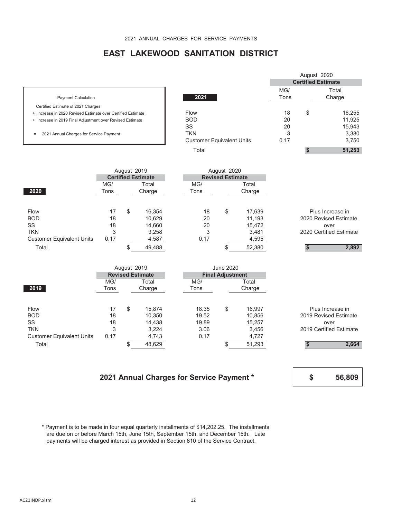# **EAST LAKEWOOD SANITATION DISTRICT**

- 
- 
- 

|                                                             |                                  |      | August 2020               |        |  |  |
|-------------------------------------------------------------|----------------------------------|------|---------------------------|--------|--|--|
|                                                             |                                  |      | <b>Certified Estimate</b> |        |  |  |
|                                                             |                                  | MG/  |                           | Total  |  |  |
| <b>Payment Calculation</b>                                  | 2021                             | Tons |                           | Charge |  |  |
| Certified Estimate of 2021 Charges                          |                                  |      |                           |        |  |  |
| + Increase in 2020 Revised Estimate over Certified Estimate | Flow                             | 18   | \$                        | 16,255 |  |  |
| + Increase in 2019 Final Adjustment over Revised Estimate   | <b>BOD</b>                       | 20   |                           | 11.925 |  |  |
|                                                             | SS                               | 20   |                           | 15,943 |  |  |
| 2021 Annual Charges for Service Payment<br>$\equiv$         | <b>TKN</b>                       | 3    |                           | 3,380  |  |  |
|                                                             | <b>Customer Equivalent Units</b> | 0.17 |                           | 3,750  |  |  |
|                                                             | Total                            |      |                           | 51,253 |  |  |

|                                  |      | August 2019 |                           | August 2020 |                         |        |                         |
|----------------------------------|------|-------------|---------------------------|-------------|-------------------------|--------|-------------------------|
|                                  |      |             | <b>Certified Estimate</b> |             | <b>Revised Estimate</b> |        |                         |
|                                  | MG/  |             | Total                     | MG/         |                         | Total  |                         |
| 2020                             | Tons |             | Charge                    | Tons        |                         | Charge |                         |
|                                  |      |             |                           |             |                         |        |                         |
| Flow                             | 17   | \$          | 16,354                    | 18          | \$                      | 17,639 | Plus Increase in        |
| <b>BOD</b>                       | 18   |             | 10,629                    | 20          |                         | 11,193 | 2020 Revised Estimate   |
| SS                               | 18   |             | 14,660                    | 20          |                         | 15,472 | over                    |
| <b>TKN</b>                       | 3    |             | 3,258                     | 3           |                         | 3,481  | 2020 Certified Estimate |
| <b>Customer Equivalent Units</b> | 0.17 |             | 4,587                     | 0.17        |                         | 4,595  |                         |
| Total                            |      |             | 49,488                    |             |                         | 52,380 | 2,892                   |
|                                  |      |             |                           |             |                         |        |                         |

|                                  |      | August 2019             |       | <b>June 2020</b>        |        |                         |
|----------------------------------|------|-------------------------|-------|-------------------------|--------|-------------------------|
|                                  |      | <b>Revised Estimate</b> |       | <b>Final Adjustment</b> |        |                         |
|                                  | MG/  | Total                   | MG/   |                         | Total  |                         |
| 2019                             | Tons | Charge                  | Tons  |                         | Charge |                         |
|                                  |      |                         |       |                         |        |                         |
| Flow                             | 17   | \$<br>15.874            | 18.35 | \$                      | 16,997 | Plus Increase in        |
| <b>BOD</b>                       | 18   | 10,350                  | 19.52 |                         | 10,856 | 2019 Revised Estimate   |
| SS                               | 18   | 14,438                  | 19.89 |                         | 15,257 | over                    |
| <b>TKN</b>                       | 3    | 3,224                   | 3.06  |                         | 3,456  | 2019 Certified Estimate |
| <b>Customer Equivalent Units</b> | 0.17 | 4,743                   | 0.17  |                         | 4,727  |                         |
| Total                            |      | 48,629                  |       |                         | 51,293 | 2,664                   |

#### **2021 Annual Charges for Service Payment \***

**\$ 56,809**

 \* Payment is to be made in four equal quarterly installments of \$14,202.25. The installments are due on or before March 15th, June 15th, September 15th, and December 15th. Late payments will be charged interest as provided in Section 610 of the Service Contract.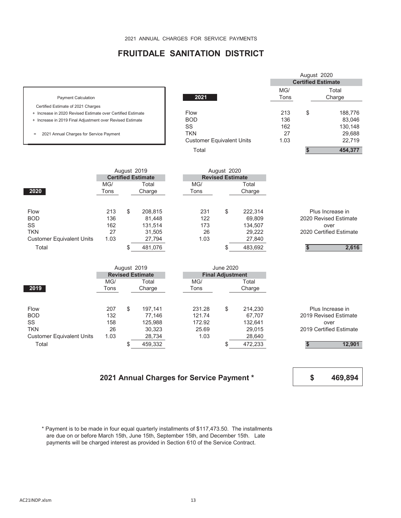# **FRUITDALE SANITATION DISTRICT**

|                                                             |                                  |             | <b>Certified Estimate</b> |
|-------------------------------------------------------------|----------------------------------|-------------|---------------------------|
| <b>Payment Calculation</b>                                  | 2021                             | MG/<br>Tons | Total<br>Charge           |
| Certified Estimate of 2021 Charges                          |                                  |             |                           |
| + Increase in 2020 Revised Estimate over Certified Estimate | Flow                             | 213         | \$<br>188,776             |
| + Increase in 2019 Final Adjustment over Revised Estimate   | <b>BOD</b>                       | 136         | 83,046                    |
|                                                             | SS                               | 162         | 130,148                   |
| 2021 Annual Charges for Service Payment<br>$\equiv$         | <b>TKN</b>                       | 27          | 29,688                    |
|                                                             | <b>Customer Equivalent Units</b> | 1.03        | 22,719                    |
|                                                             | Total                            |             | 454.377                   |

|                                  |      | August 2019 |                           |      | August 2020             |         |                         |       |
|----------------------------------|------|-------------|---------------------------|------|-------------------------|---------|-------------------------|-------|
|                                  |      |             | <b>Certified Estimate</b> |      | <b>Revised Estimate</b> |         |                         |       |
|                                  | MG/  |             | Total                     | MG/  |                         | Total   |                         |       |
| 2020                             | Tons |             | Charge                    | Tons |                         | Charge  |                         |       |
| <b>Flow</b>                      | 213  | \$          | 208,815                   | 231  | \$                      | 222.314 | Plus Increase in        |       |
| <b>BOD</b>                       | 136  |             | 81.448                    | 122  |                         | 69,809  | 2020 Revised Estimate   |       |
| SS                               | 162  |             | 131.514                   | 173  |                         | 134.507 | over                    |       |
| <b>TKN</b>                       | 27   |             | 31,505                    | 26   |                         | 29,222  | 2020 Certified Estimate |       |
| <b>Customer Equivalent Units</b> | 1.03 |             | 27,794                    | 1.03 |                         | 27,840  |                         |       |
| Total                            |      |             | 481,076                   |      |                         | 483,692 |                         | 2,616 |
|                                  |      |             |                           |      |                         |         |                         |       |

|                                  | August 2019<br>June 2020<br><b>Revised Estimate</b><br><b>Final Adjustment</b> |    |         |  |        |    |         |                         |
|----------------------------------|--------------------------------------------------------------------------------|----|---------|--|--------|----|---------|-------------------------|
|                                  | MG/                                                                            |    | Total   |  | MG/    |    | Total   |                         |
| 2019                             | Tons                                                                           |    | Charge  |  | Tons   |    | Charge  |                         |
| Flow                             | 207                                                                            | \$ | 197,141 |  | 231.28 | \$ | 214.230 | Plus Increase in        |
| <b>BOD</b>                       | 132                                                                            |    | 77.146  |  | 121.74 |    | 67,707  | 2019 Revised Estimate   |
| <b>SS</b>                        | 158                                                                            |    | 125,988 |  | 172.92 |    | 132.641 | over                    |
| <b>TKN</b>                       | 26                                                                             |    | 30.323  |  | 25.69  |    | 29.015  | 2019 Certified Estimate |
| <b>Customer Equivalent Units</b> | 1.03                                                                           |    | 28,734  |  | 1.03   |    | 28,640  |                         |
| Total                            |                                                                                |    | 459,332 |  |        |    | 472,233 | 12,901                  |

#### **2021 Annual Charges for Service Payment \***

**\$ 469,894**

August 2020

 \* Payment is to be made in four equal quarterly installments of \$117,473.50. The installments are due on or before March 15th, June 15th, September 15th, and December 15th. Late payments will be charged interest as provided in Section 610 of the Service Contract.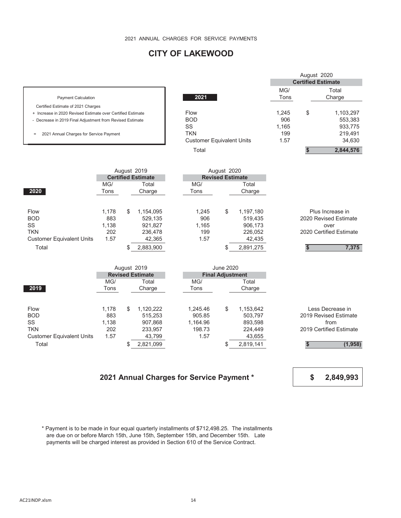# **CITY OF LAKEWOOD**

|                                                             |                                  |             | <b>Certified Estimate</b> |                 |
|-------------------------------------------------------------|----------------------------------|-------------|---------------------------|-----------------|
| <b>Payment Calculation</b>                                  | 2021                             | MG/<br>Tons |                           | Total<br>Charge |
| Certified Estimate of 2021 Charges                          |                                  |             |                           |                 |
| + Increase in 2020 Revised Estimate over Certified Estimate | Flow                             | 1.245       | \$                        | 1,103,297       |
| - Decrease in 2019 Final Adjustment from Revised Estimate   | <b>BOD</b>                       | 906         |                           | 553,383         |
|                                                             | SS                               | 1,165       |                           | 933,775         |
| 2021 Annual Charges for Service Payment<br>$=$              | TKN                              | 199         |                           | 219,491         |
|                                                             | <b>Customer Equivalent Units</b> | 1.57        |                           | 34,630          |
|                                                             | Total                            |             |                           | 2,844,576       |

|                                  | August 2019 |                                                      |           | August 2020 |       |    |           |                         |  |  |
|----------------------------------|-------------|------------------------------------------------------|-----------|-------------|-------|----|-----------|-------------------------|--|--|
|                                  |             | <b>Certified Estimate</b><br><b>Revised Estimate</b> |           |             |       |    |           |                         |  |  |
|                                  | MG/         |                                                      | Total     |             | MG/   |    | Total     |                         |  |  |
| 2020                             | Tons        |                                                      | Charge    |             | Tons  |    | Charge    |                         |  |  |
|                                  |             |                                                      |           |             |       |    |           |                         |  |  |
| <b>Flow</b>                      | 1,178       | S                                                    | 1,154,095 |             | 1,245 | \$ | 1,197,180 | Plus Increase in        |  |  |
| <b>BOD</b>                       | 883         |                                                      | 529,135   |             | 906   |    | 519,435   | 2020 Revised Estimate   |  |  |
| <b>SS</b>                        | 1,138       |                                                      | 921,827   |             | 1,165 |    | 906,173   | over                    |  |  |
| <b>TKN</b>                       | 202         |                                                      | 236,478   |             | 199   |    | 226,052   | 2020 Certified Estimate |  |  |
| <b>Customer Equivalent Units</b> | 1.57        |                                                      | 42,365    |             | 1.57  |    | 42,435    |                         |  |  |
| Total                            |             | \$                                                   | 2,883,900 |             |       | \$ | 2,891,275 | 7,375                   |  |  |
|                                  |             |                                                      |           |             |       |    |           |                         |  |  |

|                                  |       | August 2019             |          | June 2020               |           |                         |
|----------------------------------|-------|-------------------------|----------|-------------------------|-----------|-------------------------|
|                                  |       | <b>Revised Estimate</b> |          | <b>Final Adjustment</b> |           |                         |
|                                  | MG/   | Total                   | MG/      |                         | Total     |                         |
| 2019                             | Tons  | Charge                  | Tons     |                         | Charge    |                         |
|                                  |       |                         |          |                         |           |                         |
| Flow                             | 1.178 | \$<br>1,120,222         | 1.245.46 | \$                      | 1,153,642 | Less Decrease in        |
| <b>BOD</b>                       | 883   | 515,253                 | 905.85   |                         | 503.797   | 2019 Revised Estimate   |
| SS                               | 1.138 | 907.868                 | 1.164.96 |                         | 893,598   | from                    |
| <b>TKN</b>                       | 202   | 233,957                 | 198.73   |                         | 224,449   | 2019 Certified Estimate |
| <b>Customer Equivalent Units</b> | 1.57  | 43,799                  | 1.57     |                         | 43,655    |                         |
| Total                            |       | 2,821,099               |          |                         | 2,819,141 | (1, 958)                |

#### **2021 Annual Charges for Service Payment \***

**\$ 2,849,993**

August 2020

 \* Payment is to be made in four equal quarterly installments of \$712,498.25. The installments are due on or before March 15th, June 15th, September 15th, and December 15th. Late payments will be charged interest as provided in Section 610 of the Service Contract.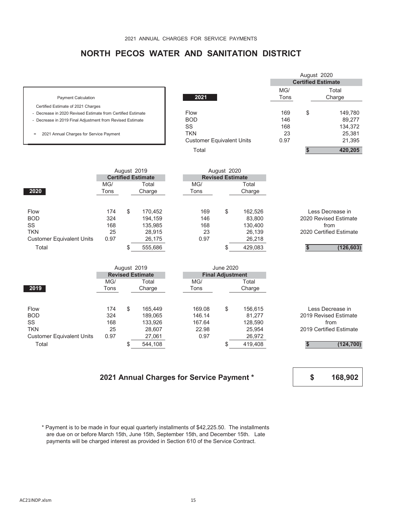# **NORTH PECOS WATER AND SANITATION DISTRICT**

|                                                             |                                  |      | August 2020               |         |
|-------------------------------------------------------------|----------------------------------|------|---------------------------|---------|
|                                                             |                                  |      | <b>Certified Estimate</b> |         |
|                                                             |                                  | MG/  |                           | Total   |
| <b>Payment Calculation</b>                                  | 2021                             | Tons |                           | Charge  |
| Certified Estimate of 2021 Charges                          |                                  |      |                           |         |
| - Decrease in 2020 Revised Estimate from Certified Estimate | Flow                             | 169  | \$                        | 149.780 |
| - Decrease in 2019 Final Adjustment from Revised Estimate   | <b>BOD</b>                       | 146  |                           | 89.277  |
|                                                             | SS                               | 168  |                           | 134,372 |
| 2021 Annual Charges for Service Payment<br>$=$              | <b>TKN</b>                       | 23   |                           | 25,381  |
|                                                             | <b>Customer Equivalent Units</b> | 0.97 |                           | 21,395  |
|                                                             | Total                            |      |                           | 420.205 |

|                                  |                           |    | August 2019 |      | August 2020             |         |                         |
|----------------------------------|---------------------------|----|-------------|------|-------------------------|---------|-------------------------|
|                                  | <b>Certified Estimate</b> |    |             |      | <b>Revised Estimate</b> |         |                         |
|                                  | MG/                       |    | Total       | MG/  |                         | Total   |                         |
| 2020                             | Tons                      |    | Charge      | Tons |                         | Charge  |                         |
|                                  |                           |    |             |      |                         |         |                         |
| Flow                             | 174                       | \$ | 170,452     | 169  | \$                      | 162,526 | Less Decrease in        |
| <b>BOD</b>                       | 324                       |    | 194,159     | 146  |                         | 83,800  | 2020 Revised Estimate   |
| SS                               | 168                       |    | 135,985     | 168  |                         | 130.400 | from                    |
| <b>TKN</b>                       | 25                        |    | 28.915      | 23   |                         | 26.139  | 2020 Certified Estimate |
| <b>Customer Equivalent Units</b> | 0.97                      |    | 26,175      | 0.97 |                         | 26,218  |                         |
| Total                            |                           |    | 555,686     |      |                         | 429,083 | (126, 603)              |
|                                  |                           |    |             |      |                         |         |                         |

|                                  |      | August 2019             |         |  |        | June 2020               |         |                         |
|----------------------------------|------|-------------------------|---------|--|--------|-------------------------|---------|-------------------------|
|                                  |      | <b>Revised Estimate</b> |         |  |        | <b>Final Adjustment</b> |         |                         |
|                                  | MG/  |                         | Total   |  | MG/    |                         | Total   |                         |
| 2019                             | Tons |                         | Charge  |  | Tons   | Charge                  |         |                         |
|                                  |      |                         |         |  |        |                         |         |                         |
| Flow                             | 174  | \$                      | 165.449 |  | 169.08 | \$                      | 156.615 | Less Decrease in        |
| <b>BOD</b>                       | 324  |                         | 189.065 |  | 146.14 |                         | 81.277  | 2019 Revised Estimate   |
| SS                               | 168  |                         | 133,926 |  | 167.64 |                         | 128.590 | from                    |
| <b>TKN</b>                       | 25   |                         | 28,607  |  | 22.98  |                         | 25,954  | 2019 Certified Estimate |
| <b>Customer Equivalent Units</b> | 0.97 |                         | 27,061  |  | 0.97   |                         | 26,972  |                         |
| Total                            |      |                         | 544,108 |  |        |                         | 419,408 | (124, 700)              |

#### **2021 Annual Charges for Service Payment \***

**\$ 168,902**

 \* Payment is to be made in four equal quarterly installments of \$42,225.50. The installments are due on or before March 15th, June 15th, September 15th, and December 15th. Late payments will be charged interest as provided in Section 610 of the Service Contract.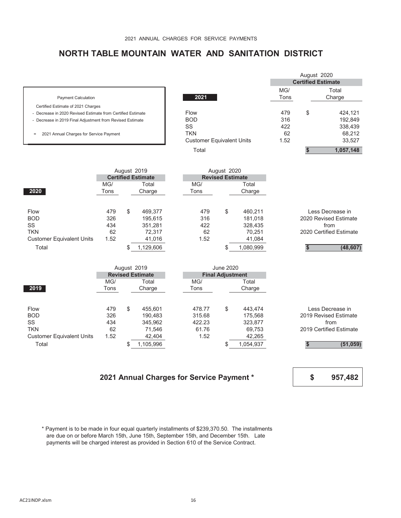# **NORTH TABLE MOUNTAIN WATER AND SANITATION DISTRICT**

|                                                             |                                  |      | August 2020 |                           |
|-------------------------------------------------------------|----------------------------------|------|-------------|---------------------------|
|                                                             |                                  |      |             | <b>Certified Estimate</b> |
|                                                             |                                  | MG/  |             | Total                     |
| <b>Payment Calculation</b>                                  | 2021                             | Tons |             | Charge                    |
| Certified Estimate of 2021 Charges                          |                                  |      |             |                           |
| - Decrease in 2020 Revised Estimate from Certified Estimate | Flow                             | 479  | \$          | 424,121                   |
| - Decrease in 2019 Final Adjustment from Revised Estimate   | <b>BOD</b>                       | 316  |             | 192,849                   |
|                                                             | SS                               | 422  |             | 338,439                   |
| 2021 Annual Charges for Service Payment<br>$\equiv$         | <b>TKN</b>                       | 62   |             | 68,212                    |
|                                                             | <b>Customer Equivalent Units</b> | 1.52 |             | 33,527                    |
|                                                             | Total                            |      |             | 1,057,148                 |

|      | <b>Certified Estimate</b> |          |             |      |               |                                        |
|------|---------------------------|----------|-------------|------|---------------|----------------------------------------|
| MG/  |                           | Total    |             | MG/  | Total         |                                        |
| Tons |                           | Charge   |             | Tons | Charge        |                                        |
|      |                           |          |             |      |               |                                        |
| 479  | \$                        | 469.377  |             | 479  | \$<br>460.211 | Less Decrease in                       |
| 326  |                           | 195,615  |             | 316  | 181.018       | 2020 Revised Estimate                  |
| 434  |                           | 351.281  |             | 422  | 328.435       | from                                   |
| 62   |                           | 72,317   |             | 62   | 70.251        | 2020 Certified Estimate                |
| 1.52 |                           | 41,016   |             | 1.52 | 41,084        |                                        |
|      |                           | ,129,606 |             |      | 1,080,999     | (48, 607)                              |
|      |                           |          | August 2019 |      |               | August 2020<br><b>Revised Estimate</b> |

|                                  |      | August 2019             |                         | June 2020 |           |                         |
|----------------------------------|------|-------------------------|-------------------------|-----------|-----------|-------------------------|
|                                  |      | <b>Revised Estimate</b> | <b>Final Adjustment</b> |           |           |                         |
|                                  | MG/  | Total                   | MG/                     |           | Total     |                         |
| 2019                             | Tons | Charge                  | Tons                    |           | Charge    |                         |
|                                  |      |                         |                         |           |           |                         |
| Flow                             | 479  | \$<br>455.601           | 478.77                  | \$        | 443.474   | Less Decrease in        |
| <b>BOD</b>                       | 326  | 190.483                 | 315.68                  |           | 175.568   | 2019 Revised Estimate   |
| SS                               | 434  | 345,962                 | 422.23                  |           | 323,877   | from                    |
| <b>TKN</b>                       | 62   | 71,546                  | 61.76                   |           | 69.753    | 2019 Certified Estimate |
| <b>Customer Equivalent Units</b> | 1.52 | 42,404                  | 1.52                    |           | 42,265    |                         |
| Total                            |      | 1,105,996               |                         |           | 1,054,937 | (51,059)                |

#### **2021 Annual Charges for Service Payment \***

**\$ 957,482**

 \* Payment is to be made in four equal quarterly installments of \$239,370.50. The installments are due on or before March 15th, June 15th, September 15th, and December 15th. Late payments will be charged interest as provided in Section 610 of the Service Contract.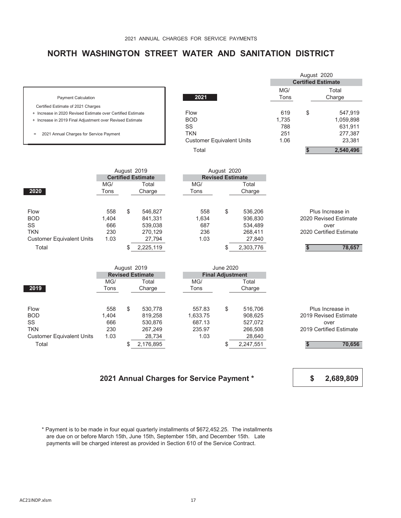## **NORTH WASHINGTON STREET WATER AND SANITATION DISTRICT**

- 
- 
- 

|                                                             |                                  |       | August 2020               |           |
|-------------------------------------------------------------|----------------------------------|-------|---------------------------|-----------|
|                                                             |                                  |       | <b>Certified Estimate</b> |           |
|                                                             |                                  | MG/   |                           | Total     |
| <b>Payment Calculation</b>                                  | 2021                             | Tons  |                           | Charge    |
| Certified Estimate of 2021 Charges                          |                                  |       |                           |           |
| + Increase in 2020 Revised Estimate over Certified Estimate | Flow                             | 619   | \$                        | 547.919   |
| + Increase in 2019 Final Adjustment over Revised Estimate   | <b>BOD</b>                       | 1,735 |                           | 1,059,898 |
|                                                             | SS                               | 788   |                           | 631,911   |
| 2021 Annual Charges for Service Payment<br>$=$              | <b>TKN</b>                       | 251   |                           | 277,387   |
|                                                             | <b>Customer Equivalent Units</b> | 1.06  |                           | 23,381    |
|                                                             | Total                            |       |                           | 2,540,496 |

|                                  |       |    | August 2019               |       | August 2020             |           |                         |  |  |  |  |  |  |
|----------------------------------|-------|----|---------------------------|-------|-------------------------|-----------|-------------------------|--|--|--|--|--|--|
|                                  |       |    | <b>Certified Estimate</b> |       | <b>Revised Estimate</b> |           |                         |  |  |  |  |  |  |
|                                  | MG/   |    | Total                     | MG/   |                         | Total     |                         |  |  |  |  |  |  |
| 2020                             | Tons  |    | Charge                    | Tons  | Charge                  |           |                         |  |  |  |  |  |  |
|                                  |       |    |                           |       |                         |           |                         |  |  |  |  |  |  |
| Flow                             | 558   | S  | 546,827                   | 558   | \$                      | 536,206   | Plus Increase in        |  |  |  |  |  |  |
| <b>BOD</b>                       | 1.404 |    | 841.331                   | 1,634 |                         | 936,830   | 2020 Revised Estimate   |  |  |  |  |  |  |
| SS                               | 666   |    | 539,038                   | 687   |                         | 534.489   | over                    |  |  |  |  |  |  |
| <b>TKN</b>                       | 230   |    | 270,129                   | 236   |                         | 268.411   | 2020 Certified Estimate |  |  |  |  |  |  |
| <b>Customer Equivalent Units</b> | 1.03  |    | 27,794                    | 1.03  |                         | 27,840    |                         |  |  |  |  |  |  |
| Total                            |       | \$ | 2,225,119                 |       | \$                      | 2,303,776 | 78,657                  |  |  |  |  |  |  |

|                                  | August 2019             |    |           |  |          | June 2020               |           |                         |
|----------------------------------|-------------------------|----|-----------|--|----------|-------------------------|-----------|-------------------------|
|                                  | <b>Revised Estimate</b> |    |           |  |          | <b>Final Adjustment</b> |           |                         |
|                                  | MG/                     |    | Total     |  | MG/      |                         | Total     |                         |
| 2019                             | Tons                    |    | Charge    |  | Tons     |                         | Charge    |                         |
|                                  |                         |    |           |  |          |                         |           |                         |
| <b>Flow</b>                      | 558                     | \$ | 530,778   |  | 557.83   | \$                      | 516,706   | Plus Increase in        |
| <b>BOD</b>                       | 1.404                   |    | 819,258   |  | 1,633.75 |                         | 908,625   | 2019 Revised Estimate   |
| <b>SS</b>                        | 666                     |    | 530,876   |  | 687.13   |                         | 527,072   | over                    |
| <b>TKN</b>                       | 230                     |    | 267,249   |  | 235.97   |                         | 266,508   | 2019 Certified Estimate |
| <b>Customer Equivalent Units</b> | 1.03                    |    | 28,734    |  | 1.03     |                         | 28,640    |                         |
| Total                            |                         |    | 2,176,895 |  |          |                         | 2,247,551 | 70,656                  |

### **2021 Annual Charges for Service Payment \***



 \* Payment is to be made in four equal quarterly installments of \$672,452.25. The installments are due on or before March 15th, June 15th, September 15th, and December 15th. Late payments will be charged interest as provided in Section 610 of the Service Contract.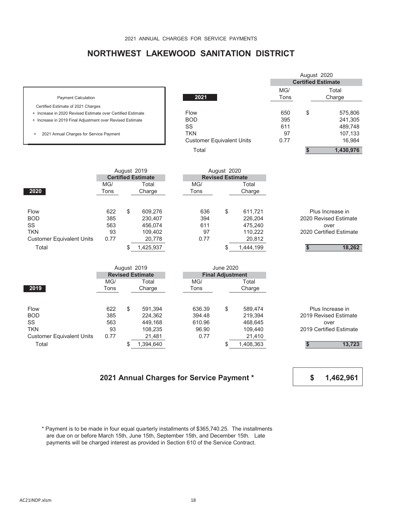## **NORTHWEST LAKEWOOD SANITATION DISTRICT**

- 
- 
- 

|                                                             |                                  |      | August 2020               |           |
|-------------------------------------------------------------|----------------------------------|------|---------------------------|-----------|
|                                                             |                                  |      | <b>Certified Estimate</b> |           |
|                                                             |                                  | MG/  |                           | Total     |
| <b>Payment Calculation</b>                                  | 2021                             | Tons |                           | Charge    |
| Certified Estimate of 2021 Charges                          |                                  |      |                           |           |
| + Increase in 2020 Revised Estimate over Certified Estimate | Flow                             | 650  | \$                        | 575,806   |
| + Increase in 2019 Final Adjustment over Revised Estimate   | <b>BOD</b>                       | 395  |                           | 241,305   |
|                                                             | SS                               | 611  |                           | 489,748   |
| 2021 Annual Charges for Service Payment<br>$\equiv$         | <b>TKN</b>                       | 97   |                           | 107,133   |
|                                                             | <b>Customer Equivalent Units</b> | 0.77 |                           | 16.984    |
|                                                             | Total                            |      |                           | 1,430,976 |

|                                  |      |    | August 2019               |  |                         | August 2020 |           |                         |
|----------------------------------|------|----|---------------------------|--|-------------------------|-------------|-----------|-------------------------|
|                                  |      |    | <b>Certified Estimate</b> |  | <b>Revised Estimate</b> |             |           |                         |
|                                  | MG/  |    | Total                     |  | MG/                     |             | Total     |                         |
| 2020                             | Tons |    | Charge                    |  | Tons                    |             | Charge    |                         |
|                                  |      |    |                           |  |                         |             |           |                         |
| Flow                             | 622  | S  | 609.276                   |  | 636                     | \$          | 611.721   | Plus Increase in        |
| <b>BOD</b>                       | 385  |    | 230,407                   |  | 394                     |             | 226.204   | 2020 Revised Estimate   |
| SS                               | 563  |    | 456.074                   |  | 611                     |             | 475.240   | over                    |
| <b>TKN</b>                       | 93   |    | 109,402                   |  | 97                      |             | 110.222   | 2020 Certified Estimate |
| <b>Customer Equivalent Units</b> | 0.77 |    | 20,778                    |  | 0.77                    |             | 20,812    |                         |
| Total                            |      | \$ | ,425,937                  |  |                         | \$          | 1,444,199 | 18,262                  |

|                                  | August 2019 |                         |           |  |        | June 2020               |           |                         |
|----------------------------------|-------------|-------------------------|-----------|--|--------|-------------------------|-----------|-------------------------|
|                                  |             | <b>Revised Estimate</b> |           |  |        | <b>Final Adjustment</b> |           |                         |
|                                  | MG/         |                         | Total     |  | MG/    |                         | Total     |                         |
| 2019                             | Tons        |                         | Charge    |  | Tons   |                         | Charge    |                         |
|                                  |             |                         |           |  |        |                         |           |                         |
| <b>Flow</b>                      | 622         | \$                      | 591.394   |  | 636.39 | \$                      | 589.474   | Plus Increase in        |
| <b>BOD</b>                       | 385         |                         | 224.362   |  | 394.48 |                         | 219.394   | 2019 Revised Estimate   |
| <b>SS</b>                        | 563         |                         | 449,168   |  | 610.96 |                         | 468.645   | over                    |
| <b>TKN</b>                       | 93          |                         | 108.235   |  | 96.90  |                         | 109.440   | 2019 Certified Estimate |
| <b>Customer Equivalent Units</b> | 0.77        |                         | 21,481    |  | 0.77   |                         | 21,410    |                         |
| Total                            |             |                         | 1,394,640 |  |        |                         | 1,408,363 | 13,723                  |

#### **2021 Annual Charges for Service Payment \***

**\$ 1,462,961**

 \* Payment is to be made in four equal quarterly installments of \$365,740.25. The installments are due on or before March 15th, June 15th, September 15th, and December 15th. Late payments will be charged interest as provided in Section 610 of the Service Contract.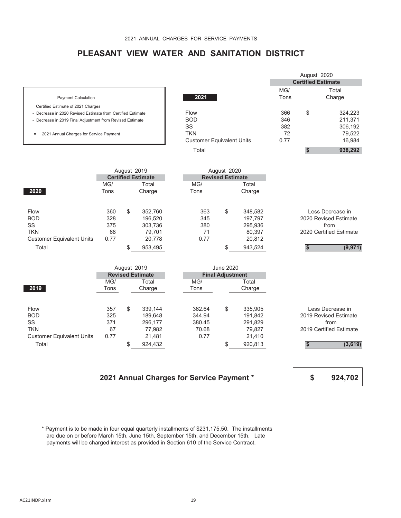# **PLEASANT VIEW WATER AND SANITATION DISTRICT**

|                                                             |                                  |      | August 2020 |                           |
|-------------------------------------------------------------|----------------------------------|------|-------------|---------------------------|
|                                                             |                                  |      |             | <b>Certified Estimate</b> |
|                                                             |                                  | MG/  |             | Total                     |
| <b>Payment Calculation</b>                                  | 2021                             | Tons |             | Charge                    |
| Certified Estimate of 2021 Charges                          |                                  |      |             |                           |
| - Decrease in 2020 Revised Estimate from Certified Estimate | Flow                             | 366  | \$          | 324,223                   |
| - Decrease in 2019 Final Adjustment from Revised Estimate   | <b>BOD</b>                       | 346  |             | 211,371                   |
|                                                             | SS                               | 382  |             | 306,192                   |
| 2021 Annual Charges for Service Payment<br>$=$              | <b>TKN</b>                       | 72   |             | 79,522                    |
|                                                             | <b>Customer Equivalent Units</b> | 0.77 |             | 16.984                    |
|                                                             | Total                            |      |             | 938,292                   |

|                                  |      |                           | August 2019 |  |      | August 2020             |         |                         |          |
|----------------------------------|------|---------------------------|-------------|--|------|-------------------------|---------|-------------------------|----------|
|                                  |      | <b>Certified Estimate</b> |             |  |      | <b>Revised Estimate</b> |         |                         |          |
|                                  | MG/  |                           | Total       |  | MG/  |                         | Total   |                         |          |
| 2020                             | Tons |                           | Charge      |  | Tons |                         | Charge  |                         |          |
| <b>Flow</b>                      | 360  | \$                        | 352,760     |  | 363  | \$                      | 348,582 | I ess Decrease in       |          |
| <b>BOD</b>                       | 328  |                           | 196,520     |  | 345  |                         | 197,797 | 2020 Revised Estimate   |          |
| SS                               | 375  |                           | 303,736     |  | 380  |                         | 295,936 | from                    |          |
| <b>TKN</b>                       | 68   |                           | 79,701      |  | 71   |                         | 80,397  | 2020 Certified Estimate |          |
| <b>Customer Equivalent Units</b> | 0.77 |                           | 20,778      |  | 0.77 |                         | 20,812  |                         |          |
| Total                            |      |                           | 953,495     |  |      |                         | 943,524 |                         | (9, 971) |
|                                  |      |                           |             |  |      |                         |         |                         |          |

|                                  | August 2019             |    |         |  |        | June 2020               |         |                         |
|----------------------------------|-------------------------|----|---------|--|--------|-------------------------|---------|-------------------------|
|                                  | <b>Revised Estimate</b> |    |         |  |        | <b>Final Adjustment</b> |         |                         |
|                                  | MG/                     |    | Total   |  | MG/    |                         | Total   |                         |
| 2019                             | Tons                    |    | Charge  |  | Tons   |                         | Charge  |                         |
|                                  |                         |    |         |  |        |                         |         |                         |
| <b>Flow</b>                      | 357                     | \$ | 339.144 |  | 362.64 | \$                      | 335,905 | Less Decrease in        |
| <b>BOD</b>                       | 325                     |    | 189.648 |  | 344.94 |                         | 191.842 | 2019 Revised Estimate   |
| SS                               | 371                     |    | 296.177 |  | 380.45 |                         | 291,829 | from                    |
| <b>TKN</b>                       | 67                      |    | 77,982  |  | 70.68  |                         | 79,827  | 2019 Certified Estimate |
| <b>Customer Equivalent Units</b> | 0.77                    |    | 21,481  |  | 0.77   |                         | 21,410  |                         |
| Total                            |                         |    | 924,432 |  |        |                         | 920,813 | (3,619)                 |

#### **2021 Annual Charges for Service Payment \***

**\$ 924,702**

 \* Payment is to be made in four equal quarterly installments of \$231,175.50. The installments are due on or before March 15th, June 15th, September 15th, and December 15th. Late payments will be charged interest as provided in Section 610 of the Service Contract.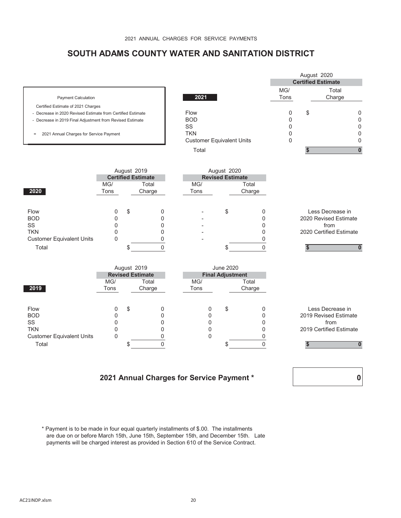### **SOUTH ADAMS COUNTY WATER AND SANITATION DISTRICT**

|                                                             |                                  |             | August 2020<br><b>Certified Estimate</b> |                 |
|-------------------------------------------------------------|----------------------------------|-------------|------------------------------------------|-----------------|
| <b>Payment Calculation</b>                                  | 2021                             | MG/<br>Tons |                                          | Total<br>Charge |
| Certified Estimate of 2021 Charges                          |                                  |             |                                          |                 |
| - Decrease in 2020 Revised Estimate from Certified Estimate | Flow                             | 0           | \$                                       | 0               |
| - Decrease in 2019 Final Adjustment from Revised Estimate   | <b>BOD</b>                       | 0           |                                          | 0               |
|                                                             | <b>SS</b>                        | 0           |                                          | 0               |
| 2021 Annual Charges for Service Payment<br>$\equiv$         | <b>TKN</b>                       | 0           |                                          | 0               |
|                                                             | <b>Customer Equivalent Units</b> | 0           |                                          | 0               |
|                                                             | Total                            |             |                                          |                 |
| August 2019                                                 | August 2020                      |             |                                          |                 |

|                                  |      | $1$ luguot $2010$         |                          | Thuyuut LuLu            |        |                         |  |
|----------------------------------|------|---------------------------|--------------------------|-------------------------|--------|-------------------------|--|
|                                  |      | <b>Certified Estimate</b> |                          | <b>Revised Estimate</b> |        |                         |  |
|                                  | MG/  | Total                     | MG/                      |                         | Total  |                         |  |
| 2020                             | Tons | Charge                    | Tons                     |                         | Charge |                         |  |
|                                  |      |                           |                          |                         |        |                         |  |
|                                  |      |                           |                          |                         |        |                         |  |
| Flow                             |      | \$<br>0                   | $\overline{\phantom{0}}$ |                         |        | Less Decrease in        |  |
| <b>BOD</b>                       |      |                           |                          |                         |        | 2020 Revised Estimate   |  |
| SS                               |      |                           |                          |                         |        | from                    |  |
| <b>TKN</b>                       |      |                           |                          |                         |        | 2020 Certified Estimate |  |
| <b>Customer Equivalent Units</b> |      |                           |                          |                         |        |                         |  |
| Total                            |      |                           |                          |                         |        |                         |  |
|                                  |      |                           |                          |                         |        |                         |  |

|                                  | August 2019<br><b>Revised Estimate</b> |    |                 |             | June 2020 | <b>Final Adjustment</b> |                         |
|----------------------------------|----------------------------------------|----|-----------------|-------------|-----------|-------------------------|-------------------------|
| 2019                             | MG/<br>Tons                            |    | Total<br>Charge | MG/<br>Tons |           | Total<br>Charge         |                         |
| Flow                             | 0                                      | \$ | 0               |             | \$        |                         | Less Decrease in        |
| <b>BOD</b>                       |                                        |    |                 |             |           |                         | 2019 Revised Estimate   |
| <b>SS</b>                        |                                        |    |                 |             |           |                         | from                    |
| <b>TKN</b>                       |                                        |    |                 |             |           |                         | 2019 Certified Estimate |
| <b>Customer Equivalent Units</b> | 0                                      |    |                 |             |           |                         |                         |
| Total                            |                                        |    |                 |             |           |                         |                         |

#### **2021 Annual Charges for Service Payment \***



 \* Payment is to be made in four equal quarterly installments of \$.00. The installments are due on or before March 15th, June 15th, September 15th, and December 15th. Late payments will be charged interest as provided in Section 610 of the Service Contract.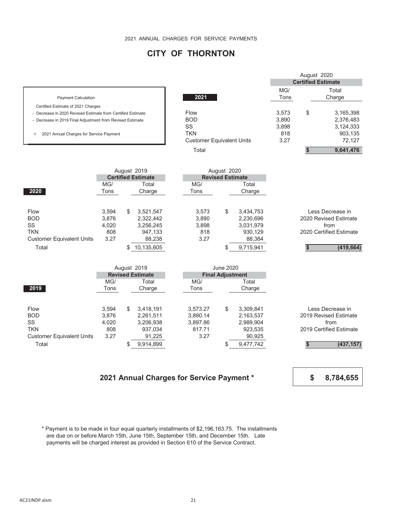# **CITY OF THORNTON**

|                                                             |                                  |             | <b>Certified Estimate</b> |                 |
|-------------------------------------------------------------|----------------------------------|-------------|---------------------------|-----------------|
| <b>Payment Calculation</b>                                  | 2021                             | MG/<br>Tons |                           | Total<br>Charge |
| Certified Estimate of 2021 Charges                          |                                  |             |                           |                 |
| - Decrease in 2020 Revised Estimate from Certified Estimate | Flow                             | 3.573       | \$                        | 3,165,398       |
| - Decrease in 2019 Final Adjustment from Revised Estimate   | <b>BOD</b>                       | 3,890       |                           | 2,376,483       |
|                                                             | SS                               | 3,898       |                           | 3,124,333       |
| 2021 Annual Charges for Service Payment<br>$\equiv$         | TKN                              | 818         |                           | 903,135         |
|                                                             | <b>Customer Equivalent Units</b> | 3.27        |                           | 72.127          |
|                                                             | Total                            |             |                           | 9.641.476       |

| <b>Certified Estimate</b> |     |            |             |       |                 |                                        |
|---------------------------|-----|------------|-------------|-------|-----------------|----------------------------------------|
| MG/                       |     | Total      |             | MG/   | Total           |                                        |
| Tons                      |     | Charge     |             | Tons  | Charge          |                                        |
|                           |     |            |             |       |                 |                                        |
| 3,594                     | S.  | 3,521,547  |             | 3,573 | \$<br>3,434,753 | Less Decrease in                       |
| 3.876                     |     | 2,322,442  |             | 3.890 | 2,230,696       | 2020 Revised Estimate                  |
| 4,020                     |     | 3,256,245  |             | 3.898 | 3,031,979       | from                                   |
| 808                       |     | 947.133    |             | 818   | 930.129         | 2020 Certified Estimate                |
| 3.27                      |     | 88,238     |             | 3.27  | 88,384          |                                        |
|                           | \$. | 10,135,605 |             |       | 9,715,941       | (419, 664)                             |
|                           |     |            | August 2019 |       |                 | August 2020<br><b>Revised Estimate</b> |

|                                  |       | August 2019 |                         |  |          | June 2020               |           |                         |
|----------------------------------|-------|-------------|-------------------------|--|----------|-------------------------|-----------|-------------------------|
|                                  |       |             | <b>Revised Estimate</b> |  |          | <b>Final Adjustment</b> |           |                         |
|                                  | MG/   |             | Total                   |  | MG/      |                         | Total     |                         |
| 2019                             | Tons  |             | Charge                  |  | Tons     |                         | Charge    |                         |
|                                  |       |             |                         |  |          |                         |           |                         |
| <b>Flow</b>                      | 3,594 | S.          | 3,418,191               |  | 3,573.27 | \$                      | 3,309,841 | Less Decrease in        |
| <b>BOD</b>                       | 3,876 |             | 2,261,511               |  | 3,890.14 |                         | 2,163,537 | 2019 Revised Estimate   |
| <b>SS</b>                        | 4,020 |             | 3,206,938               |  | 3,897.86 |                         | 2,989,904 | from                    |
| <b>TKN</b>                       | 808   |             | 937,034                 |  | 817.71   |                         | 923,535   | 2019 Certified Estimate |
| <b>Customer Equivalent Units</b> | 3.27  |             | 91,225                  |  | 3.27     |                         | 90,925    |                         |
| Total                            |       |             | 9,914,899               |  |          |                         | 9,477,742 | (437, 157)              |

#### **2021 Annual Charges for Service Payment \***

**\$ 8,784,655**

August 2020

 \* Payment is to be made in four equal quarterly installments of \$2,196,163.75. The installments are due on or before March 15th, June 15th, September 15th, and December 15th. Late payments will be charged interest as provided in Section 610 of the Service Contract.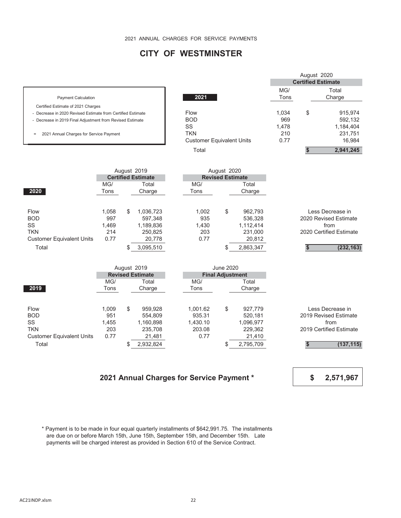# **CITY OF WESTMINSTER**

|                                                             |                                  |             | <b>Certified Estimate</b> |                 |
|-------------------------------------------------------------|----------------------------------|-------------|---------------------------|-----------------|
| <b>Payment Calculation</b>                                  | 2021                             | MG/<br>Tons |                           | Total<br>Charge |
| Certified Estimate of 2021 Charges                          |                                  |             |                           |                 |
| - Decrease in 2020 Revised Estimate from Certified Estimate | Flow                             | 1.034       | \$                        | 915,974         |
| - Decrease in 2019 Final Adjustment from Revised Estimate   | <b>BOD</b>                       | 969         |                           | 592,132         |
|                                                             | SS                               | 1.478       |                           | 1,184,404       |
| 2021 Annual Charges for Service Payment<br>$\equiv$         | TKN                              | 210         |                           | 231,751         |
|                                                             | <b>Customer Equivalent Units</b> | 0.77        |                           | 16.984          |
|                                                             | Total                            |             |                           | 2.941.245       |

|                                  | August 2019 |   |                           |                         |       | August 2020 |           |  |                         |
|----------------------------------|-------------|---|---------------------------|-------------------------|-------|-------------|-----------|--|-------------------------|
|                                  |             |   | <b>Certified Estimate</b> | <b>Revised Estimate</b> |       |             |           |  |                         |
|                                  | MG/         |   | Total                     |                         | MG/   |             | Total     |  |                         |
| 2020                             | Tons        |   | Charge                    |                         | Tons  |             | Charge    |  |                         |
|                                  |             |   |                           |                         |       |             |           |  |                         |
| <b>Flow</b>                      | 1.058       | S | 1,036,723                 |                         | 1.002 | \$          | 962.793   |  | Less Decrease in        |
| <b>BOD</b>                       | 997         |   | 597.348                   |                         | 935   |             | 536,328   |  | 2020 Revised Estimate   |
| SS                               | 1.469       |   | 1,189,836                 |                         | 1.430 |             | 1.112.414 |  | from                    |
| <b>TKN</b>                       | 214         |   | 250,825                   |                         | 203   |             | 231.000   |  | 2020 Certified Estimate |
| <b>Customer Equivalent Units</b> | 0.77        |   | 20,778                    |                         | 0.77  |             | 20,812    |  |                         |
| Total                            |             |   | 3,095,510                 |                         |       |             | 2,863,347 |  | (232, 163)              |
|                                  |             |   |                           |                         |       |             |           |  |                         |

|                                  | August 2019             |    |           |          | June 2020               |           |                         |
|----------------------------------|-------------------------|----|-----------|----------|-------------------------|-----------|-------------------------|
|                                  | <b>Revised Estimate</b> |    |           |          | <b>Final Adjustment</b> |           |                         |
|                                  | MG/                     |    | Total     | MG/      |                         | Total     |                         |
| 2019                             | Tons                    |    | Charge    | Tons     |                         | Charge    |                         |
|                                  |                         |    |           |          |                         |           |                         |
| <b>Flow</b>                      | 1.009                   | \$ | 959.928   | 1.001.62 | \$                      | 927.779   | Less Decrease in        |
| <b>BOD</b>                       | 951                     |    | 554.809   | 935.31   |                         | 520.181   | 2019 Revised Estimate   |
| SS                               | 1.455                   |    | 1,160,898 | 1.430.10 |                         | 1,096,977 | from                    |
| <b>TKN</b>                       | 203                     |    | 235,708   | 203.08   |                         | 229.362   | 2019 Certified Estimate |
| <b>Customer Equivalent Units</b> | 0.77                    |    | 21,481    | 0.77     |                         | 21,410    |                         |
| Total                            |                         |    | 2,932,824 |          |                         | 2,795,709 | (137, 115)              |

#### **2021 Annual Charges for Service Payment \***



August 2020

 \* Payment is to be made in four equal quarterly installments of \$642,991.75. The installments are due on or before March 15th, June 15th, September 15th, and December 15th. Late payments will be charged interest as provided in Section 610 of the Service Contract.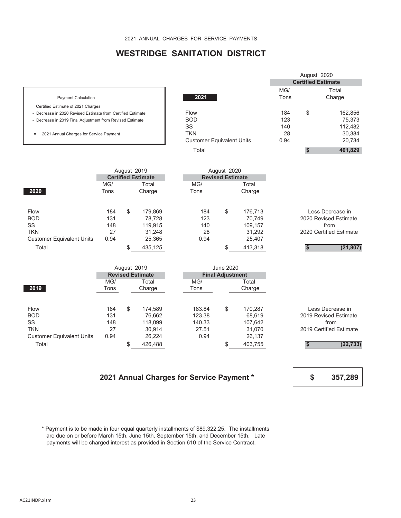### **WESTRIDGE SANITATION DISTRICT**

|                                                             |                                  |             | <b>Certified Estimate</b> |
|-------------------------------------------------------------|----------------------------------|-------------|---------------------------|
| <b>Payment Calculation</b>                                  | 2021                             | MG/<br>Tons | Total<br>Charge           |
| Certified Estimate of 2021 Charges                          |                                  |             |                           |
| - Decrease in 2020 Revised Estimate from Certified Estimate | Flow                             | 184         | \$<br>162,856             |
| - Decrease in 2019 Final Adjustment from Revised Estimate   | <b>BOD</b>                       | 123         | 75,373                    |
|                                                             | SS                               | 140         | 112,482                   |
| 2021 Annual Charges for Service Payment<br>$\equiv$         | TKN                              | 28          | 30,384                    |
|                                                             | <b>Customer Equivalent Units</b> | 0.94        | 20,734                    |
|                                                             | Total                            |             | 401.829                   |

|                                  |                           |        | August 2019 |                         | August 2020 |         |                         |
|----------------------------------|---------------------------|--------|-------------|-------------------------|-------------|---------|-------------------------|
|                                  | <b>Certified Estimate</b> |        |             | <b>Revised Estimate</b> |             |         |                         |
|                                  | MG/                       |        | Total       | MG/                     |             | Total   |                         |
| 2020                             | Tons                      | Charge |             | Tons                    |             | Charge  |                         |
|                                  |                           |        |             |                         |             |         |                         |
| <b>Flow</b>                      | 184                       | \$     | 179.869     | 184                     | \$          | 176.713 | Less Decrease in        |
| <b>BOD</b>                       | 131                       |        | 78,728      | 123                     |             | 70.749  | 2020 Revised Estimate   |
| SS                               | 148                       |        | 119,915     | 140                     |             | 109,157 | from                    |
| <b>TKN</b>                       | 27                        |        | 31.248      | 28                      |             | 31,292  | 2020 Certified Estimate |
| <b>Customer Equivalent Units</b> | 0.94                      |        | 25,365      | 0.94                    |             | 25,407  |                         |
| Total                            |                           |        | 435,125     |                         |             | 413,318 | (21, 807)               |
|                                  |                           |        |             |                         |             |         |                         |

|                                  | August 2019 |    |                         |  |        | June 2020               |         |                         |
|----------------------------------|-------------|----|-------------------------|--|--------|-------------------------|---------|-------------------------|
|                                  |             |    | <b>Revised Estimate</b> |  |        | <b>Final Adjustment</b> |         |                         |
|                                  | MG/         |    | Total                   |  | MG/    |                         | Total   |                         |
| 2019                             | Tons        |    | Charge                  |  | Tons   | Charge                  |         |                         |
|                                  |             |    |                         |  |        |                         |         |                         |
| Flow                             | 184         | \$ | 174.589                 |  | 183.84 | \$                      | 170.287 | Less Decrease in        |
| <b>BOD</b>                       | 131         |    | 76.662                  |  | 123.38 |                         | 68.619  | 2019 Revised Estimate   |
| SS                               | 148         |    | 118,099                 |  | 140.33 |                         | 107.642 | from                    |
| <b>TKN</b>                       | 27          |    | 30.914                  |  | 27.51  |                         | 31.070  | 2019 Certified Estimate |
| <b>Customer Equivalent Units</b> | 0.94        |    | 26,224                  |  | 0.94   |                         | 26,137  |                         |
| Total                            |             |    | 426,488                 |  |        |                         | 403,755 | (22, 733)               |

#### **2021 Annual Charges for Service Payment \***

**\$ 357,289**

August 2020

 \* Payment is to be made in four equal quarterly installments of \$89,322.25. The installments are due on or before March 15th, June 15th, September 15th, and December 15th. Late payments will be charged interest as provided in Section 610 of the Service Contract.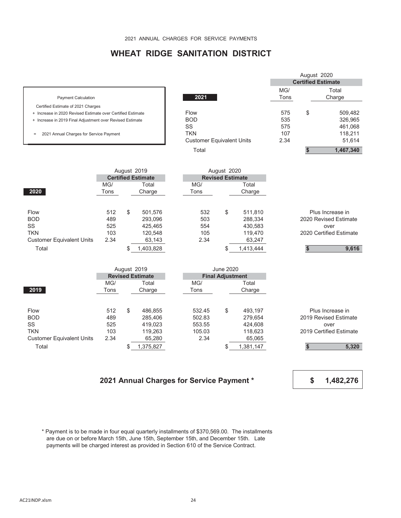# **WHEAT RIDGE SANITATION DISTRICT**

|                                                             |                                  |      | August 2020               |           |
|-------------------------------------------------------------|----------------------------------|------|---------------------------|-----------|
|                                                             |                                  |      | <b>Certified Estimate</b> |           |
|                                                             |                                  | MG/  |                           | Total     |
| <b>Payment Calculation</b>                                  | 2021                             | Tons |                           | Charge    |
| Certified Estimate of 2021 Charges                          |                                  |      |                           |           |
| + Increase in 2020 Revised Estimate over Certified Estimate | Flow                             | 575  | \$                        | 509,482   |
| + Increase in 2019 Final Adjustment over Revised Estimate   | <b>BOD</b>                       | 535  |                           | 326,965   |
|                                                             | SS                               | 575  |                           | 461,068   |
| 2021 Annual Charges for Service Payment<br>$\equiv$         | <b>TKN</b>                       | 107  |                           | 118.211   |
|                                                             | <b>Customer Equivalent Units</b> | 2.34 |                           | 51,614    |
|                                                             | Total                            |      |                           | 1,467,340 |

| August 2019                      |      |    |                           |  |      | August 2020             |           |  |  |                         |  |
|----------------------------------|------|----|---------------------------|--|------|-------------------------|-----------|--|--|-------------------------|--|
|                                  |      |    | <b>Certified Estimate</b> |  |      | <b>Revised Estimate</b> |           |  |  |                         |  |
|                                  | MG/  |    | Total                     |  | MG/  |                         | Total     |  |  |                         |  |
| 2020                             | Tons |    | Charge                    |  | Tons |                         | Charge    |  |  |                         |  |
|                                  |      |    |                           |  |      |                         |           |  |  |                         |  |
| Flow                             | 512  | \$ | 501.576                   |  | 532  | \$                      | 511,810   |  |  | Plus Increase in        |  |
| <b>BOD</b>                       | 489  |    | 293,096                   |  | 503  |                         | 288,334   |  |  | 2020 Revised Estimate   |  |
| SS                               | 525  |    | 425,465                   |  | 554  |                         | 430,583   |  |  | over                    |  |
| <b>TKN</b>                       | 103  |    | 120,548                   |  | 105  |                         | 119,470   |  |  | 2020 Certified Estimate |  |
| <b>Customer Equivalent Units</b> | 2.34 |    | 63,143                    |  | 2.34 |                         | 63,247    |  |  |                         |  |
| Total                            |      |    | 1,403,828                 |  |      |                         | 1,413,444 |  |  | 9,616                   |  |
|                                  |      |    |                           |  |      |                         |           |  |  |                         |  |

|                                  | August 2019 |                         |           |  | June 2020 |                         |           |                         |       |
|----------------------------------|-------------|-------------------------|-----------|--|-----------|-------------------------|-----------|-------------------------|-------|
|                                  |             | <b>Revised Estimate</b> |           |  |           | <b>Final Adjustment</b> |           |                         |       |
|                                  | MG/         |                         | Total     |  | MG/       |                         | Total     |                         |       |
| 2019                             | Tons        |                         | Charge    |  | Tons      |                         | Charge    |                         |       |
|                                  |             |                         |           |  |           |                         |           |                         |       |
| <b>Flow</b>                      | 512         | \$                      | 486.855   |  | 532.45    | \$                      | 493.197   | Plus Increase in        |       |
| <b>BOD</b>                       | 489         |                         | 285.406   |  | 502.83    |                         | 279.654   | 2019 Revised Estimate   |       |
| SS                               | 525         |                         | 419,023   |  | 553.55    |                         | 424.608   | over                    |       |
| <b>TKN</b>                       | 103         |                         | 119,263   |  | 105.03    |                         | 118,623   | 2019 Certified Estimate |       |
| <b>Customer Equivalent Units</b> | 2.34        |                         | 65,280    |  | 2.34      |                         | 65,065    |                         |       |
| Total                            |             |                         | 1,375,827 |  |           |                         | 1,381,147 |                         | 5,320 |

### **2021 Annual Charges for Service Payment \***

**\$ 1,482,276**

 \* Payment is to be made in four equal quarterly installments of \$370,569.00. The installments are due on or before March 15th, June 15th, September 15th, and December 15th. Late payments will be charged interest as provided in Section 610 of the Service Contract.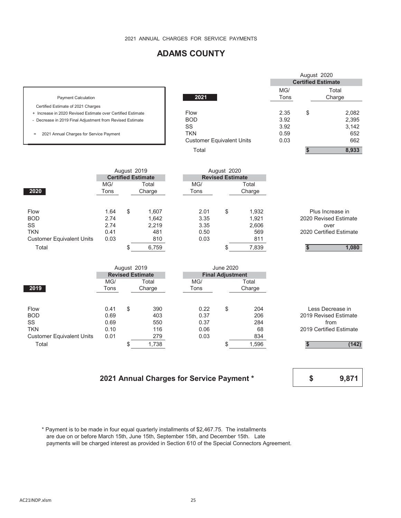# **ADAMS COUNTY**

|                                                             |                                  |             | <b>Certified Estimate</b> |
|-------------------------------------------------------------|----------------------------------|-------------|---------------------------|
| <b>Payment Calculation</b>                                  | 2021                             | MG/<br>Tons | Total<br>Charge           |
| Certified Estimate of 2021 Charges                          |                                  |             |                           |
| + Increase in 2020 Revised Estimate over Certified Estimate | <b>Flow</b>                      | 2.35        | \$<br>2,082               |
| - Decrease in 2019 Final Adjustment from Revised Estimate   | <b>BOD</b>                       | 3.92        | 2,395                     |
|                                                             | SS                               | 3.92        | 3.142                     |
| 2021 Annual Charges for Service Payment<br>$\equiv$         | TKN                              | 0.59        | 652                       |
|                                                             | <b>Customer Equivalent Units</b> | 0.03        | 662                       |
|                                                             | Total                            |             | 8.933                     |

|                                                                                   | August 2019<br><b>Certified Estimate</b> |    |                                       | August 2020<br><b>Revised Estimate</b> |                 |                                       |                                                                              |
|-----------------------------------------------------------------------------------|------------------------------------------|----|---------------------------------------|----------------------------------------|-----------------|---------------------------------------|------------------------------------------------------------------------------|
| 2020                                                                              | MG/<br>Tons                              |    | Total<br>Charge                       | MG/<br>Tons                            | Total<br>Charge |                                       |                                                                              |
| <b>Flow</b><br><b>BOD</b><br>SS<br><b>TKN</b><br><b>Customer Equivalent Units</b> | 1.64<br>2.74<br>2.74<br>0.41<br>0.03     | \$ | 1.607<br>1,642<br>2,219<br>481<br>810 | 2.01<br>3.35<br>3.35<br>0.50<br>0.03   | \$              | 1,932<br>1,921<br>2,606<br>569<br>811 | Plus Increase in<br>2020 Revised Estimate<br>over<br>2020 Certified Estimate |
| Total                                                                             |                                          |    | 6,759                                 |                                        | σ               | 7,839                                 | 1,080                                                                        |

|                                  |                         |    | August 2019 |      | June 2020               |        |                         |
|----------------------------------|-------------------------|----|-------------|------|-------------------------|--------|-------------------------|
|                                  | <b>Revised Estimate</b> |    |             |      | <b>Final Adjustment</b> |        |                         |
|                                  | MG/                     |    | Total       | MG/  |                         | Total  |                         |
| 2019                             | Tons                    |    | Charge      | Tons |                         | Charge |                         |
|                                  |                         |    |             |      |                         |        |                         |
| Flow                             | 0.41                    | \$ | 390         | 0.22 | \$                      | 204    | Less Decrease in        |
| <b>BOD</b>                       | 0.69                    |    | 403         | 0.37 |                         | 206    | 2019 Revised Estimate   |
| <b>SS</b>                        | 0.69                    |    | 550         | 0.37 |                         | 284    | from                    |
| <b>TKN</b>                       | 0.10                    |    | 116         | 0.06 |                         | 68     | 2019 Certified Estimate |
| <b>Customer Equivalent Units</b> | 0.01                    |    | 279         | 0.03 |                         | 834    |                         |
| Total                            |                         |    | 1,738       |      |                         | 1,596  | (142)                   |

### **2021 Annual Charges for Service Payment \***

**\$ 9,871**

August 2020

 \* Payment is to be made in four equal quarterly installments of \$2,467.75. The installments are due on or before March 15th, June 15th, September 15th, and December 15th. Late payments will be charged interest as provided in Section 610 of the Special Connectors Agreement.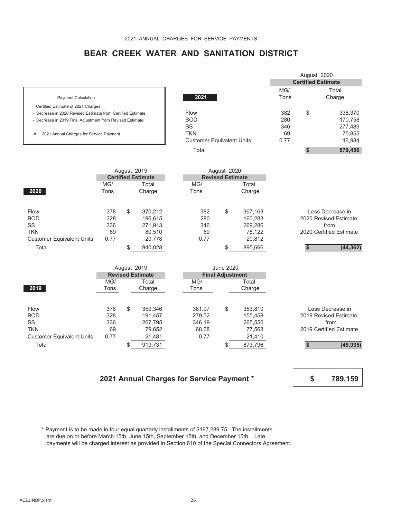## **BEAR CREEK WATER AND SANITATION DISTRICT**

|                                                             |                                  |      | August 2020               |         |
|-------------------------------------------------------------|----------------------------------|------|---------------------------|---------|
|                                                             |                                  |      | <b>Certified Estimate</b> |         |
|                                                             |                                  | MG/  |                           | Total   |
| <b>Payment Calculation</b>                                  | 2021                             | Tons |                           | Charge  |
| Certified Estimate of 2021 Charges                          |                                  |      |                           |         |
| - Decrease in 2020 Revised Estimate from Certified Estimate | Flow                             | 382  | \$                        | 338,370 |
| - Decrease in 2019 Final Adjustment from Revised Estimate   | <b>BOD</b>                       | 280  |                           | 170,758 |
|                                                             | SS                               | 346  |                           | 277,489 |
| 2021 Annual Charges for Service Payment<br>$=$              | <b>TKN</b>                       | 69   |                           | 75,855  |
|                                                             | <b>Customer Equivalent Units</b> | 0.77 |                           | 16.984  |
|                                                             | Total                            |      |                           | 879,456 |

|                                  |                           |    | August 2019 |      | August 2020             |         |                         |
|----------------------------------|---------------------------|----|-------------|------|-------------------------|---------|-------------------------|
|                                  | <b>Certified Estimate</b> |    |             |      | <b>Revised Estimate</b> |         |                         |
|                                  | MG/                       |    | Total       | MG/  |                         | Total   |                         |
| 2020                             | Tons                      |    | Charge      | Tons |                         | Charge  |                         |
|                                  |                           |    |             |      |                         |         |                         |
| Flow                             | 378                       | \$ | 370,212     | 382  | \$                      | 367,163 | Less Decrease in        |
| <b>BOD</b>                       | 328                       |    | 196,615     | 280  |                         | 160,283 | 2020 Revised Estimate   |
| SS                               | 336                       |    | 271,913     | 346  |                         | 269,286 | from                    |
| <b>TKN</b>                       | 69                        |    | 80.510      | 69   |                         | 78.122  | 2020 Certified Estimate |
| <b>Customer Equivalent Units</b> | 0.77                      |    | 20,778      | 0.77 |                         | 20,812  |                         |
| Total                            |                           |    | 940,028     |      |                         | 895,666 | (44, 362)               |
|                                  |                           |    |             |      |                         |         |                         |

|                                  |      | August 2019 |                         |        | June 2020               |         |                         |
|----------------------------------|------|-------------|-------------------------|--------|-------------------------|---------|-------------------------|
|                                  |      |             | <b>Revised Estimate</b> |        | <b>Final Adjustment</b> |         |                         |
|                                  | MG/  |             | Total                   | MG/    |                         | Total   |                         |
| 2019                             | Tons |             | Charge                  | Tons   |                         | Charge  |                         |
|                                  |      |             |                         |        |                         |         |                         |
| <b>Flow</b>                      | 378  | \$          | 359.346                 | 381.97 | \$                      | 353,810 | Less Decrease in        |
| <b>BOD</b>                       | 328  |             | 191.457                 | 279.52 |                         | 155.458 | 2019 Revised Estimate   |
| SS                               | 336  |             | 267.795                 | 346.19 |                         | 265,550 | from                    |
| <b>TKN</b>                       | 69   |             | 79,652                  | 68.68  |                         | 77,568  | 2019 Certified Estimate |
| <b>Customer Equivalent Units</b> | 0.77 |             | 21,481                  | 0.77   |                         | 21,410  |                         |
| Total                            |      |             | 919,731                 |        |                         | 873,796 | (45, 935)               |

### **2021 Annual Charges for Service Payment \***

**\$ 789,159**

 \* Payment is to be made in four equal quarterly installments of \$197,289.75. The installments are due on or before March 15th, June 15th, September 15th, and December 15th. Late payments will be charged interest as provided in Section 610 of the Special Connectors Agreement.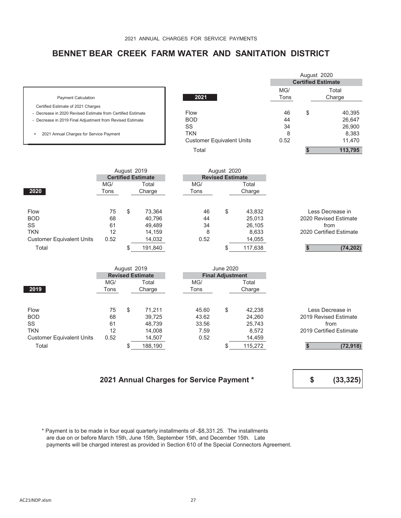# **BENNET BEAR CREEK FARM WATER AND SANITATION DISTRICT**

|                                                             |                                  |      | August 2020               |         |  |  |
|-------------------------------------------------------------|----------------------------------|------|---------------------------|---------|--|--|
|                                                             |                                  |      | <b>Certified Estimate</b> |         |  |  |
|                                                             |                                  | MG/  |                           | Total   |  |  |
| <b>Payment Calculation</b>                                  | 2021                             | Tons |                           | Charge  |  |  |
| Certified Estimate of 2021 Charges                          |                                  |      |                           |         |  |  |
| - Decrease in 2020 Revised Estimate from Certified Estimate | Flow                             | 46   | \$                        | 40,395  |  |  |
| - Decrease in 2019 Final Adjustment from Revised Estimate   | <b>BOD</b>                       | 44   |                           | 26,647  |  |  |
|                                                             | SS                               | 34   |                           | 26,900  |  |  |
| 2021 Annual Charges for Service Payment<br>$\equiv$         | <b>TKN</b>                       | 8    |                           | 8,383   |  |  |
|                                                             | <b>Customer Equivalent Units</b> | 0.52 |                           | 11,470  |  |  |
|                                                             | Total                            |      |                           | 113,795 |  |  |

|                                  |      | August 2019 |                           |      | August 2020             |         |                         |
|----------------------------------|------|-------------|---------------------------|------|-------------------------|---------|-------------------------|
|                                  |      |             | <b>Certified Estimate</b> |      | <b>Revised Estimate</b> |         |                         |
|                                  | MG/  |             | Total                     | MG/  |                         | Total   |                         |
| 2020                             | Tons |             | Charge                    | Tons |                         | Charge  |                         |
| <b>Flow</b>                      | 75   | \$          | 73.364                    | 46   | \$                      | 43,832  | Less Decrease in        |
| <b>BOD</b>                       | 68   |             | 40.796                    | 44   |                         | 25,013  | 2020 Revised Estimate   |
| SS                               | 61   |             | 49,489                    | 34   |                         | 26,105  | from                    |
| <b>TKN</b>                       | 12   |             | 14,159                    | 8    |                         | 8,633   | 2020 Certified Estimate |
| <b>Customer Equivalent Units</b> | 0.52 |             | 14,032                    | 0.52 |                         | 14,055  |                         |
| Total                            |      |             | 191,840                   |      |                         | 117,638 | (74, 202)               |
|                                  |      |             |                           |      |                         |         |                         |

|                                  | August 2019 |    |                         |  |       | <b>June 2020</b>        |         |                         |
|----------------------------------|-------------|----|-------------------------|--|-------|-------------------------|---------|-------------------------|
|                                  |             |    | <b>Revised Estimate</b> |  |       | <b>Final Adjustment</b> |         |                         |
|                                  | MG/         |    | Total                   |  | MG/   |                         | Total   |                         |
| 2019                             | Tons        |    | Charge                  |  | Tons  |                         | Charge  |                         |
|                                  |             |    |                         |  |       |                         |         |                         |
| <b>Flow</b>                      | 75          | \$ | 71.211                  |  | 45.60 | \$                      | 42,238  | Less Decrease in        |
| <b>BOD</b>                       | 68          |    | 39,725                  |  | 43.62 |                         | 24,260  | 2019 Revised Estimate   |
| <b>SS</b>                        | 61          |    | 48,739                  |  | 33.56 |                         | 25,743  | from                    |
| <b>TKN</b>                       | 12          |    | 14.008                  |  | 7.59  |                         | 8,572   | 2019 Certified Estimate |
| <b>Customer Equivalent Units</b> | 0.52        |    | 14,507                  |  | 0.52  |                         | 14,459  |                         |
| Total                            |             |    | 188,190                 |  |       | \$                      | 115,272 | (72, 918)               |

### **2021 Annual Charges for Service Payment \***

**\$ (33,325)**

 \* Payment is to be made in four equal quarterly installments of -\$8,331.25. The installments are due on or before March 15th, June 15th, September 15th, and December 15th. Late payments will be charged interest as provided in Section 610 of the Special Connectors Agreement.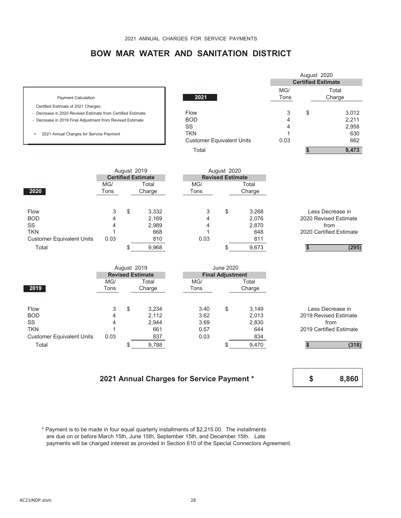## **BOW MAR WATER AND SANITATION DISTRICT**

|                                                             |                                  |      | August 2020 |                           |
|-------------------------------------------------------------|----------------------------------|------|-------------|---------------------------|
|                                                             |                                  |      |             | <b>Certified Estimate</b> |
|                                                             |                                  | MG/  |             | Total                     |
| <b>Payment Calculation</b>                                  | 2021                             | Tons |             | Charge                    |
| Certified Estimate of 2021 Charges                          |                                  |      |             |                           |
| - Decrease in 2020 Revised Estimate from Certified Estimate | Flow                             | 3    | \$          | 3,012                     |
| - Decrease in 2019 Final Adjustment from Revised Estimate   | <b>BOD</b>                       | 4    |             | 2,211                     |
|                                                             | SS                               | 4    |             | 2,958                     |
| 2021 Annual Charges for Service Payment<br>$\equiv$         | <b>TKN</b>                       |      |             | 630                       |
|                                                             | <b>Customer Equivalent Units</b> | 0.03 |             | 662                       |
|                                                             | Total                            |      |             | 9,473                     |

|                                                | August 2019<br><b>Certified Estimate</b> |    |                 |             | August 2020<br><b>Revised Estimate</b> |                 |                               |
|------------------------------------------------|------------------------------------------|----|-----------------|-------------|----------------------------------------|-----------------|-------------------------------|
| 2020                                           | MG/<br>Tons                              |    | Total<br>Charge | MG/<br>Tons |                                        | Total<br>Charge |                               |
| Flow                                           | 3                                        | \$ | 3,332           | 3           | \$                                     | 3,268           | Less Decrease in              |
| <b>BOD</b><br>SS                               | 4<br>4                                   |    | 2,169<br>2,989  | 4<br>4      |                                        | 2,076<br>2,870  | 2020 Revised Estimate<br>from |
| <b>TKN</b><br><b>Customer Equivalent Units</b> | 0.03                                     |    | 668<br>810      | 0.03        |                                        | 648<br>811      | 2020 Certified Estimate       |
| Total                                          |                                          |    | 9,968           |             |                                        | 9,673           | (295)                         |

|                                  |                         | August 2019 |        |      | June 2020 |        |                         |                         |  |  |
|----------------------------------|-------------------------|-------------|--------|------|-----------|--------|-------------------------|-------------------------|--|--|
|                                  | <b>Revised Estimate</b> |             |        |      |           |        |                         | <b>Final Adjustment</b> |  |  |
|                                  | MG/                     |             | Total  | MG/  |           | Total  |                         |                         |  |  |
| 2019                             | Tons                    |             | Charge | Tons |           | Charge |                         |                         |  |  |
|                                  |                         |             |        |      |           |        |                         |                         |  |  |
| Flow                             | 3                       | \$          | 3,234  | 3.40 | \$        | 3,149  | Less Decrease in        |                         |  |  |
| <b>BOD</b>                       | 4                       |             | 2,112  | 3.62 |           | 2,013  | 2019 Revised Estimate   |                         |  |  |
| SS                               | 4                       |             | 2,944  | 3.69 |           | 2,830  | from                    |                         |  |  |
| <b>TKN</b>                       |                         |             | 661    | 0.57 |           | 644    | 2019 Certified Estimate |                         |  |  |
| <b>Customer Equivalent Units</b> | 0.03                    |             | 837    | 0.03 |           | 834    |                         |                         |  |  |
| Total                            |                         |             | 9,788  |      |           | 9,470  | (318)                   |                         |  |  |

### **2021 Annual Charges for Service Payment \***

**\$ 8,860**

 \* Payment is to be made in four equal quarterly installments of \$2,215.00. The installments are due on or before March 15th, June 15th, September 15th, and December 15th. Late payments will be charged interest as provided in Section 610 of the Special Connectors Agreement.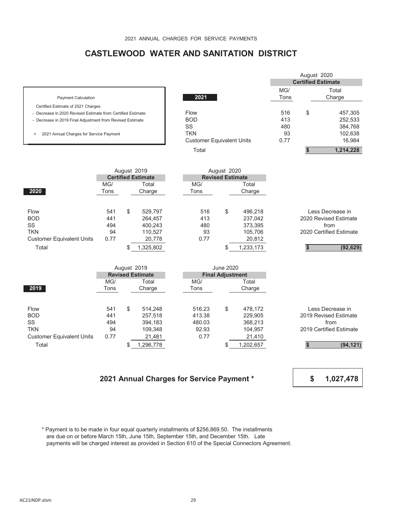### **CASTLEWOOD WATER AND SANITATION DISTRICT**

|                                                             |                                  |      | August 2020               |           |  |
|-------------------------------------------------------------|----------------------------------|------|---------------------------|-----------|--|
|                                                             |                                  |      | <b>Certified Estimate</b> |           |  |
|                                                             |                                  | MG/  |                           | Total     |  |
| <b>Payment Calculation</b>                                  | 2021                             | Tons |                           | Charge    |  |
| Certified Estimate of 2021 Charges                          |                                  |      |                           |           |  |
| - Decrease in 2020 Revised Estimate from Certified Estimate | Flow                             | 516  | \$                        | 457,305   |  |
| - Decrease in 2019 Final Adjustment from Revised Estimate   | <b>BOD</b>                       | 413  |                           | 252,533   |  |
|                                                             | SS                               | 480  |                           | 384,768   |  |
| 2021 Annual Charges for Service Payment                     | <b>TKN</b>                       | 93   |                           | 102,638   |  |
|                                                             | <b>Customer Equivalent Units</b> | 0.77 |                           | 16.984    |  |
|                                                             | Total                            |      |                           | 1,214,228 |  |

| August 2019                      |      |    |                           |      | August 2020             |           |                         |
|----------------------------------|------|----|---------------------------|------|-------------------------|-----------|-------------------------|
|                                  |      |    | <b>Certified Estimate</b> |      | <b>Revised Estimate</b> |           |                         |
|                                  | MG/  |    | Total                     | MG/  |                         | Total     |                         |
| 2020                             | Tons |    | Charge                    | Tons |                         | Charge    |                         |
|                                  |      |    |                           |      |                         |           |                         |
| <b>Flow</b>                      | 541  | \$ | 529.797                   | 516  | \$                      | 496,218   | Less Decrease in        |
| <b>BOD</b>                       | 441  |    | 264,457                   | 413  |                         | 237,042   | 2020 Revised Estimate   |
| SS                               | 494  |    | 400,243                   | 480  |                         | 373,395   | from                    |
| <b>TKN</b>                       | 94   |    | 110,527                   | 93   |                         | 105.706   | 2020 Certified Estimate |
| <b>Customer Equivalent Units</b> | 0.77 |    | 20,778                    | 0.77 |                         | 20,812    |                         |
| Total                            |      |    | 1,325,802                 |      |                         | 1,233,173 | (92, 629)               |
|                                  |      |    |                           |      |                         |           |                         |

|                                  |                         |    | August 2019 |     |        | June 2020               |           |                         |
|----------------------------------|-------------------------|----|-------------|-----|--------|-------------------------|-----------|-------------------------|
|                                  | <b>Revised Estimate</b> |    |             |     |        | <b>Final Adjustment</b> |           |                         |
|                                  | MG/<br>Total            |    |             | MG/ | Total  |                         |           |                         |
| 2019                             | Tons                    |    | Charge      |     | Tons   |                         | Charge    |                         |
|                                  |                         |    |             |     |        |                         |           |                         |
| Flow                             | 541                     | \$ | 514.248     |     | 516.23 | \$                      | 478.172   | Less Decrease in        |
| <b>BOD</b>                       | 441                     |    | 257.518     |     | 413.38 |                         | 229.905   | 2019 Revised Estimate   |
| SS                               | 494                     |    | 394.183     |     | 480.03 |                         | 368.213   | from                    |
| <b>TKN</b>                       | 94                      |    | 109,348     |     | 92.93  |                         | 104,957   | 2019 Certified Estimate |
| <b>Customer Equivalent Units</b> | 0.77                    |    | 21,481      |     | 0.77   |                         | 21,410    |                         |
| Total                            |                         |    | 1,296,778   |     |        |                         | 1,202,657 | (94, 121)               |

### **2021 Annual Charges for Service Payment \***



 \* Payment is to be made in four equal quarterly installments of \$256,869.50. The installments are due on or before March 15th, June 15th, September 15th, and December 15th. Late payments will be charged interest as provided in Section 610 of the Special Connectors Agreement.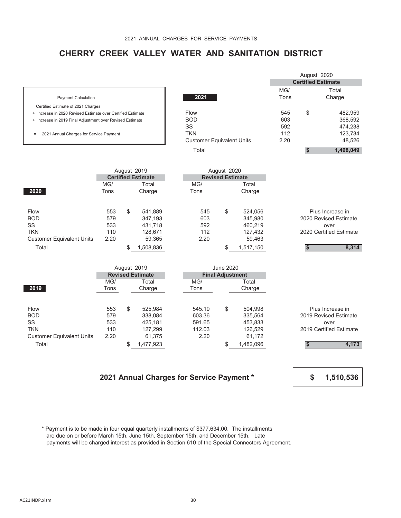# **CHERRY CREEK VALLEY WATER AND SANITATION DISTRICT**

|                                                             |                                  |      | August 2020               |           |
|-------------------------------------------------------------|----------------------------------|------|---------------------------|-----------|
|                                                             |                                  |      | <b>Certified Estimate</b> |           |
|                                                             |                                  | MG/  |                           | Total     |
| <b>Payment Calculation</b>                                  | 2021                             | Tons |                           | Charge    |
| Certified Estimate of 2021 Charges                          |                                  |      |                           |           |
| + Increase in 2020 Revised Estimate over Certified Estimate | Flow                             | 545  | \$                        | 482,959   |
| + Increase in 2019 Final Adjustment over Revised Estimate   | <b>BOD</b>                       | 603  |                           | 368,592   |
|                                                             | SS                               | 592  |                           | 474,238   |
| 2021 Annual Charges for Service Payment<br>$\equiv$         | <b>TKN</b>                       | 112  |                           | 123,734   |
|                                                             | <b>Customer Equivalent Units</b> | 2.20 |                           | 48,526    |
|                                                             | Total                            |      |                           | 1,498,049 |

|                                  | August 2019 |   |                           |                         | August 2020 |           |                         |       |
|----------------------------------|-------------|---|---------------------------|-------------------------|-------------|-----------|-------------------------|-------|
|                                  |             |   | <b>Certified Estimate</b> | <b>Revised Estimate</b> |             |           |                         |       |
|                                  | MG/         |   | Total                     | MG/                     |             | Total     |                         |       |
| 2020                             | Tons        |   | Charge                    | Charge<br>Tons          |             |           |                         |       |
|                                  |             |   |                           |                         |             |           |                         |       |
| <b>Flow</b>                      | 553         | S | 541,889                   | 545                     | \$          | 524.056   | Plus Increase in        |       |
| <b>BOD</b>                       | 579         |   | 347,193                   | 603                     |             | 345,980   | 2020 Revised Estimate   |       |
| <b>SS</b>                        | 533         |   | 431.718                   | 592                     |             | 460.219   | over                    |       |
| <b>TKN</b>                       | 110         |   | 128,671                   | 112                     |             | 127,432   | 2020 Certified Estimate |       |
| <b>Customer Equivalent Units</b> | 2.20        |   | 59,365                    | 2.20                    |             | 59,463    |                         |       |
| Total                            |             |   | 1,508,836                 |                         |             | 1,517,150 |                         | 8,314 |
|                                  |             |   |                           |                         |             |           |                         |       |

|                                  | August 2019 |                         |           |  | June 2020 |    |           |                         |  |  |  |
|----------------------------------|-------------|-------------------------|-----------|--|-----------|----|-----------|-------------------------|--|--|--|
|                                  |             | <b>Revised Estimate</b> |           |  |           |    |           | <b>Final Adjustment</b> |  |  |  |
|                                  | MG/         |                         | Total     |  | MG/       |    | Total     |                         |  |  |  |
| 2019                             | Tons        |                         | Charge    |  | Tons      |    | Charge    |                         |  |  |  |
|                                  |             |                         |           |  |           |    |           |                         |  |  |  |
| <b>Flow</b>                      | 553         | \$                      | 525.984   |  | 545.19    | \$ | 504.998   | Plus Increase in        |  |  |  |
| <b>BOD</b>                       | 579         |                         | 338,084   |  | 603.36    |    | 335.564   | 2019 Revised Estimate   |  |  |  |
| <b>SS</b>                        | 533         |                         | 425,181   |  | 591.65    |    | 453,833   | over                    |  |  |  |
| <b>TKN</b>                       | 110         |                         | 127.299   |  | 112.03    |    | 126.529   | 2019 Certified Estimate |  |  |  |
| <b>Customer Equivalent Units</b> | 2.20        |                         | 61,375    |  | 2.20      |    | 61,172    |                         |  |  |  |
| Total                            |             |                         | 1,477,923 |  |           |    | 1,482,096 | 4,173                   |  |  |  |

#### **2021 Annual Charges for Service Payment \***

**\$ 1,510,536**

 \* Payment is to be made in four equal quarterly installments of \$377,634.00. The installments are due on or before March 15th, June 15th, September 15th, and December 15th. Late payments will be charged interest as provided in Section 610 of the Special Connectors Agreement.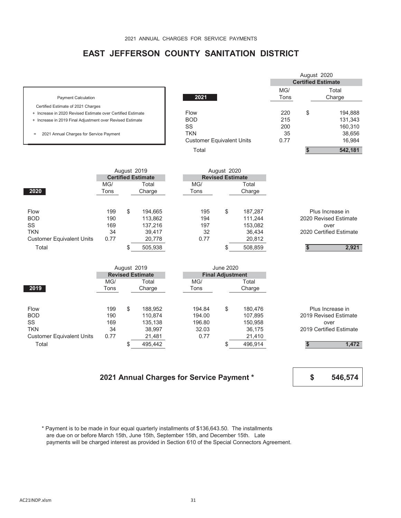# **EAST JEFFERSON COUNTY SANITATION DISTRICT**

- 
- 
- 

|                                                             |                                  |      | August 2020               |         |  |
|-------------------------------------------------------------|----------------------------------|------|---------------------------|---------|--|
|                                                             |                                  |      | <b>Certified Estimate</b> |         |  |
|                                                             |                                  | MG/  |                           | Total   |  |
| <b>Payment Calculation</b>                                  | 2021                             | Tons |                           | Charge  |  |
| Certified Estimate of 2021 Charges                          |                                  |      |                           |         |  |
| + Increase in 2020 Revised Estimate over Certified Estimate | Flow                             | 220  | \$                        | 194,888 |  |
| + Increase in 2019 Final Adjustment over Revised Estimate   | <b>BOD</b>                       | 215  |                           | 131,343 |  |
|                                                             | SS                               | 200  |                           | 160,310 |  |
| 2021 Annual Charges for Service Payment<br>$=$              | <b>TKN</b>                       | 35   |                           | 38,656  |  |
|                                                             | <b>Customer Equivalent Units</b> | 0.77 |                           | 16.984  |  |
|                                                             | Total                            |      |                           | 542,181 |  |

|                                  | August 2020<br>August 2019 |     |                           |      |                         |         |                         |  |  |  |  |  |  |
|----------------------------------|----------------------------|-----|---------------------------|------|-------------------------|---------|-------------------------|--|--|--|--|--|--|
|                                  |                            |     | <b>Certified Estimate</b> |      | <b>Revised Estimate</b> |         |                         |  |  |  |  |  |  |
|                                  | MG/                        |     | Total                     | MG/  |                         | Total   |                         |  |  |  |  |  |  |
| 2020                             | Tons                       |     | Charge                    | Tons | Charge                  |         |                         |  |  |  |  |  |  |
|                                  |                            |     |                           |      |                         |         |                         |  |  |  |  |  |  |
| Flow                             | 199                        | \$  | 194,665                   | 195  | \$                      | 187,287 | Plus Increase in        |  |  |  |  |  |  |
| <b>BOD</b>                       | 190                        |     | 113,862                   | 194  |                         | 111.244 | 2020 Revised Estimate   |  |  |  |  |  |  |
| SS                               | 169                        |     | 137,216                   | 197  |                         | 153,082 | over                    |  |  |  |  |  |  |
| <b>TKN</b>                       | 34                         |     | 39.417                    | 32   |                         | 36.434  | 2020 Certified Estimate |  |  |  |  |  |  |
| <b>Customer Equivalent Units</b> | 0.77                       |     | 20,778                    | 0.77 |                         | 20,812  |                         |  |  |  |  |  |  |
| Total                            |                            | \$. | 505,938                   |      | л                       | 508,859 | 2,921                   |  |  |  |  |  |  |

|                                  |                         | August 2019 |         |  | June 2020    |                         |         |                         |  |  |
|----------------------------------|-------------------------|-------------|---------|--|--------------|-------------------------|---------|-------------------------|--|--|
|                                  | <b>Revised Estimate</b> |             |         |  |              | <b>Final Adjustment</b> |         |                         |  |  |
|                                  | MG/                     |             | Total   |  | MG/<br>Total |                         |         |                         |  |  |
| 2019                             | Tons                    |             | Charge  |  | Tons         | Charge                  |         |                         |  |  |
|                                  |                         |             |         |  |              |                         |         |                         |  |  |
| Flow                             | 199                     | \$          | 188,952 |  | 194.84       | \$                      | 180.476 | Plus Increase in        |  |  |
| <b>BOD</b>                       | 190                     |             | 110.874 |  | 194.00       |                         | 107.895 | 2019 Revised Estimate   |  |  |
| SS                               | 169                     |             | 135,138 |  | 196.80       |                         | 150,958 | over                    |  |  |
| <b>TKN</b>                       | 34                      |             | 38,997  |  | 32.03        |                         | 36,175  | 2019 Certified Estimate |  |  |
| <b>Customer Equivalent Units</b> | 0.77                    |             | 21,481  |  | 0.77         |                         | 21,410  |                         |  |  |
| Total                            |                         |             | 495,442 |  |              |                         | 496,914 | 1,472                   |  |  |

#### **2021 Annual Charges for Service Payment \***

**\$ 546,574**

 \* Payment is to be made in four equal quarterly installments of \$136,643.50. The installments are due on or before March 15th, June 15th, September 15th, and December 15th. Late payments will be charged interest as provided in Section 610 of the Special Connectors Agreement.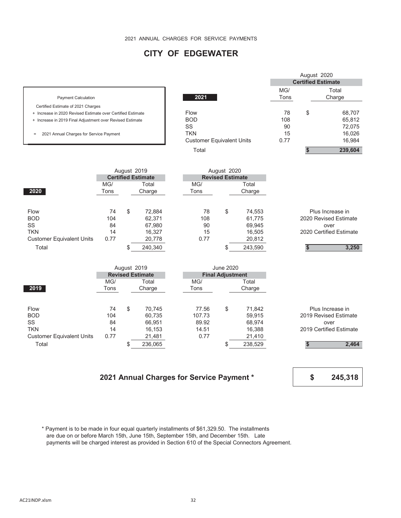# **CITY OF EDGEWATER**

|                                                             |                                  |      | August 2020               |         |  |
|-------------------------------------------------------------|----------------------------------|------|---------------------------|---------|--|
|                                                             |                                  |      | <b>Certified Estimate</b> |         |  |
|                                                             |                                  | MG/  |                           | Total   |  |
| <b>Payment Calculation</b>                                  | 2021                             | Tons |                           | Charge  |  |
| Certified Estimate of 2021 Charges                          |                                  |      |                           |         |  |
| + Increase in 2020 Revised Estimate over Certified Estimate | Flow                             | 78   | \$                        | 68,707  |  |
| + Increase in 2019 Final Adjustment over Revised Estimate   | <b>BOD</b>                       | 108  |                           | 65,812  |  |
|                                                             | SS                               | 90   |                           | 72,075  |  |
| 2021 Annual Charges for Service Payment<br>$\equiv$         | <b>TKN</b>                       | 15   |                           | 16,026  |  |
|                                                             | <b>Customer Equivalent Units</b> | 0.77 |                           | 16.984  |  |
|                                                             | Total                            |      |                           | 239.604 |  |

|                                  |      | August 2019 |                           |  |                         | August 2020 |         |                         |
|----------------------------------|------|-------------|---------------------------|--|-------------------------|-------------|---------|-------------------------|
|                                  |      |             | <b>Certified Estimate</b> |  | <b>Revised Estimate</b> |             |         |                         |
|                                  | MG/  |             | Total                     |  | MG/                     |             | Total   |                         |
| 2020                             | Tons |             | Charge                    |  | Tons                    |             | Charge  |                         |
|                                  |      |             |                           |  |                         |             |         |                         |
| Flow                             | 74   | \$          | 72,884                    |  | 78                      | \$          | 74,553  | Plus Increase in        |
| <b>BOD</b>                       | 104  |             | 62,371                    |  | 108                     |             | 61,775  | 2020 Revised Estimate   |
| <b>SS</b>                        | 84   |             | 67,980                    |  | 90                      |             | 69,945  | over                    |
| <b>TKN</b>                       | 14   |             | 16,327                    |  | 15                      |             | 16,505  | 2020 Certified Estimate |
| <b>Customer Equivalent Units</b> | 0.77 |             | 20,778                    |  | 0.77                    |             | 20,812  |                         |
| Total                            |      |             | 240,340                   |  |                         |             | 243,590 | 3,250                   |
|                                  |      |             |                           |  |                         |             |         |                         |

|                                  |                         | August 2019 |         |  |        | <b>June 2020</b>        |         |                         |
|----------------------------------|-------------------------|-------------|---------|--|--------|-------------------------|---------|-------------------------|
|                                  | <b>Revised Estimate</b> |             |         |  |        | <b>Final Adjustment</b> |         |                         |
|                                  | MG/                     |             | Total   |  | MG/    |                         | Total   |                         |
| 2019                             | Tons                    |             | Charge  |  | Tons   |                         | Charge  |                         |
|                                  |                         |             |         |  |        |                         |         |                         |
| Flow                             | 74                      | \$          | 70.745  |  | 77.56  | \$                      | 71,842  | Plus Increase in        |
| <b>BOD</b>                       | 104                     |             | 60.735  |  | 107.73 |                         | 59.915  | 2019 Revised Estimate   |
| SS                               | 84                      |             | 66.951  |  | 89.92  |                         | 68.974  | over                    |
| <b>TKN</b>                       | 14                      |             | 16,153  |  | 14.51  |                         | 16,388  | 2019 Certified Estimate |
| <b>Customer Equivalent Units</b> | 0.77                    |             | 21,481  |  | 0.77   |                         | 21,410  |                         |
| Total                            |                         |             | 236,065 |  |        |                         | 238,529 | 2,464                   |

#### **2021 Annual Charges for Service Payment \***

**\$ 245,318**

 \* Payment is to be made in four equal quarterly installments of \$61,329.50. The installments are due on or before March 15th, June 15th, September 15th, and December 15th. Late payments will be charged interest as provided in Section 610 of the Special Connectors Agreement.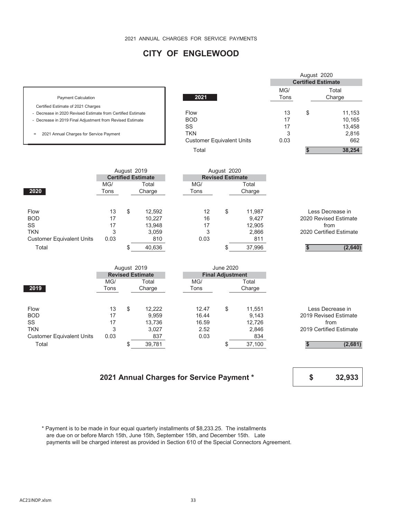# **CITY OF ENGLEWOOD**

|                                                             |                                  |      | August 2020               |        |  |  |
|-------------------------------------------------------------|----------------------------------|------|---------------------------|--------|--|--|
|                                                             |                                  |      | <b>Certified Estimate</b> |        |  |  |
|                                                             |                                  | MG/  |                           | Total  |  |  |
| <b>Payment Calculation</b>                                  | 2021                             | Tons |                           | Charge |  |  |
| Certified Estimate of 2021 Charges                          |                                  |      |                           |        |  |  |
| - Decrease in 2020 Revised Estimate from Certified Estimate | <b>Flow</b>                      | 13   | \$                        | 11,153 |  |  |
| - Decrease in 2019 Final Adjustment from Revised Estimate   | <b>BOD</b>                       | 17   |                           | 10,165 |  |  |
|                                                             | SS                               | 17   |                           | 13,458 |  |  |
| 2021 Annual Charges for Service Payment<br>$=$              | <b>TKN</b>                       | 3    |                           | 2,816  |  |  |
|                                                             | <b>Customer Equivalent Units</b> | 0.03 |                           | 662    |  |  |
|                                                             | Total                            |      |                           | 38.254 |  |  |

|                                  | August 2019<br><b>Certified Estimate</b> |    |        |      | August 2020             |        |                         |
|----------------------------------|------------------------------------------|----|--------|------|-------------------------|--------|-------------------------|
|                                  |                                          |    |        |      | <b>Revised Estimate</b> |        |                         |
|                                  | MG/                                      |    | Total  | MG/  |                         | Total  |                         |
| 2020                             | Tons                                     |    | Charge | Tons | Charge                  |        |                         |
|                                  |                                          |    |        |      |                         |        |                         |
| <b>Flow</b>                      | 13                                       | \$ | 12,592 | 12   | \$                      | 11,987 | Less Decrease in        |
| <b>BOD</b>                       | 17                                       |    | 10.227 | 16   |                         | 9.427  | 2020 Revised Estimate   |
| SS                               | 17                                       |    | 13,948 | 17   |                         | 12,905 | from                    |
| <b>TKN</b>                       | 3                                        |    | 3,059  | 3    |                         | 2,866  | 2020 Certified Estimate |
| <b>Customer Equivalent Units</b> | 0.03                                     |    | 810    | 0.03 |                         | 811    |                         |
| Total                            |                                          |    | 40,636 |      |                         | 37,996 | (2,640)                 |
|                                  |                                          |    |        |      |                         |        |                         |

|                                  |                        | August 2019 |                         |  | June 2020               |    |        |                         |  |        |  |  |
|----------------------------------|------------------------|-------------|-------------------------|--|-------------------------|----|--------|-------------------------|--|--------|--|--|
|                                  |                        |             | <b>Revised Estimate</b> |  | <b>Final Adjustment</b> |    |        |                         |  |        |  |  |
|                                  | MG/                    |             | Total                   |  | MG/                     |    | Total  |                         |  |        |  |  |
| 2019                             | Tons<br>Charge<br>Tons |             |                         |  |                         |    |        |                         |  | Charge |  |  |
|                                  |                        |             |                         |  |                         |    |        |                         |  |        |  |  |
| Flow                             | 13                     | \$          | 12,222                  |  | 12.47                   | \$ | 11,551 | Less Decrease in        |  |        |  |  |
| <b>BOD</b>                       | 17                     |             | 9,959                   |  | 16.44                   |    | 9,143  | 2019 Revised Estimate   |  |        |  |  |
| <b>SS</b>                        | 17                     |             | 13,736                  |  | 16.59                   |    | 12,726 | from                    |  |        |  |  |
| <b>TKN</b>                       | 3                      |             | 3,027                   |  | 2.52                    |    | 2,846  | 2019 Certified Estimate |  |        |  |  |
| <b>Customer Equivalent Units</b> | 0.03                   |             | 837                     |  | 0.03                    |    | 834    |                         |  |        |  |  |
| Total                            |                        |             | 39,781                  |  |                         |    | 37,100 | (2,681)                 |  |        |  |  |

#### **2021 Annual Charges for Service Payment \***

**\$ 32,933**

 \* Payment is to be made in four equal quarterly installments of \$8,233.25. The installments are due on or before March 15th, June 15th, September 15th, and December 15th. Late payments will be charged interest as provided in Section 610 of the Special Connectors Agreement.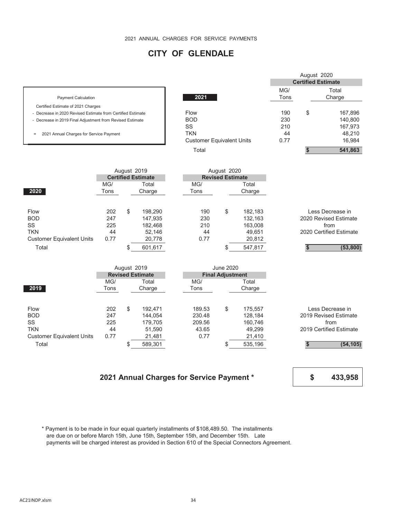# **CITY OF GLENDALE**

|                                                             |                                  |      | August 2020               |         |  |
|-------------------------------------------------------------|----------------------------------|------|---------------------------|---------|--|
|                                                             |                                  |      | <b>Certified Estimate</b> |         |  |
|                                                             |                                  | MG/  |                           | Total   |  |
| <b>Payment Calculation</b>                                  | 2021                             | Tons |                           | Charge  |  |
| Certified Estimate of 2021 Charges                          |                                  |      |                           |         |  |
| - Decrease in 2020 Revised Estimate from Certified Estimate | Flow                             | 190  | \$                        | 167,896 |  |
| - Decrease in 2019 Final Adjustment from Revised Estimate   | <b>BOD</b>                       | 230  |                           | 140,800 |  |
|                                                             | SS                               | 210  |                           | 167,973 |  |
| 2021 Annual Charges for Service Payment<br>$=$              | <b>TKN</b>                       | 44   |                           | 48,210  |  |
|                                                             | <b>Customer Equivalent Units</b> | 0.77 |                           | 16.984  |  |
|                                                             | Total                            |      |                           | 541.863 |  |

|                                  | August 2019<br><b>Certified Estimate</b> |    |         |      | August 2020             |         |                         |
|----------------------------------|------------------------------------------|----|---------|------|-------------------------|---------|-------------------------|
|                                  |                                          |    |         |      | <b>Revised Estimate</b> |         |                         |
|                                  | MG/                                      |    | Total   | MG/  |                         | Total   |                         |
| 2020                             | Tons                                     |    | Charge  | Tons |                         | Charge  |                         |
|                                  |                                          |    |         |      |                         |         |                         |
| <b>Flow</b>                      | 202                                      | \$ | 198,290 | 190  | \$                      | 182,183 | Less Decrease in        |
| <b>BOD</b>                       | 247                                      |    | 147,935 | 230  |                         | 132,163 | 2020 Revised Estimate   |
| SS                               | 225                                      |    | 182.468 | 210  |                         | 163.008 | from                    |
| <b>TKN</b>                       | 44                                       |    | 52,146  | 44   |                         | 49,651  | 2020 Certified Estimate |
| <b>Customer Equivalent Units</b> | 0.77                                     |    | 20,778  | 0.77 |                         | 20,812  |                         |
| Total                            |                                          |    | 601,617 |      |                         | 547,817 | (53, 800)               |
|                                  |                                          |    |         |      |                         |         |                         |

|                                  |                | August 2019 |                         | June 2020 |        |                         |         |                         |
|----------------------------------|----------------|-------------|-------------------------|-----------|--------|-------------------------|---------|-------------------------|
|                                  |                |             | <b>Revised Estimate</b> |           |        | <b>Final Adjustment</b> |         |                         |
|                                  | MG/            |             | Total                   |           | MG/    |                         | Total   |                         |
| 2019                             | Charge<br>Tons |             |                         | Tons      |        | Charge                  |         |                         |
|                                  |                |             |                         |           |        |                         |         |                         |
| <b>Flow</b>                      | 202            | \$          | 192.471                 |           | 189.53 | \$                      | 175,557 | Less Decrease in        |
| <b>BOD</b>                       | 247            |             | 144.054                 |           | 230.48 |                         | 128.184 | 2019 Revised Estimate   |
| SS                               | 225            |             | 179,705                 |           | 209.56 |                         | 160,746 | from                    |
| <b>TKN</b>                       | 44             |             | 51,590                  |           | 43.65  |                         | 49,299  | 2019 Certified Estimate |
| <b>Customer Equivalent Units</b> | 0.77           |             | 21,481                  |           | 0.77   |                         | 21,410  |                         |
| Total                            |                |             | 589,301                 |           |        |                         | 535,196 | (54, 105)               |

#### **2021 Annual Charges for Service Payment \***

**\$ 433,958**

 \* Payment is to be made in four equal quarterly installments of \$108,489.50. The installments are due on or before March 15th, June 15th, September 15th, and December 15th. Late payments will be charged interest as provided in Section 610 of the Special Connectors Agreement.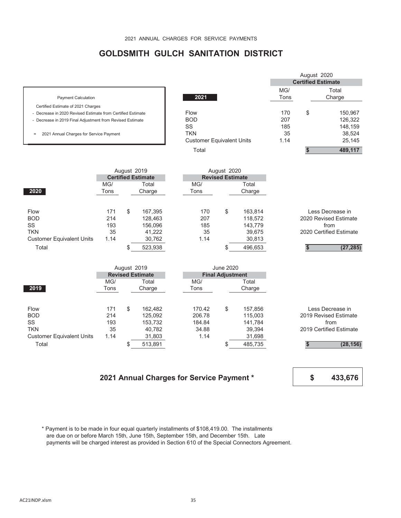# **GOLDSMITH GULCH SANITATION DISTRICT**

|                                                             |                                  |      | August 2020               |         |  |  |
|-------------------------------------------------------------|----------------------------------|------|---------------------------|---------|--|--|
|                                                             |                                  |      | <b>Certified Estimate</b> |         |  |  |
|                                                             |                                  | MG/  |                           | Total   |  |  |
| <b>Payment Calculation</b>                                  | 2021                             | Tons |                           | Charge  |  |  |
| Certified Estimate of 2021 Charges                          |                                  |      |                           |         |  |  |
| - Decrease in 2020 Revised Estimate from Certified Estimate | Flow                             | 170  | \$                        | 150,967 |  |  |
| - Decrease in 2019 Final Adjustment from Revised Estimate   | <b>BOD</b>                       | 207  |                           | 126,322 |  |  |
|                                                             | SS                               | 185  |                           | 148,159 |  |  |
| 2021 Annual Charges for Service Payment                     | <b>TKN</b>                       | 35   |                           | 38,524  |  |  |
|                                                             | <b>Customer Equivalent Units</b> | 1.14 |                           | 25,145  |  |  |
|                                                             | Total                            |      |                           | 489,117 |  |  |

|                                  | August 2019<br><b>Certified Estimate</b> |    |         | August 2020 |      |                         |         |  |  |                         |
|----------------------------------|------------------------------------------|----|---------|-------------|------|-------------------------|---------|--|--|-------------------------|
|                                  |                                          |    |         |             |      | <b>Revised Estimate</b> |         |  |  |                         |
|                                  | MG/                                      |    | Total   |             | MG/  |                         | Total   |  |  |                         |
| 2020                             | Tons                                     |    | Charge  |             | Tons |                         | Charge  |  |  |                         |
|                                  |                                          |    |         |             |      |                         |         |  |  |                         |
| Flow                             | 171                                      | \$ | 167,395 |             | 170  | \$                      | 163.814 |  |  | Less Decrease in        |
| <b>BOD</b>                       | 214                                      |    | 128.463 |             | 207  |                         | 118,572 |  |  | 2020 Revised Estimate   |
| SS                               | 193                                      |    | 156.096 |             | 185  |                         | 143.779 |  |  | from                    |
| <b>TKN</b>                       | 35                                       |    | 41.222  |             | 35   |                         | 39,675  |  |  | 2020 Certified Estimate |
| <b>Customer Equivalent Units</b> | 1.14                                     |    | 30,762  |             | 1.14 |                         | 30,813  |  |  |                         |
| Total                            |                                          |    | 523,938 |             |      |                         | 496,653 |  |  | (27, 285)               |
|                                  |                                          |    |         |             |      |                         |         |  |  |                         |

|                                  | August 2019             |    |         |  |        | June 2020               |         |                         |
|----------------------------------|-------------------------|----|---------|--|--------|-------------------------|---------|-------------------------|
|                                  | <b>Revised Estimate</b> |    |         |  |        | <b>Final Adjustment</b> |         |                         |
|                                  | MG/                     |    | Total   |  | MG/    |                         | Total   |                         |
| 2019                             | Tons                    |    | Charge  |  | Tons   |                         | Charge  |                         |
|                                  |                         |    |         |  |        |                         |         |                         |
| <b>Flow</b>                      | 171                     | \$ | 162.482 |  | 170.42 | \$                      | 157.856 | Less Decrease in        |
| <b>BOD</b>                       | 214                     |    | 125,092 |  | 206.78 |                         | 115,003 | 2019 Revised Estimate   |
| SS                               | 193                     |    | 153.732 |  | 184.84 |                         | 141.784 | from                    |
| <b>TKN</b>                       | 35                      |    | 40,782  |  | 34.88  |                         | 39,394  | 2019 Certified Estimate |
| <b>Customer Equivalent Units</b> | 1.14                    |    | 31,803  |  | 1.14   |                         | 31,698  |                         |
| Total                            |                         |    | 513,891 |  |        |                         | 485,735 | (28, 156)               |

### **2021 Annual Charges for Service Payment \***

**\$ 433,676**

 \* Payment is to be made in four equal quarterly installments of \$108,419.00. The installments are due on or before March 15th, June 15th, September 15th, and December 15th. Late payments will be charged interest as provided in Section 610 of the Special Connectors Agreement.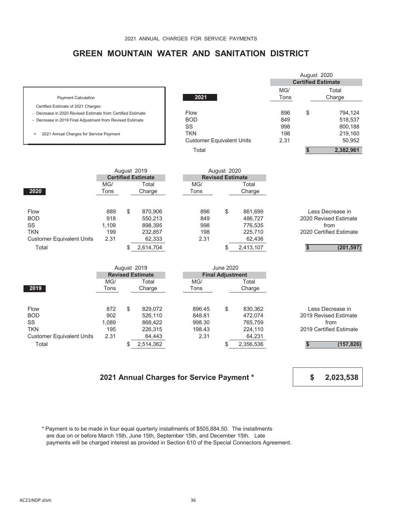## **GREEN MOUNTAIN WATER AND SANITATION DISTRICT**

|                                                             |                                  |      | August 2020               |           |  |  |
|-------------------------------------------------------------|----------------------------------|------|---------------------------|-----------|--|--|
|                                                             |                                  |      | <b>Certified Estimate</b> |           |  |  |
|                                                             |                                  | MG/  |                           | Total     |  |  |
| <b>Payment Calculation</b>                                  | 2021                             | Tons |                           | Charge    |  |  |
| Certified Estimate of 2021 Charges                          |                                  |      |                           |           |  |  |
| - Decrease in 2020 Revised Estimate from Certified Estimate | Flow                             | 896  | \$                        | 794,124   |  |  |
| - Decrease in 2019 Final Adjustment from Revised Estimate   | <b>BOD</b>                       | 849  |                           | 518,537   |  |  |
|                                                             | SS                               | 998  |                           | 800,188   |  |  |
| 2021 Annual Charges for Service Payment<br>$=$              | <b>TKN</b>                       | 198  |                           | 219,160   |  |  |
|                                                             | <b>Customer Equivalent Units</b> | 2.31 |                           | 50,952    |  |  |
|                                                             | Total                            |      |                           | 2,382,961 |  |  |
|                                                             |                                  |      |                           |           |  |  |

|                                  | August 2019 |    |                           |                         | August 2020 |           |                         |
|----------------------------------|-------------|----|---------------------------|-------------------------|-------------|-----------|-------------------------|
|                                  |             |    | <b>Certified Estimate</b> | <b>Revised Estimate</b> |             |           |                         |
|                                  | MG/         |    | Total                     | MG/                     |             | Total     |                         |
| 2020                             | Tons        |    | Charge                    | Tons                    |             | Charge    |                         |
|                                  |             |    |                           |                         |             |           |                         |
| <b>Flow</b>                      | 889         | \$ | 870.906                   | 896                     | \$          | 861.699   | Less Decrease in        |
| <b>BOD</b>                       | 918         |    | 550,213                   | 849                     |             | 486.727   | 2020 Revised Estimate   |
| SS                               | 1,109       |    | 898,395                   | 998                     |             | 776,535   | from                    |
| <b>TKN</b>                       | 199         |    | 232,857                   | 198                     |             | 225,710   | 2020 Certified Estimate |
| <b>Customer Equivalent Units</b> | 2.31        |    | 62,333                    | 2.31                    |             | 62,436    |                         |
| Total                            |             |    | 2,614,704                 |                         |             | 2,413,107 | (201, 597)              |
|                                  |             |    |                           |                         |             |           |                         |

|                                  | August 2019             |    |           |  |        | June 2020               |           |                         |
|----------------------------------|-------------------------|----|-----------|--|--------|-------------------------|-----------|-------------------------|
|                                  | <b>Revised Estimate</b> |    |           |  |        | <b>Final Adjustment</b> |           |                         |
|                                  | MG/                     |    | Total     |  | MG/    |                         | Total     |                         |
| 2019                             | Tons                    |    | Charge    |  | Tons   |                         | Charge    |                         |
|                                  |                         |    |           |  |        |                         |           |                         |
| Flow                             | 872                     | \$ | 829,072   |  | 896.45 | \$                      | 830,362   | Less Decrease in        |
| <b>BOD</b>                       | 902                     |    | 526,110   |  | 848.81 |                         | 472.074   | 2019 Revised Estimate   |
| SS                               | 1.089                   |    | 868,422   |  | 998.30 |                         | 765.759   | from                    |
| <b>TKN</b>                       | 195                     |    | 226,315   |  | 198.43 |                         | 224,110   | 2019 Certified Estimate |
| <b>Customer Equivalent Units</b> | 2.31                    |    | 64,443    |  | 2.31   |                         | 64,231    |                         |
| Total                            |                         |    | 2,514,362 |  |        |                         | 2,356,536 | (157, 826)              |

### **2021 Annual Charges for Service Payment \***

**\$ 2,023,538**

 \* Payment is to be made in four equal quarterly installments of \$505,884.50. The installments are due on or before March 15th, June 15th, September 15th, and December 15th. Late payments will be charged interest as provided in Section 610 of the Special Connectors Agreement.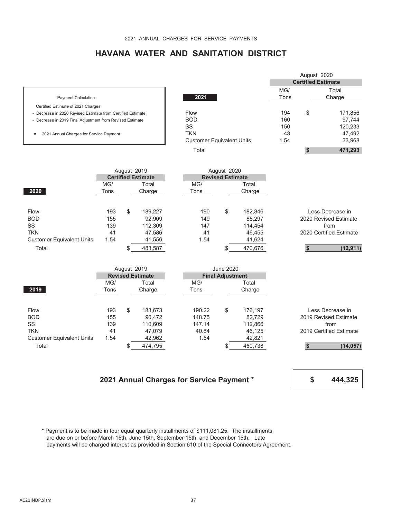## **HAVANA WATER AND SANITATION DISTRICT**

| 2021                             | MG/<br>Tons | Total<br>Charge           |
|----------------------------------|-------------|---------------------------|
|                                  |             |                           |
| <b>Flow</b>                      | 194         | \$<br>171,856             |
| <b>BOD</b>                       | 160         | 97.744                    |
| SS                               | 150         | 120,233                   |
| TKN                              | 43          | 47,492                    |
| <b>Customer Equivalent Units</b> | 1.54        | 33,968                    |
| Total                            |             | 471,293                   |
|                                  |             | <b>Certified Estimate</b> |

|                                  | August 2019 |    |                           |      | August 2020             |         |                         |
|----------------------------------|-------------|----|---------------------------|------|-------------------------|---------|-------------------------|
|                                  |             |    | <b>Certified Estimate</b> |      | <b>Revised Estimate</b> |         |                         |
|                                  | MG/         |    | Total                     | MG/  |                         | Total   |                         |
| 2020                             | Tons        |    | Charge                    | Tons |                         | Charge  |                         |
|                                  | 193         |    | 189.227                   | 190  |                         |         | Less Decrease in        |
| <b>Flow</b>                      |             | \$ |                           |      | \$                      | 182,846 |                         |
| <b>BOD</b>                       | 155         |    | 92.909                    | 149  |                         | 85.297  | 2020 Revised Estimate   |
| SS                               | 139         |    | 112,309                   | 147  |                         | 114.454 | from                    |
| <b>TKN</b>                       | 41          |    | 47,586                    | 41   |                         | 46,455  | 2020 Certified Estimate |
| <b>Customer Equivalent Units</b> | 1.54        |    | 41,556                    | 1.54 |                         | 41,624  |                         |
| Total                            |             |    | 483,587                   |      |                         | 470,676 | (12, 911)               |
|                                  |             |    |                           |      |                         |         |                         |

| August 2019                      |                         |    |         |        | June 2020               |         |                         |
|----------------------------------|-------------------------|----|---------|--------|-------------------------|---------|-------------------------|
|                                  | <b>Revised Estimate</b> |    |         |        | <b>Final Adjustment</b> |         |                         |
|                                  | MG/                     |    | Total   | MG/    |                         | Total   |                         |
| 2019                             | Tons                    |    | Charge  | Tons   |                         | Charge  |                         |
|                                  |                         |    |         |        |                         |         |                         |
| <b>Flow</b>                      | 193                     | \$ | 183,673 | 190.22 | \$                      | 176.197 | Less Decrease in        |
| <b>BOD</b>                       | 155                     |    | 90.472  | 148.75 |                         | 82.729  | 2019 Revised Estimate   |
| SS                               | 139                     |    | 110,609 | 147.14 |                         | 112,866 | from                    |
| <b>TKN</b>                       | 41                      |    | 47.079  | 40.84  |                         | 46,125  | 2019 Certified Estimate |
| <b>Customer Equivalent Units</b> | 1.54                    |    | 42,962  | 1.54   |                         | 42,821  |                         |
| Total                            |                         |    | 474,795 |        |                         | 460,738 | (14, 057)               |

## **2021 Annual Charges for Service Payment \***

**\$ 444,325**

August 2020

 \* Payment is to be made in four equal quarterly installments of \$111,081.25. The installments are due on or before March 15th, June 15th, September 15th, and December 15th. Late payments will be charged interest as provided in Section 610 of the Special Connectors Agreement.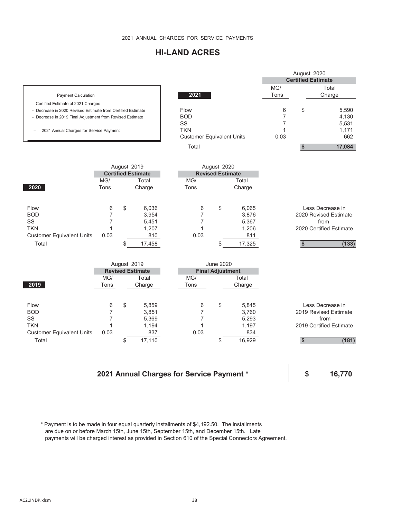## **HI-LAND ACRES**

|                                                             |                |             |                         |  |                                  |                         | August 2020 |                |                           |                         |
|-------------------------------------------------------------|----------------|-------------|-------------------------|--|----------------------------------|-------------------------|-------------|----------------|---------------------------|-------------------------|
|                                                             |                |             |                         |  |                                  |                         |             |                | <b>Certified Estimate</b> |                         |
|                                                             |                |             |                         |  |                                  |                         |             | MG/            |                           | Total                   |
| <b>Payment Calculation</b>                                  |                |             |                         |  | 2021                             |                         |             | Tons           |                           | Charge                  |
| Certified Estimate of 2021 Charges                          |                |             |                         |  |                                  |                         |             |                |                           |                         |
| - Decrease in 2020 Revised Estimate from Certified Estimate |                |             |                         |  | Flow                             |                         |             | 6              | \$                        | 5,590                   |
| - Decrease in 2019 Final Adjustment from Revised Estimate   |                |             |                         |  | <b>BOD</b>                       |                         |             | $\overline{7}$ |                           | 4,130                   |
|                                                             |                |             |                         |  | SS                               |                         |             | $\overline{7}$ |                           | 5,531                   |
| 2021 Annual Charges for Service Payment<br>$\equiv$         |                |             |                         |  | <b>TKN</b>                       |                         |             | 1<br>0.03      |                           | 1,171<br>662            |
|                                                             |                |             |                         |  | <b>Customer Equivalent Units</b> |                         |             |                |                           |                         |
|                                                             |                |             |                         |  | Total                            |                         |             |                | <b>S</b>                  | 17,084                  |
|                                                             |                |             |                         |  |                                  | August 2020             |             |                |                           |                         |
| August 2019<br><b>Certified Estimate</b>                    |                |             |                         |  |                                  | <b>Revised Estimate</b> |             |                |                           |                         |
|                                                             | MG/            |             | Total                   |  | MG/                              |                         | Total       |                |                           |                         |
| 2020                                                        | Tons           |             | Charge                  |  | Tons                             |                         | Charge      |                |                           |                         |
|                                                             |                |             |                         |  |                                  |                         |             |                |                           |                         |
| Flow                                                        | 6              | \$          | 6,036                   |  | 6                                | \$                      | 6,065       |                |                           | Less Decrease in        |
| <b>BOD</b>                                                  | 7              |             | 3,954                   |  | 7                                |                         | 3,876       |                |                           | 2020 Revised Estimate   |
| SS                                                          | 7              |             | 5,451                   |  | 7                                |                         | 5,367       |                |                           | from                    |
| <b>TKN</b>                                                  | 1              |             | 1,207                   |  | 1                                |                         | 1,206       |                |                           | 2020 Certified Estimate |
| <b>Customer Equivalent Units</b>                            | 0.03           |             | 810                     |  | 0.03                             |                         | 811         |                |                           |                         |
| Total                                                       |                | \$          | 17,458                  |  |                                  | \$                      | 17,325      |                | $\mathbf{s}$              | (133)                   |
|                                                             |                |             |                         |  |                                  |                         |             |                |                           |                         |
|                                                             |                | August 2019 |                         |  |                                  | <b>June 2020</b>        |             |                |                           |                         |
|                                                             |                |             | <b>Revised Estimate</b> |  |                                  | <b>Final Adjustment</b> |             |                |                           |                         |
|                                                             | MG/            |             | Total                   |  | MG/                              |                         | Total       |                |                           |                         |
| 2019                                                        | Tons           |             | Charge                  |  | Tons                             |                         | Charge      |                |                           |                         |
| Flow                                                        | 6              | \$          | 5,859                   |  | 6                                | \$                      | 5,845       |                |                           | Less Decrease in        |
| <b>BOD</b>                                                  | $\overline{7}$ |             | 3,851                   |  | 7                                |                         | 3,760       |                |                           | 2019 Revised Estimate   |
| SS                                                          | $\overline{7}$ |             | 5,369                   |  | 7                                |                         | 5,293       |                |                           | from                    |
| <b>TKN</b>                                                  | 1              |             | 1,194                   |  | 1                                |                         | 1,197       |                |                           | 2019 Certified Estimate |
| <b>Customer Equivalent Units</b>                            | 0.03           |             | 837                     |  | 0.03                             |                         | 834         |                |                           |                         |

### **2021 Annual Charges for Service Payment \***

Total **6 17,110 \$ 16,929 \$ (181)** 

**\$ 16,770**

 \* Payment is to be made in four equal quarterly installments of \$4,192.50. The installments are due on or before March 15th, June 15th, September 15th, and December 15th. Late payments will be charged interest as provided in Section 610 of the Special Connectors Agreement.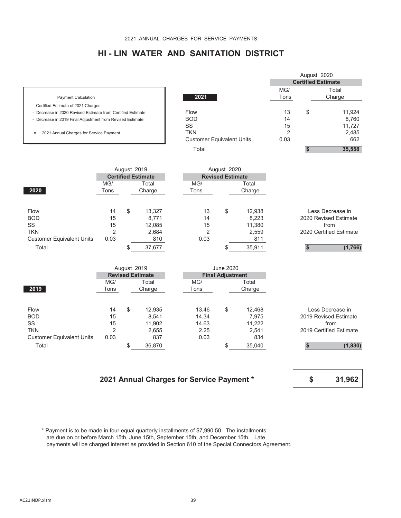## **HI - LIN WATER AND SANITATION DISTRICT**

| <b>Payment Calculation</b> |
|----------------------------|
|                            |

- 
- 

|                                                             |                                  |      | August 2020 |                           |
|-------------------------------------------------------------|----------------------------------|------|-------------|---------------------------|
|                                                             |                                  |      |             | <b>Certified Estimate</b> |
|                                                             |                                  | MG/  |             | Total                     |
| <b>Payment Calculation</b>                                  | 2021                             | Tons |             | Charge                    |
| Certified Estimate of 2021 Charges                          |                                  |      |             |                           |
| - Decrease in 2020 Revised Estimate from Certified Estimate | Flow                             | 13   | \$          | 11,924                    |
| - Decrease in 2019 Final Adjustment from Revised Estimate   | <b>BOD</b>                       | 14   |             | 8,760                     |
|                                                             | SS                               | 15   |             | 11.727                    |
| 2021 Annual Charges for Service Payment<br>$=$              | <b>TKN</b>                       | 2    |             | 2,485                     |
|                                                             | <b>Customer Equivalent Units</b> | 0.03 |             | 662                       |
|                                                             | Total                            |      |             | 35,558                    |

|                                  | August 2019               |    |        |  |      | August 2020             |        |                         |
|----------------------------------|---------------------------|----|--------|--|------|-------------------------|--------|-------------------------|
|                                  | <b>Certified Estimate</b> |    |        |  |      | <b>Revised Estimate</b> |        |                         |
|                                  | MG/                       |    | Total  |  | MG/  |                         | Total  |                         |
| 2020                             | Tons                      |    | Charge |  | Tons |                         | Charge |                         |
|                                  |                           |    |        |  |      |                         |        |                         |
| Flow                             | 14                        | \$ | 13,327 |  | 13   | \$                      | 12,938 | Less Decrease in        |
| <b>BOD</b>                       | 15                        |    | 8,771  |  | 14   |                         | 8,223  | 2020 Revised Estimate   |
| SS                               | 15                        |    | 12,085 |  | 15   |                         | 11,380 | from                    |
| <b>TKN</b>                       | 2                         |    | 2,684  |  | 2    |                         | 2,559  | 2020 Certified Estimate |
| <b>Customer Equivalent Units</b> | 0.03                      |    | 810    |  | 0.03 |                         | 811    |                         |
| Total                            |                           |    | 37,677 |  |      |                         | 35,911 | (1,766)                 |

|                                  | August 2019 |    |                         | <b>June 2020</b> |       |                         |        |                         |
|----------------------------------|-------------|----|-------------------------|------------------|-------|-------------------------|--------|-------------------------|
|                                  |             |    | <b>Revised Estimate</b> |                  |       | <b>Final Adjustment</b> |        |                         |
|                                  | MG/         |    | Total                   |                  | MG/   |                         | Total  |                         |
| 2019                             | Tons        |    | Charge                  |                  | Tons  |                         | Charge |                         |
|                                  |             |    |                         |                  |       |                         |        |                         |
| Flow                             | 14          | \$ | 12,935                  |                  | 13.46 | \$                      | 12,468 | Less Decrease in        |
| <b>BOD</b>                       | 15          |    | 8,541                   |                  | 14.34 |                         | 7,975  | 2019 Revised Estimate   |
| SS                               | 15          |    | 11,902                  |                  | 14.63 |                         | 11,222 | from                    |
| <b>TKN</b>                       | 2           |    | 2,655                   |                  | 2.25  |                         | 2,541  | 2019 Certified Estimate |
| <b>Customer Equivalent Units</b> | 0.03        |    | 837                     |                  | 0.03  |                         | 834    |                         |
| Total                            |             |    | 36,870                  |                  |       |                         | 35,040 | (1,830)                 |

## **2021 Annual Charges for Service Payment \***

**\$ 31,962**

 \* Payment is to be made in four equal quarterly installments of \$7,990.50. The installments are due on or before March 15th, June 15th, September 15th, and December 15th. Late payments will be charged interest as provided in Section 610 of the Special Connectors Agreement.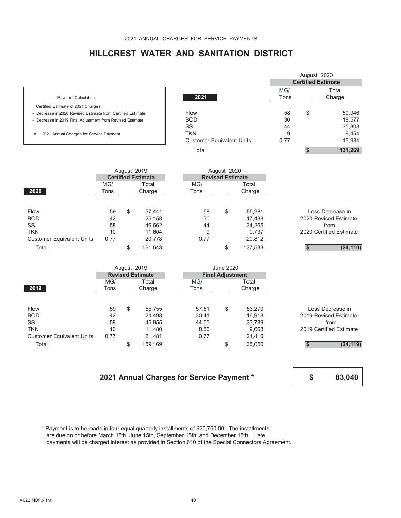## **HILLCREST WATER AND SANITATION DISTRICT**

|                                                             |                                  |      | August 2020 |                           |  |  |
|-------------------------------------------------------------|----------------------------------|------|-------------|---------------------------|--|--|
|                                                             |                                  |      |             | <b>Certified Estimate</b> |  |  |
|                                                             |                                  | MG/  |             | Total                     |  |  |
| <b>Payment Calculation</b>                                  | 2021                             | Tons |             | Charge                    |  |  |
| Certified Estimate of 2021 Charges                          |                                  |      |             |                           |  |  |
| - Decrease in 2020 Revised Estimate from Certified Estimate | Flow                             | 58   | \$          | 50,946                    |  |  |
| - Decrease in 2019 Final Adjustment from Revised Estimate   | <b>BOD</b>                       | 30   |             | 18,577                    |  |  |
|                                                             | SS                               | 44   |             | 35,308                    |  |  |
| 2021 Annual Charges for Service Payment<br>$\equiv$         | <b>TKN</b>                       | 9    |             | 9.454                     |  |  |
|                                                             | <b>Customer Equivalent Units</b> | 0.77 |             | 16.984                    |  |  |
|                                                             | Total                            |      |             | 131,269                   |  |  |

|                                  |                           | August 2019 |         |      | August 2020             |         |                         |
|----------------------------------|---------------------------|-------------|---------|------|-------------------------|---------|-------------------------|
|                                  | <b>Certified Estimate</b> |             |         |      | <b>Revised Estimate</b> |         |                         |
|                                  | MG/                       |             | Total   | MG/  |                         | Total   |                         |
| 2020                             | Tons                      |             | Charge  | Tons |                         | Charge  |                         |
|                                  |                           |             |         |      |                         |         |                         |
| Flow                             | 59                        | \$          | 57.441  | 58   | \$                      | 55,281  | Less Decrease in        |
| <b>BOD</b>                       | 42                        |             | 25,158  | 30   |                         | 17,438  | 2020 Revised Estimate   |
| SS                               | 58                        |             | 46,662  | 44   |                         | 34,265  | from                    |
| <b>TKN</b>                       | 10                        |             | 11,604  | 9    |                         | 9,737   | 2020 Certified Estimate |
| <b>Customer Equivalent Units</b> | 0.77                      |             | 20,778  | 0.77 |                         | 20,812  |                         |
| Total                            |                           |             | 161,643 |      |                         | 137,533 | (24, 110)               |
|                                  |                           |             |         |      |                         |         |                         |

|                                  |      | August 2019 |                         |       | June 2020               |         |                         |
|----------------------------------|------|-------------|-------------------------|-------|-------------------------|---------|-------------------------|
|                                  |      |             | <b>Revised Estimate</b> |       | <b>Final Adjustment</b> |         |                         |
|                                  | MG/  |             | Total                   | MG/   |                         | Total   |                         |
| 2019                             | Tons |             | Charge                  | Tons  |                         | Charge  |                         |
|                                  |      |             |                         |       |                         |         |                         |
| <b>Flow</b>                      | 59   | \$          | 55,755                  | 57.51 | \$                      | 53,270  | Less Decrease in        |
| <b>BOD</b>                       | 42   |             | 24,498                  | 30.41 |                         | 16,913  | 2019 Revised Estimate   |
| <b>SS</b>                        | 58   |             | 45,955                  | 44.05 |                         | 33,789  | from                    |
| <b>TKN</b>                       | 10   |             | 11.480                  | 8.56  |                         | 9,668   | 2019 Certified Estimate |
| <b>Customer Equivalent Units</b> | 0.77 |             | 21,481                  | 0.77  |                         | 21,410  |                         |
| Total                            |      |             | 159,169                 |       |                         | 135,050 | (24, 119)               |

### **2021 Annual Charges for Service Payment \***

**\$ 83,040**

 \* Payment is to be made in four equal quarterly installments of \$20,760.00. The installments are due on or before March 15th, June 15th, September 15th, and December 15th. Late payments will be charged interest as provided in Section 610 of the Special Connectors Agreement.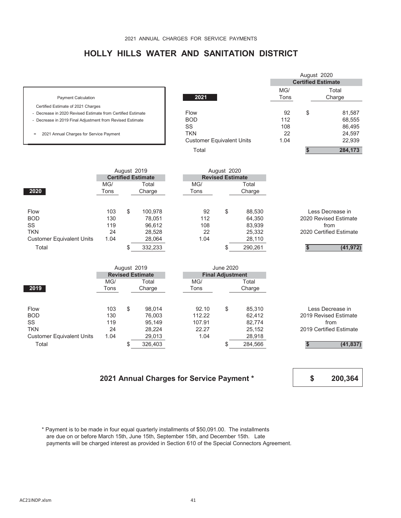## **HOLLY HILLS WATER AND SANITATION DISTRICT**

|                                                             |                                  |      | August 2020               |         |
|-------------------------------------------------------------|----------------------------------|------|---------------------------|---------|
|                                                             |                                  |      | <b>Certified Estimate</b> |         |
|                                                             |                                  | MG/  |                           | Total   |
| <b>Payment Calculation</b>                                  | 2021                             | Tons |                           | Charge  |
| Certified Estimate of 2021 Charges                          |                                  |      |                           |         |
| - Decrease in 2020 Revised Estimate from Certified Estimate | Flow                             | 92   | \$                        | 81,587  |
| - Decrease in 2019 Final Adjustment from Revised Estimate   | <b>BOD</b>                       | 112  |                           | 68,555  |
|                                                             | SS                               | 108  |                           | 86,495  |
| 2021 Annual Charges for Service Payment<br>$=$              | <b>TKN</b>                       | 22   |                           | 24,597  |
|                                                             | <b>Customer Equivalent Units</b> | 1.04 |                           | 22,939  |
|                                                             | Total                            |      |                           | 284.173 |

|                                  | August 2019 |    |                           |      | August 2020             |         |  |                         |
|----------------------------------|-------------|----|---------------------------|------|-------------------------|---------|--|-------------------------|
|                                  |             |    | <b>Certified Estimate</b> |      | <b>Revised Estimate</b> |         |  |                         |
|                                  | MG/         |    | Total                     | MG/  |                         | Total   |  |                         |
| 2020                             | Tons        |    | Charge                    | Tons |                         | Charge  |  |                         |
|                                  |             |    |                           |      |                         |         |  |                         |
| <b>Flow</b>                      | 103         | \$ | 100,978                   | 92   | \$                      | 88,530  |  | Less Decrease in        |
| <b>BOD</b>                       | 130         |    | 78.051                    | 112  |                         | 64,350  |  | 2020 Revised Estimate   |
| SS                               | 119         |    | 96.612                    | 108  |                         | 83,939  |  | from                    |
| <b>TKN</b>                       | 24          |    | 28,528                    | 22   |                         | 25,332  |  | 2020 Certified Estimate |
| <b>Customer Equivalent Units</b> | 1.04        |    | 28,064                    | 1.04 |                         | 28,110  |  |                         |
| Total                            |             |    | 332,233                   |      |                         | 290,261 |  | (41, 972)               |
|                                  |             |    |                           |      |                         |         |  |                         |

|                                  |                         | August 2019 |         |  |        | <b>June 2020</b>        |         |                         |
|----------------------------------|-------------------------|-------------|---------|--|--------|-------------------------|---------|-------------------------|
|                                  | <b>Revised Estimate</b> |             |         |  |        | <b>Final Adjustment</b> |         |                         |
|                                  | MG/                     |             | Total   |  | MG/    |                         | Total   |                         |
| 2019                             | Tons                    |             | Charge  |  | Tons   |                         | Charge  |                         |
|                                  |                         |             |         |  |        |                         |         |                         |
| <b>Flow</b>                      | 103                     | \$          | 98.014  |  | 92.10  | \$                      | 85,310  | Less Decrease in        |
| <b>BOD</b>                       | 130                     |             | 76,003  |  | 112.22 |                         | 62,412  | 2019 Revised Estimate   |
| SS                               | 119                     |             | 95.149  |  | 107.91 |                         | 82,774  | from                    |
| <b>TKN</b>                       | 24                      |             | 28,224  |  | 22.27  |                         | 25,152  | 2019 Certified Estimate |
| <b>Customer Equivalent Units</b> | 1.04                    |             | 29,013  |  | 1.04   |                         | 28,918  |                         |
| Total                            |                         |             | 326,403 |  |        |                         | 284,566 | (41, 837)               |

## **2021 Annual Charges for Service Payment \***

**\$ 200,364**

 \* Payment is to be made in four equal quarterly installments of \$50,091.00. The installments are due on or before March 15th, June 15th, September 15th, and December 15th. Late payments will be charged interest as provided in Section 610 of the Special Connectors Agreement.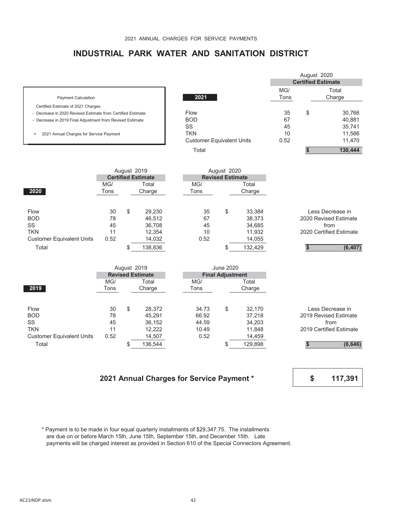## **INDUSTRIAL PARK WATER AND SANITATION DISTRICT**

|                                                             |                                  |      | August 2020 |                           |
|-------------------------------------------------------------|----------------------------------|------|-------------|---------------------------|
|                                                             |                                  |      |             | <b>Certified Estimate</b> |
|                                                             |                                  | MG/  |             | Total                     |
| <b>Payment Calculation</b>                                  | 2021                             | Tons |             | Charge                    |
| Certified Estimate of 2021 Charges                          |                                  |      |             |                           |
| - Decrease in 2020 Revised Estimate from Certified Estimate | Flow                             | 35   | \$          | 30,766                    |
| - Decrease in 2019 Final Adjustment from Revised Estimate   | <b>BOD</b>                       | 67   |             | 40,881                    |
|                                                             | SS                               | 45   |             | 35,741                    |
| 2021 Annual Charges for Service Payment<br>$=$              | <b>TKN</b>                       | 10   |             | 11,586                    |
|                                                             | <b>Customer Equivalent Units</b> | 0.52 |             | 11,470                    |
|                                                             |                                  |      | 130,444     |                           |

|                                  |                           | August 2019 |         |      | August 2020             |         |                         |
|----------------------------------|---------------------------|-------------|---------|------|-------------------------|---------|-------------------------|
|                                  | <b>Certified Estimate</b> |             |         |      | <b>Revised Estimate</b> |         |                         |
|                                  | MG/                       |             | Total   | MG/  |                         | Total   |                         |
| 2020                             | Tons                      |             | Charge  | Tons |                         | Charge  |                         |
|                                  |                           |             |         |      |                         |         |                         |
| <b>Flow</b>                      | 30                        | \$          | 29,230  | 35   | \$                      | 33,384  | Less Decrease in        |
| <b>BOD</b>                       | 78                        |             | 46.512  | 67   |                         | 38,373  | 2020 Revised Estimate   |
| SS                               | 45                        |             | 36,708  | 45   |                         | 34,685  | from                    |
| <b>TKN</b>                       | 11                        |             | 12,354  | 10   |                         | 11,932  | 2020 Certified Estimate |
| <b>Customer Equivalent Units</b> | 0.52                      |             | 14,032  | 0.52 |                         | 14,055  |                         |
| Total                            |                           |             | 138,836 |      |                         | 132,429 | (6, 407)                |
|                                  |                           |             |         |      |                         |         |                         |

|                                  |      | August 2019 |                         |       | June 2020               |         |                         |
|----------------------------------|------|-------------|-------------------------|-------|-------------------------|---------|-------------------------|
|                                  |      |             | <b>Revised Estimate</b> |       | <b>Final Adjustment</b> |         |                         |
|                                  | MG/  |             | Total                   | MG/   |                         | Total   |                         |
| 2019                             | Tons |             | Charge                  | Tons  |                         | Charge  |                         |
|                                  |      |             |                         |       |                         |         |                         |
| Flow                             | 30   | \$          | 28,372                  | 34.73 | \$                      | 32,170  | Less Decrease in        |
| <b>BOD</b>                       | 78   |             | 45.291                  | 66.92 |                         | 37.218  | 2019 Revised Estimate   |
| SS                               | 45   |             | 36,152                  | 44.59 |                         | 34,203  | from                    |
| <b>TKN</b>                       | 11   |             | 12,222                  | 10.49 |                         | 11,848  | 2019 Certified Estimate |
| <b>Customer Equivalent Units</b> | 0.52 |             | 14,507                  | 0.52  |                         | 14,459  |                         |
| Total                            |      |             | 136,544                 |       |                         | 129,898 | (6, 646)                |

## **2021 Annual Charges for Service Payment \***



 \* Payment is to be made in four equal quarterly installments of \$29,347.75. The installments are due on or before March 15th, June 15th, September 15th, and December 15th. Late payments will be charged interest as provided in Section 610 of the Special Connectors Agreement.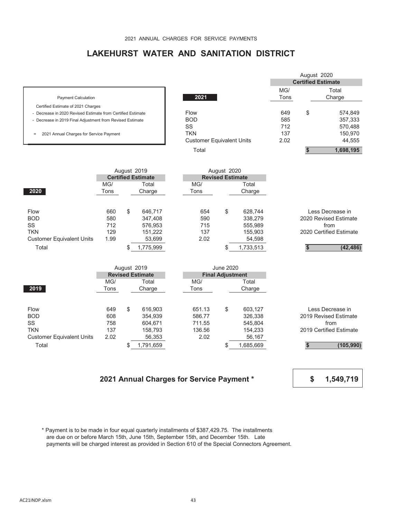## **LAKEHURST WATER AND SANITATION DISTRICT**

|                                                             |                                  |      | August 2020 |                           |  |  |
|-------------------------------------------------------------|----------------------------------|------|-------------|---------------------------|--|--|
|                                                             |                                  |      |             | <b>Certified Estimate</b> |  |  |
|                                                             |                                  | MG/  |             | Total                     |  |  |
| <b>Payment Calculation</b>                                  | 2021                             | Tons |             | Charge                    |  |  |
| Certified Estimate of 2021 Charges                          |                                  |      |             |                           |  |  |
| - Decrease in 2020 Revised Estimate from Certified Estimate | Flow                             | 649  | \$          | 574,849                   |  |  |
| - Decrease in 2019 Final Adjustment from Revised Estimate   | <b>BOD</b>                       | 585  |             | 357,333                   |  |  |
|                                                             | SS                               | 712  |             | 570.488                   |  |  |
| 2021 Annual Charges for Service Payment<br>$=$              | <b>TKN</b>                       | 137  |             | 150,970                   |  |  |
|                                                             | <b>Customer Equivalent Units</b> | 2.02 |             | 44,555                    |  |  |
|                                                             | Total                            |      |             | 1,698,195                 |  |  |

|                                  |      |    | August 2019               |      | August 2020             |           |                         |
|----------------------------------|------|----|---------------------------|------|-------------------------|-----------|-------------------------|
|                                  |      |    | <b>Certified Estimate</b> |      | <b>Revised Estimate</b> |           |                         |
|                                  | MG/  |    | Total                     | MG/  |                         | Total     |                         |
| 2020                             | Tons |    | Charge                    | Tons |                         | Charge    |                         |
|                                  |      |    |                           |      |                         |           |                         |
| <b>Flow</b>                      | 660  | \$ | 646.717                   | 654  | \$                      | 628.744   | Less Decrease in        |
| <b>BOD</b>                       | 580  |    | 347,408                   | 590  |                         | 338.279   | 2020 Revised Estimate   |
| SS                               | 712  |    | 576,953                   | 715  |                         | 555.989   | from                    |
| <b>TKN</b>                       | 129  |    | 151,222                   | 137  |                         | 155,903   | 2020 Certified Estimate |
| <b>Customer Equivalent Units</b> | 1.99 |    | 53,699                    | 2.02 |                         | 54,598    |                         |
| Total                            |      |    | 1,775,999                 |      |                         | 1,733,513 | (42, 486)               |
|                                  |      |    |                           |      |                         |           |                         |

|                                  | August 2019             |    |           |  |        | June 2020               |           |                         |
|----------------------------------|-------------------------|----|-----------|--|--------|-------------------------|-----------|-------------------------|
|                                  | <b>Revised Estimate</b> |    |           |  |        | <b>Final Adjustment</b> |           |                         |
|                                  | MG/                     |    | Total     |  | MG/    |                         | Total     |                         |
| 2019                             | Tons                    |    | Charge    |  | Tons   |                         | Charge    |                         |
|                                  |                         |    |           |  |        |                         |           |                         |
| Flow                             | 649                     | \$ | 616.903   |  | 651.13 | \$                      | 603,127   | Less Decrease in        |
| <b>BOD</b>                       | 608                     |    | 354,939   |  | 586.77 |                         | 326,338   | 2019 Revised Estimate   |
| SS                               | 758                     |    | 604,671   |  | 711.55 |                         | 545,804   | from                    |
| <b>TKN</b>                       | 137                     |    | 158.793   |  | 136.56 |                         | 154.233   | 2019 Certified Estimate |
| <b>Customer Equivalent Units</b> | 2.02                    |    | 56,353    |  | 2.02   |                         | 56,167    |                         |
| Total                            |                         |    | 1,791,659 |  |        |                         | 1,685,669 | (105, 990)              |

## **2021 Annual Charges for Service Payment \***

**\$ 1,549,719**

 \* Payment is to be made in four equal quarterly installments of \$387,429.75. The installments are due on or before March 15th, June 15th, September 15th, and December 15th. Late payments will be charged interest as provided in Section 610 of the Special Connectors Agreement.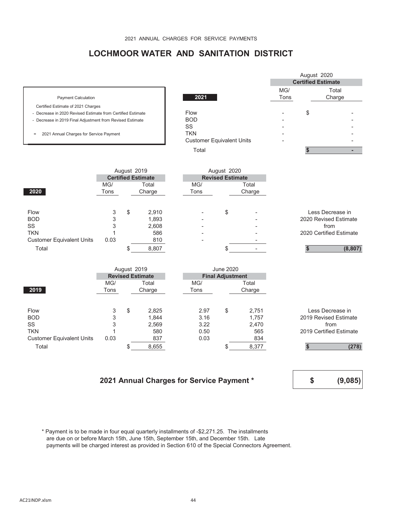## **LOCHMOOR WATER AND SANITATION DISTRICT**

|                                                             |                                  |                          | August 2020 |                           |
|-------------------------------------------------------------|----------------------------------|--------------------------|-------------|---------------------------|
|                                                             |                                  |                          |             | <b>Certified Estimate</b> |
|                                                             |                                  | MG/                      |             | Total                     |
| <b>Payment Calculation</b>                                  | 2021                             | Tons                     |             | Charge                    |
| Certified Estimate of 2021 Charges                          |                                  |                          |             |                           |
| - Decrease in 2020 Revised Estimate from Certified Estimate | <b>Flow</b>                      |                          | \$          |                           |
| - Decrease in 2019 Final Adjustment from Revised Estimate   | <b>BOD</b>                       | $\overline{\phantom{a}}$ |             |                           |
|                                                             | SS                               |                          |             |                           |
| 2021 Annual Charges for Service Payment<br>$\equiv$         | <b>TKN</b>                       |                          |             |                           |
|                                                             | <b>Customer Equivalent Units</b> |                          |             |                           |
|                                                             | Total                            |                          |             |                           |
|                                                             |                                  |                          |             |                           |

| <b>Certified Estimate</b> |    |        |             |                                |                                        |
|---------------------------|----|--------|-------------|--------------------------------|----------------------------------------|
| MG/                       |    | Total  | MG/         | Total                          |                                        |
| Tons                      |    | Charge | Tons        | Charge                         |                                        |
|                           |    |        |             |                                |                                        |
| 3                         | \$ | 2,910  |             | \$<br>$\overline{\phantom{a}}$ | Less Decrease in                       |
| 3                         |    | 1,893  |             | ۰                              | 2020 Revised Estimate                  |
| 3                         |    | 2,608  |             | $\overline{\phantom{0}}$       | from                                   |
|                           |    | 586    |             | -                              | 2020 Certified Estimate                |
| 0.03                      |    | 810    | -           | -                              |                                        |
|                           |    | 8,807  |             |                                | (8, 807)                               |
|                           |    |        | August 2019 |                                | August 2020<br><b>Revised Estimate</b> |

|                                  | August 2019             |    |        | <b>June 2020</b> |                         |        |                         |
|----------------------------------|-------------------------|----|--------|------------------|-------------------------|--------|-------------------------|
|                                  | <b>Revised Estimate</b> |    |        |                  | <b>Final Adjustment</b> |        |                         |
|                                  | MG/                     |    | Total  | MG/              |                         | Total  |                         |
| 2019                             | Tons                    |    | Charge | Tons             |                         | Charge |                         |
|                                  |                         |    |        |                  |                         |        |                         |
| Flow                             | 3                       | \$ | 2,825  | 2.97             | \$                      | 2.751  | Less Decrease in        |
| <b>BOD</b>                       | 3                       |    | 1.844  | 3.16             |                         | 1.757  | 2019 Revised Estimate   |
| SS                               | 3                       |    | 2,569  | 3.22             |                         | 2,470  | from                    |
| <b>TKN</b>                       |                         |    | 580    | 0.50             |                         | 565    | 2019 Certified Estimate |
| <b>Customer Equivalent Units</b> | 0.03                    |    | 837    | 0.03             |                         | 834    |                         |
| Total                            |                         |    | 8,655  |                  |                         | 8,377  | (278)                   |

## **2021 Annual Charges for Service Payment \***

**\$ (9,085)**

 \* Payment is to be made in four equal quarterly installments of -\$2,271.25. The installments are due on or before March 15th, June 15th, September 15th, and December 15th. Late payments will be charged interest as provided in Section 610 of the Special Connectors Agreement.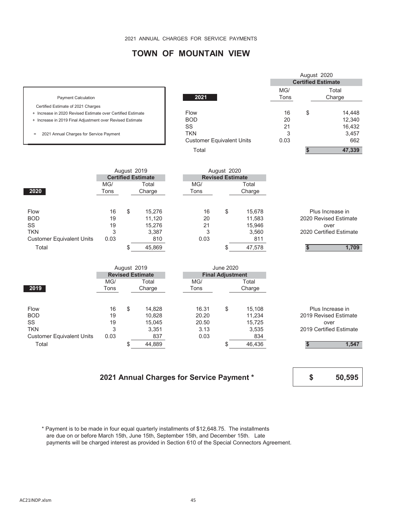# **TOWN OF MOUNTAIN VIEW**

|                                                             |                                  |             | <b>Certified Estimate</b> |
|-------------------------------------------------------------|----------------------------------|-------------|---------------------------|
| <b>Payment Calculation</b>                                  | 2021                             | MG/<br>Tons | Total<br>Charge           |
| Certified Estimate of 2021 Charges                          |                                  |             |                           |
| + Increase in 2020 Revised Estimate over Certified Estimate | Flow                             | 16          | \$<br>14.448              |
| + Increase in 2019 Final Adjustment over Revised Estimate   | <b>BOD</b>                       | 20          | 12,340                    |
|                                                             | SS                               | 21          | 16,432                    |
| 2021 Annual Charges for Service Payment<br>$\equiv$         | <b>TKN</b>                       | 3           | 3,457                     |
|                                                             | <b>Customer Equivalent Units</b> | 0.03        | 662                       |
|                                                             | Total                            |             | 47,339                    |

|                                  | August 2019<br><b>Certified Estimate</b> |    |        |      | August 2020<br><b>Revised Estimate</b> |        |                         |
|----------------------------------|------------------------------------------|----|--------|------|----------------------------------------|--------|-------------------------|
|                                  | MG/                                      |    | Total  | MG/  |                                        | Total  |                         |
| 2020                             | Tons                                     |    | Charge | Tons |                                        | Charge |                         |
|                                  |                                          |    |        |      |                                        |        |                         |
| Flow                             | 16                                       | \$ | 15,276 | 16   | \$                                     | 15,678 | Plus Increase in        |
| <b>BOD</b>                       | 19                                       |    | 11,120 | 20   |                                        | 11,583 | 2020 Revised Estimate   |
| <b>SS</b>                        | 19                                       |    | 15,276 | 21   |                                        | 15,946 | over                    |
| <b>TKN</b>                       | 3                                        |    | 3,387  | 3    |                                        | 3,560  | 2020 Certified Estimate |
| <b>Customer Equivalent Units</b> | 0.03                                     |    | 810    | 0.03 |                                        | 811    |                         |
| Total                            |                                          |    | 45,869 |      |                                        | 47,578 | 1,709                   |

|                                  | August 2019             |    | <b>June 2020</b> |       |                         |        |                         |
|----------------------------------|-------------------------|----|------------------|-------|-------------------------|--------|-------------------------|
|                                  | <b>Revised Estimate</b> |    |                  |       | <b>Final Adjustment</b> |        |                         |
|                                  | MG/                     |    | Total            | MG/   |                         | Total  |                         |
| 2019                             | Tons                    |    | Charge           | Tons  |                         | Charge |                         |
|                                  |                         |    |                  |       |                         |        |                         |
| Flow                             | 16                      | \$ | 14.828           | 16.31 | \$                      | 15,108 | Plus Increase in        |
| <b>BOD</b>                       | 19                      |    | 10,828           | 20.20 |                         | 11.234 | 2019 Revised Estimate   |
| SS                               | 19                      |    | 15.045           | 20.50 |                         | 15,725 | over                    |
| <b>TKN</b>                       | 3                       |    | 3,351            | 3.13  |                         | 3,535  | 2019 Certified Estimate |
| <b>Customer Equivalent Units</b> | 0.03                    |    | 837              | 0.03  |                         | 834    |                         |
| Total                            |                         |    | 44,889           |       |                         | 46,436 | 1,547                   |

### **2021 Annual Charges for Service Payment \***

**\$ 50,595**

August 2020

 \* Payment is to be made in four equal quarterly installments of \$12,648.75. The installments are due on or before March 15th, June 15th, September 15th, and December 15th. Late payments will be charged interest as provided in Section 610 of the Special Connectors Agreement.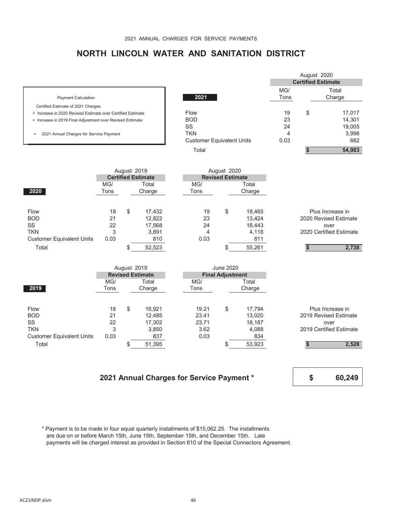## **NORTH LINCOLN WATER AND SANITATION DISTRICT**

|                                                             |                                  |      | August 2020 |                           |  |
|-------------------------------------------------------------|----------------------------------|------|-------------|---------------------------|--|
|                                                             |                                  |      |             | <b>Certified Estimate</b> |  |
|                                                             |                                  | MG/  |             | Total                     |  |
| <b>Payment Calculation</b>                                  | 2021                             | Tons |             | Charge                    |  |
| Certified Estimate of 2021 Charges                          |                                  |      |             |                           |  |
| + Increase in 2020 Revised Estimate over Certified Estimate | Flow                             | 19   | \$          | 17,017                    |  |
| + Increase in 2019 Final Adjustment over Revised Estimate   | <b>BOD</b>                       | 23   |             | 14,301                    |  |
|                                                             | SS                               | 24   |             | 19,005                    |  |
| 2021 Annual Charges for Service Payment<br>$\equiv$         | <b>TKN</b>                       | 4    |             | 3,998                     |  |
|                                                             | <b>Customer Equivalent Units</b> | 0.03 |             | 662                       |  |
|                                                             | Total                            |      |             | 54,983                    |  |

|                                  |                           | August 2019 |        |      | August 2020             |        |                         |
|----------------------------------|---------------------------|-------------|--------|------|-------------------------|--------|-------------------------|
|                                  | <b>Certified Estimate</b> |             |        |      | <b>Revised Estimate</b> |        |                         |
|                                  | MG/                       |             | Total  | MG/  |                         | Total  |                         |
| 2020                             | Tons                      |             | Charge | Tons |                         | Charge |                         |
|                                  |                           |             |        |      |                         |        |                         |
| Flow                             | 18                        | \$          | 17,432 | 19   | \$                      | 18,465 | Plus Increase in        |
| <b>BOD</b>                       | 21                        |             | 12,822 | 23   |                         | 13.424 | 2020 Revised Estimate   |
| SS                               | 22                        |             | 17,568 | 24   |                         | 18,443 | over                    |
| <b>TKN</b>                       | 3                         |             | 3,891  | 4    |                         | 4,118  | 2020 Certified Estimate |
| <b>Customer Equivalent Units</b> | 0.03                      |             | 810    | 0.03 |                         | 811    |                         |
| Total                            |                           |             | 52,523 |      |                         | 55,261 | 2,738                   |

| August 2019                      |                         |    |        |       | <b>June 2020</b>        |        |                         |
|----------------------------------|-------------------------|----|--------|-------|-------------------------|--------|-------------------------|
|                                  | <b>Revised Estimate</b> |    |        |       | <b>Final Adjustment</b> |        |                         |
|                                  | MG/                     |    | Total  | MG/   |                         | Total  |                         |
| 2019                             | Tons                    |    | Charge | Tons  |                         | Charge |                         |
|                                  |                         |    |        |       |                         |        |                         |
| Flow                             | 18                      | \$ | 16.921 | 19.21 | \$                      | 17.794 | Plus Increase in        |
| <b>BOD</b>                       | 21                      |    | 12,485 | 23.41 |                         | 13,020 | 2019 Revised Estimate   |
| SS                               | 22                      |    | 17,302 | 23.71 |                         | 18.187 | over                    |
| <b>TKN</b>                       | 3                       |    | 3,850  | 3.62  |                         | 4,088  | 2019 Certified Estimate |
| <b>Customer Equivalent Units</b> | 0.03                    |    | 837    | 0.03  |                         | 834    |                         |
| Total                            |                         |    | 51,395 |       |                         | 53,923 | 2,528                   |

### **2021 Annual Charges for Service Payment \***

**\$ 60,249**

 \* Payment is to be made in four equal quarterly installments of \$15,062.25. The installments are due on or before March 15th, June 15th, September 15th, and December 15th. Late payments will be charged interest as provided in Section 610 of the Special Connectors Agreement.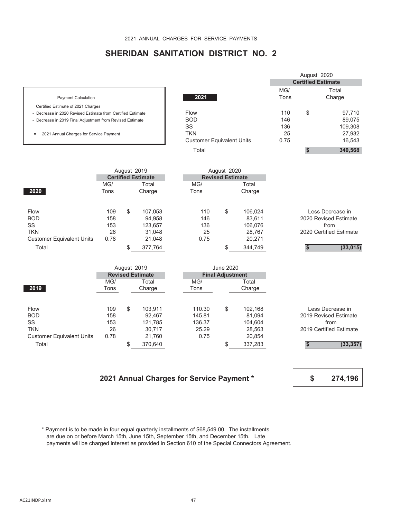## **SHERIDAN SANITATION DISTRICT NO. 2**

|                                                             |                                  |             | <b>Certified Estimate</b> |
|-------------------------------------------------------------|----------------------------------|-------------|---------------------------|
| <b>Payment Calculation</b>                                  | 2021                             | MG/<br>Tons | Total<br>Charge           |
| Certified Estimate of 2021 Charges                          |                                  |             |                           |
| - Decrease in 2020 Revised Estimate from Certified Estimate | Flow                             | 110         | \$<br>97,710              |
| - Decrease in 2019 Final Adjustment from Revised Estimate   | <b>BOD</b>                       | 146         | 89,075                    |
|                                                             | SS                               | 136         | 109,308                   |
| 2021 Annual Charges for Service Payment<br>$\equiv$         | <b>TKN</b>                       | 25          | 27,932                    |
|                                                             | <b>Customer Equivalent Units</b> | 0.75        | 16,543                    |
|                                                             | Total                            |             | 340,568                   |

|                                  | August 2019<br><b>Certified Estimate</b> |    |                   |             | August 2020<br><b>Revised Estimate</b> |                   |                                           |
|----------------------------------|------------------------------------------|----|-------------------|-------------|----------------------------------------|-------------------|-------------------------------------------|
| 2020                             | MG/<br>Tons                              |    | Total<br>Charge   | MG/<br>Tons |                                        | Total<br>Charge   |                                           |
| Flow<br><b>BOD</b>               | 109<br>158                               | \$ | 107,053<br>94,958 | 110<br>146  | \$                                     | 106.024<br>83,611 | Less Decrease in<br>2020 Revised Estimate |
| SS<br><b>TKN</b>                 | 153<br>26                                |    | 123,657<br>31.048 | 136<br>25   |                                        | 106,076<br>28,767 | from<br>2020 Certified Estimate           |
| <b>Customer Equivalent Units</b> | 0.78                                     |    | 21,048            | 0.75        |                                        | 20,271            |                                           |
| Total                            |                                          |    | 377,764           |             |                                        | 344,749           | (33,015)                                  |

|                                  | August 2019 |    |                         |  |        | <b>June 2020</b>        |         |                         |
|----------------------------------|-------------|----|-------------------------|--|--------|-------------------------|---------|-------------------------|
|                                  |             |    | <b>Revised Estimate</b> |  |        | <b>Final Adjustment</b> |         |                         |
|                                  | MG/         |    | Total                   |  | MG/    |                         | Total   |                         |
| 2019                             | Tons        |    | Charge                  |  | Tons   |                         | Charge  |                         |
|                                  |             |    |                         |  |        |                         |         |                         |
| <b>Flow</b>                      | 109         | \$ | 103.911                 |  | 110.30 | \$                      | 102.168 | Less Decrease in        |
| <b>BOD</b>                       | 158         |    | 92.467                  |  | 145.81 |                         | 81.094  | 2019 Revised Estimate   |
| SS                               | 153         |    | 121.785                 |  | 136.37 |                         | 104.604 | from                    |
| <b>TKN</b>                       | 26          |    | 30.717                  |  | 25.29  |                         | 28,563  | 2019 Certified Estimate |
| <b>Customer Equivalent Units</b> | 0.78        |    | 21,760                  |  | 0.75   |                         | 20,854  |                         |
| Total                            |             |    | 370,640                 |  |        |                         | 337,283 | (33, 357)               |

## **2021 Annual Charges for Service Payment \***

**\$ 274,196**

August 2020

 \* Payment is to be made in four equal quarterly installments of \$68,549.00. The installments are due on or before March 15th, June 15th, September 15th, and December 15th. Late payments will be charged interest as provided in Section 610 of the Special Connectors Agreement.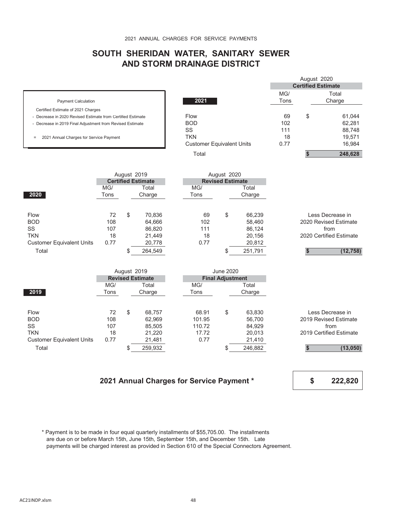## **SOUTH SHERIDAN WATER, SANITARY SEWER AND STORM DRAINAGE DISTRICT**

|                                                             |                                  |      | August 2020               |         |  |  |
|-------------------------------------------------------------|----------------------------------|------|---------------------------|---------|--|--|
|                                                             |                                  |      | <b>Certified Estimate</b> |         |  |  |
|                                                             |                                  | MG/  |                           | Total   |  |  |
| <b>Payment Calculation</b>                                  | 2021                             | Tons |                           | Charge  |  |  |
| Certified Estimate of 2021 Charges                          |                                  |      |                           |         |  |  |
| - Decrease in 2020 Revised Estimate from Certified Estimate | <b>Flow</b>                      | 69   | \$                        | 61,044  |  |  |
| - Decrease in 2019 Final Adjustment from Revised Estimate   | <b>BOD</b>                       | 102  |                           | 62,281  |  |  |
|                                                             | SS                               | 111  |                           | 88,748  |  |  |
| 2021 Annual Charges for Service Payment<br>$\equiv$         | <b>TKN</b>                       | 18   |                           | 19,571  |  |  |
|                                                             | <b>Customer Equivalent Units</b> | 0.77 |                           | 16,984  |  |  |
|                                                             | Total                            |      |                           | 248,628 |  |  |
|                                                             |                                  |      |                           |         |  |  |

| <b>Certified Estimate</b><br><b>Revised Estimate</b>                        |           |
|-----------------------------------------------------------------------------|-----------|
| MG/<br>MG/<br>Total<br>Total                                                |           |
| 2020<br>Charge<br>Charge<br>Tons<br>Tons                                    |           |
|                                                                             |           |
| 70.836<br>69<br>72<br>\$<br>66,239<br>Less Decrease in<br><b>Flow</b><br>\$ |           |
| <b>BOD</b><br>108<br>102<br>64,666<br>2020 Revised Estimate<br>58,460       |           |
| SS<br>107<br>86,820<br>111<br>86,124<br>from                                |           |
| <b>TKN</b><br>21,449<br>18<br>2020 Certified Estimate<br>18<br>20,156       |           |
| <b>Customer Equivalent Units</b><br>0.77<br>0.77<br>20,778<br>20,812        |           |
| 264,549<br>251,791<br>Total                                                 | (12, 758) |

|                                  | August 2019             |    |         |  |        | June 2020               |         |                         |
|----------------------------------|-------------------------|----|---------|--|--------|-------------------------|---------|-------------------------|
|                                  | <b>Revised Estimate</b> |    |         |  |        | <b>Final Adjustment</b> |         |                         |
|                                  | MG/                     |    | Total   |  | MG/    |                         | Total   |                         |
| 2019                             | Tons                    |    | Charge  |  | Tons   |                         | Charge  |                         |
|                                  |                         |    |         |  |        |                         |         |                         |
| <b>Flow</b>                      | 72                      | \$ | 68.757  |  | 68.91  | \$                      | 63,830  | Less Decrease in        |
| <b>BOD</b>                       | 108                     |    | 62.969  |  | 101.95 |                         | 56.700  | 2019 Revised Estimate   |
| <b>SS</b>                        | 107                     |    | 85.505  |  | 110.72 |                         | 84.929  | from                    |
| <b>TKN</b>                       | 18                      |    | 21,220  |  | 17.72  |                         | 20,013  | 2019 Certified Estimate |
| <b>Customer Equivalent Units</b> | 0.77                    |    | 21,481  |  | 0.77   |                         | 21,410  |                         |
| Total                            |                         |    | 259,932 |  |        |                         | 246,882 | (13,050)                |

### **2021 Annual Charges for Service Payment \***

**\$ 222,820**

 \* Payment is to be made in four equal quarterly installments of \$55,705.00. The installments are due on or before March 15th, June 15th, September 15th, and December 15th. Late payments will be charged interest as provided in Section 610 of the Special Connectors Agreement.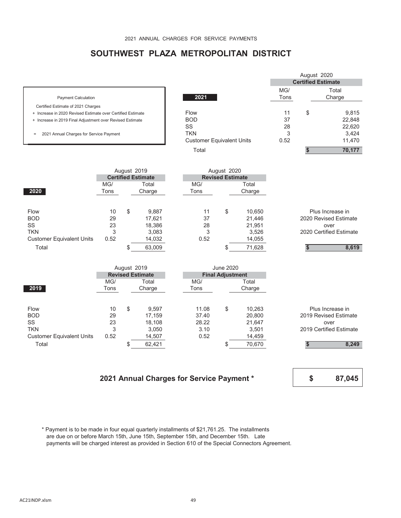## **SOUTHWEST PLAZA METROPOLITAN DISTRICT**

- 
- 
- 

|                                                             |                                  |      | August 2020               |        |
|-------------------------------------------------------------|----------------------------------|------|---------------------------|--------|
|                                                             |                                  |      | <b>Certified Estimate</b> |        |
|                                                             |                                  | MG/  |                           | Total  |
| <b>Payment Calculation</b>                                  | 2021                             | Tons |                           | Charge |
| Certified Estimate of 2021 Charges                          |                                  |      |                           |        |
| + Increase in 2020 Revised Estimate over Certified Estimate | Flow                             | 11   | \$                        | 9.815  |
| + Increase in 2019 Final Adjustment over Revised Estimate   | <b>BOD</b>                       | 37   |                           | 22,848 |
|                                                             | SS                               | 28   |                           | 22,620 |
| 2021 Annual Charges for Service Payment<br>$\equiv$         | <b>TKN</b>                       | 3    |                           | 3.424  |
|                                                             | <b>Customer Equivalent Units</b> | 0.52 |                           | 11,470 |
|                                                             | Total                            |      |                           | 70,177 |
|                                                             |                                  |      |                           |        |

|                                  | August 2019<br><b>Certified Estimate</b> |   |        |      | August 2020             |        |                         |
|----------------------------------|------------------------------------------|---|--------|------|-------------------------|--------|-------------------------|
|                                  |                                          |   |        |      | <b>Revised Estimate</b> |        |                         |
|                                  | MG/                                      |   | Total  | MG/  |                         | Total  |                         |
| 2020                             | Tons                                     |   | Charge | Tons |                         | Charge |                         |
|                                  |                                          |   |        |      |                         |        |                         |
| Flow                             | 10                                       | S | 9,887  | 11   | \$                      | 10,650 | Plus Increase in        |
| <b>BOD</b>                       | 29                                       |   | 17,621 | 37   |                         | 21,446 | 2020 Revised Estimate   |
| <b>SS</b>                        | 23                                       |   | 18,386 | 28   |                         | 21,951 | over                    |
| <b>TKN</b>                       | 3                                        |   | 3,083  | 3    |                         | 3,526  | 2020 Certified Estimate |
| <b>Customer Equivalent Units</b> | 0.52                                     |   | 14,032 | 0.52 |                         | 14,055 |                         |
| Total                            |                                          |   | 63,009 |      |                         | 71,628 | 8,619                   |
|                                  |                                          |   |        |      |                         |        |                         |

| August 2019                      |                         |    |        |                         |       | <b>June 2020</b> |        |                         |
|----------------------------------|-------------------------|----|--------|-------------------------|-------|------------------|--------|-------------------------|
|                                  | <b>Revised Estimate</b> |    |        | <b>Final Adjustment</b> |       |                  |        |                         |
|                                  | MG/                     |    | Total  |                         | MG/   |                  | Total  |                         |
| 2019                             | Tons                    |    | Charge |                         | Tons  |                  | Charge |                         |
|                                  |                         |    |        |                         |       |                  |        |                         |
| <b>Flow</b>                      | 10                      | \$ | 9,597  |                         | 11.08 | \$               | 10,263 | Plus Increase in        |
| <b>BOD</b>                       | 29                      |    | 17.159 |                         | 37.40 |                  | 20,800 | 2019 Revised Estimate   |
| <b>SS</b>                        | 23                      |    | 18,108 |                         | 28.22 |                  | 21,647 | over                    |
| <b>TKN</b>                       | 3                       |    | 3,050  |                         | 3.10  |                  | 3,501  | 2019 Certified Estimate |
| <b>Customer Equivalent Units</b> | 0.52                    |    | 14,507 |                         | 0.52  |                  | 14,459 |                         |
| Total                            |                         |    | 62,421 |                         |       |                  | 70,670 | 8,249                   |

## **2021 Annual Charges for Service Payment \***



 \* Payment is to be made in four equal quarterly installments of \$21,761.25. The installments are due on or before March 15th, June 15th, September 15th, and December 15th. Late payments will be charged interest as provided in Section 610 of the Special Connectors Agreement.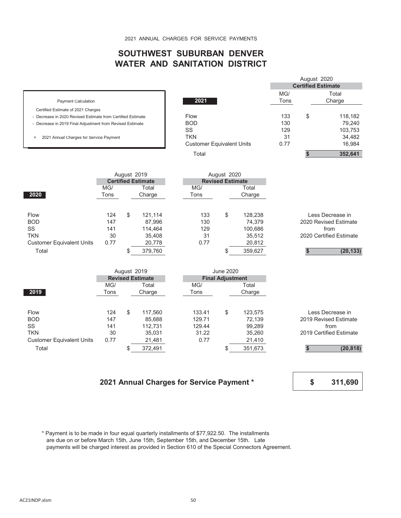# **SOUTHWEST SUBURBAN DENVER WATER AND SANITATION DISTRICT**

|                                                             |                                  |             | <b>Certified Estimate</b> |
|-------------------------------------------------------------|----------------------------------|-------------|---------------------------|
| <b>Payment Calculation</b>                                  | 2021                             | MG/<br>Tons | Total<br>Charge           |
| Certified Estimate of 2021 Charges                          |                                  |             |                           |
| - Decrease in 2020 Revised Estimate from Certified Estimate | Flow                             | 133         | \$<br>118,182             |
| - Decrease in 2019 Final Adjustment from Revised Estimate   | <b>BOD</b>                       | 130         | 79.240                    |
|                                                             | SS                               | 129         | 103,753                   |
| 2021 Annual Charges for Service Payment<br>$=$              | <b>TKN</b>                       | 31          | 34,482                    |
|                                                             | <b>Customer Equivalent Units</b> | 0.77        | 16.984                    |
|                                                             | Total                            |             | 352,641                   |

| August 2019                      |                           |    |         |  |      | August 2020             |         |                         |
|----------------------------------|---------------------------|----|---------|--|------|-------------------------|---------|-------------------------|
|                                  | <b>Certified Estimate</b> |    |         |  |      | <b>Revised Estimate</b> |         |                         |
|                                  | MG/                       |    | Total   |  | MG/  |                         | Total   |                         |
| 2020                             | Tons                      |    | Charge  |  | Tons |                         | Charge  |                         |
|                                  |                           |    |         |  |      |                         |         |                         |
| <b>Flow</b>                      | 124                       | \$ | 121.114 |  | 133  | \$                      | 128,238 | Less Decrease in        |
| <b>BOD</b>                       | 147                       |    | 87.996  |  | 130  |                         | 74.379  | 2020 Revised Estimate   |
| SS                               | 141                       |    | 114.464 |  | 129  |                         | 100.686 | from                    |
| <b>TKN</b>                       | 30                        |    | 35,408  |  | 31   |                         | 35,512  | 2020 Certified Estimate |
| <b>Customer Equivalent Units</b> | 0.77                      |    | 20,778  |  | 0.77 |                         | 20,812  |                         |
| Total                            |                           |    | 379,760 |  |      |                         | 359,627 | (20, 133)               |

|                                  | August 2019             |    | <b>June 2020</b> |        |                         |         |                         |
|----------------------------------|-------------------------|----|------------------|--------|-------------------------|---------|-------------------------|
|                                  | <b>Revised Estimate</b> |    |                  |        | <b>Final Adjustment</b> |         |                         |
|                                  | MG/                     |    | Total            | MG/    |                         | Total   |                         |
| 2019                             | Tons                    |    | Charge           | Tons   |                         | Charge  |                         |
|                                  |                         |    |                  |        |                         |         |                         |
| <b>Flow</b>                      | 124                     | \$ | 117.560          | 133.41 | \$                      | 123,575 | Less Decrease in        |
| <b>BOD</b>                       | 147                     |    | 85.688           | 129.71 |                         | 72.139  | 2019 Revised Estimate   |
| SS                               | 141                     |    | 112.731          | 129.44 |                         | 99,289  | from                    |
| <b>TKN</b>                       | 30                      |    | 35,031           | 31.22  |                         | 35,260  | 2019 Certified Estimate |
| <b>Customer Equivalent Units</b> | 0.77                    |    | 21,481           | 0.77   |                         | 21,410  |                         |
| Total                            |                         |    | 372,491          |        |                         | 351,673 | (20, 818)               |

## **2021 Annual Charges for Service Payment \***

**\$ 311,690**

August 2020

 \* Payment is to be made in four equal quarterly installments of \$77,922.50. The installments are due on or before March 15th, June 15th, September 15th, and December 15th. Late payments will be charged interest as provided in Section 610 of the Special Connectors Agreement.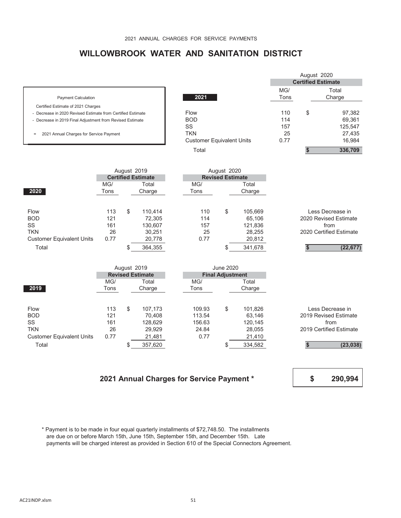## **WILLOWBROOK WATER AND SANITATION DISTRICT**

|                                                             |                                  |      | August 2020               |         |  |  |
|-------------------------------------------------------------|----------------------------------|------|---------------------------|---------|--|--|
|                                                             |                                  |      | <b>Certified Estimate</b> |         |  |  |
|                                                             |                                  | MG/  |                           | Total   |  |  |
| <b>Payment Calculation</b>                                  | 2021                             | Tons |                           | Charge  |  |  |
| Certified Estimate of 2021 Charges                          |                                  |      |                           |         |  |  |
| - Decrease in 2020 Revised Estimate from Certified Estimate | Flow                             | 110  | \$                        | 97,382  |  |  |
| - Decrease in 2019 Final Adjustment from Revised Estimate   | <b>BOD</b>                       | 114  |                           | 69,361  |  |  |
|                                                             | SS                               | 157  |                           | 125,547 |  |  |
| 2021 Annual Charges for Service Payment                     | <b>TKN</b>                       | 25   |                           | 27,435  |  |  |
|                                                             | <b>Customer Equivalent Units</b> | 0.77 |                           | 16.984  |  |  |
|                                                             | Total                            |      |                           | 336.709 |  |  |

|                                  | August 2019    |    |                           | August 2020 |                         |         |                         |
|----------------------------------|----------------|----|---------------------------|-------------|-------------------------|---------|-------------------------|
|                                  |                |    | <b>Certified Estimate</b> |             | <b>Revised Estimate</b> |         |                         |
|                                  | MG/            |    | Total                     | MG/         |                         | Total   |                         |
| 2020                             | Charge<br>Tons |    |                           | Tons        |                         | Charge  |                         |
| Flow                             | 113            | \$ | 110.414                   | 110         | \$                      | 105,669 | Less Decrease in        |
| <b>BOD</b>                       | 121            |    | 72,305                    | 114         |                         | 65,106  | 2020 Revised Estimate   |
| SS                               | 161            |    | 130,607                   | 157         |                         | 121,836 | from                    |
| <b>TKN</b>                       | 26             |    | 30.251                    | 25          |                         | 28.255  | 2020 Certified Estimate |
| <b>Customer Equivalent Units</b> | 0.77           |    | 20,778                    | 0.77        |                         | 20,812  |                         |
| Total                            |                |    | 364,355                   |             |                         | 341,678 | (22, 677)               |
|                                  |                |    |                           |             |                         |         |                         |

|                                  | August 2019 |    |                         |        | June 2020               |         |                         |
|----------------------------------|-------------|----|-------------------------|--------|-------------------------|---------|-------------------------|
|                                  |             |    | <b>Revised Estimate</b> |        | <b>Final Adjustment</b> |         |                         |
|                                  | MG/         |    | Total                   | MG/    |                         | Total   |                         |
| 2019                             | Tons        |    | Charge                  | Tons   |                         | Charge  |                         |
|                                  |             |    |                         |        |                         |         |                         |
| <b>Flow</b>                      | 113         | \$ | 107.173                 | 109.93 | \$                      | 101,826 | Less Decrease in        |
| <b>BOD</b>                       | 121         |    | 70.408                  | 113.54 |                         | 63,146  | 2019 Revised Estimate   |
| <b>SS</b>                        | 161         |    | 128,629                 | 156.63 |                         | 120,145 | from                    |
| <b>TKN</b>                       | 26          |    | 29,929                  | 24.84  |                         | 28,055  | 2019 Certified Estimate |
| <b>Customer Equivalent Units</b> | 0.77        |    | 21,481                  | 0.77   |                         | 21,410  |                         |
| Total                            |             |    | 357,620                 |        |                         | 334,582 | (23, 038)               |

## **2021 Annual Charges for Service Payment \***

**\$ 290,994**

 \* Payment is to be made in four equal quarterly installments of \$72,748.50. The installments are due on or before March 15th, June 15th, September 15th, and December 15th. Late payments will be charged interest as provided in Section 610 of the Special Connectors Agreement.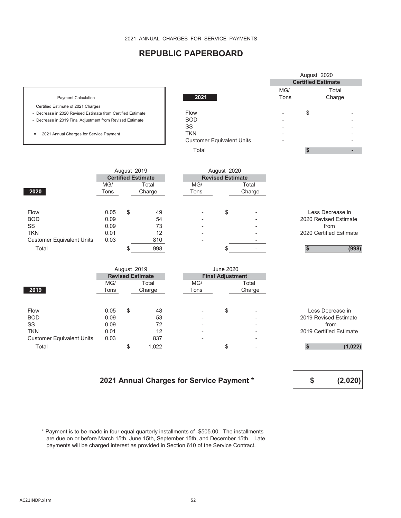## **REPUBLIC PAPERBOARD**

|                                                             |                                  |             | <b>Certified Estimate</b> |
|-------------------------------------------------------------|----------------------------------|-------------|---------------------------|
| <b>Payment Calculation</b>                                  | 2021                             | MG/<br>Tons | Total<br>Charge           |
| Certified Estimate of 2021 Charges                          |                                  |             |                           |
| - Decrease in 2020 Revised Estimate from Certified Estimate | Flow                             |             | \$                        |
| - Decrease in 2019 Final Adjustment from Revised Estimate   | <b>BOD</b>                       |             |                           |
|                                                             | SS                               |             |                           |
| 2021 Annual Charges for Service Payment<br>$\equiv$         | <b>TKN</b>                       |             |                           |
|                                                             | <b>Customer Equivalent Units</b> |             |                           |
|                                                             | Total                            |             |                           |

|                                  | August 2019    |    |                           |      | August 2020             |        |                         |
|----------------------------------|----------------|----|---------------------------|------|-------------------------|--------|-------------------------|
|                                  |                |    | <b>Certified Estimate</b> |      | <b>Revised Estimate</b> |        |                         |
|                                  | MG/            |    | Total                     | MG/  |                         | Total  |                         |
| 2020                             | Charge<br>Tons |    |                           | Tons |                         | Charge |                         |
|                                  |                |    |                           |      |                         |        |                         |
| Flow                             | 0.05           | \$ | 49                        |      | \$                      | -      | Less Decrease in        |
| <b>BOD</b>                       | 0.09           |    | 54                        |      |                         |        | 2020 Revised Estimate   |
| SS                               | 0.09           |    | 73                        |      |                         |        | from                    |
| <b>TKN</b>                       | 0.01           |    | 12                        |      |                         | -      | 2020 Certified Estimate |
| <b>Customer Equivalent Units</b> | 0.03           |    | 810                       |      |                         |        |                         |
| Total                            |                |    | 998                       |      |                         |        | (998)                   |
|                                  |                |    |                           |      |                         |        |                         |

|                                  | August 2019 |    |                         | <b>June 2020</b>         |                         |        |                         |
|----------------------------------|-------------|----|-------------------------|--------------------------|-------------------------|--------|-------------------------|
|                                  |             |    | <b>Revised Estimate</b> |                          | <b>Final Adjustment</b> |        |                         |
|                                  | MG/         |    | Total                   | MG/                      |                         | Total  |                         |
| 2019                             | Tons        |    | Charge                  | Tons                     |                         | Charge |                         |
|                                  |             |    |                         |                          |                         |        |                         |
| Flow                             | 0.05        | \$ | 48                      | $\overline{\phantom{a}}$ | \$                      | ۰      | Less Decrease in        |
| <b>BOD</b>                       | 0.09        |    | 53                      |                          |                         |        | 2019 Revised Estimate   |
| <b>SS</b>                        | 0.09        |    | 72                      |                          |                         | -      | from                    |
| <b>TKN</b>                       | 0.01        |    | 12                      | -                        |                         | -      | 2019 Certified Estimate |
| <b>Customer Equivalent Units</b> | 0.03        |    | 837                     | $\overline{\phantom{a}}$ |                         |        |                         |
| Total                            |             |    | 1,022                   |                          |                         |        | (1, 022)                |

## **2021 Annual Charges for Service Payment \***



August 2020

 \* Payment is to be made in four equal quarterly installments of -\$505.00. The installments are due on or before March 15th, June 15th, September 15th, and December 15th. Late payments will be charged interest as provided in Section 610 of the Service Contract.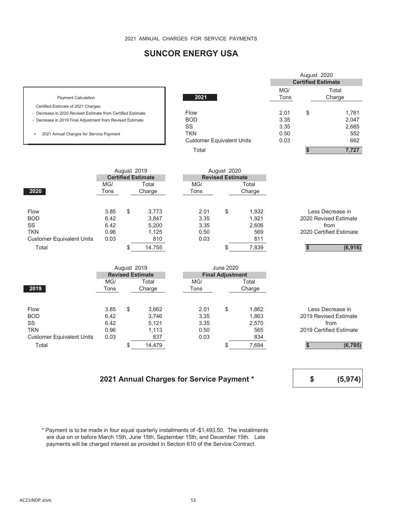## **SUNCOR ENERGY USA**

|                                                             |                                  |             | <b>Certified Estimate</b> |
|-------------------------------------------------------------|----------------------------------|-------------|---------------------------|
| <b>Payment Calculation</b>                                  | 2021                             | MG/<br>Tons | Total<br>Charge           |
| Certified Estimate of 2021 Charges                          |                                  |             |                           |
| - Decrease in 2020 Revised Estimate from Certified Estimate | Flow                             | 2.01        | \$<br>1.781               |
| - Decrease in 2019 Final Adjustment from Revised Estimate   | <b>BOD</b>                       | 3.35        | 2,047                     |
|                                                             | SS                               | 3.35        | 2,685                     |
| 2021 Annual Charges for Service Payment<br>$\equiv$         | TKN                              | 0.50        | 552                       |
|                                                             | <b>Customer Equivalent Units</b> | 0.03        | 662                       |
|                                                             | Total                            |             | 7.727                     |

|                                           |              | August 2019<br><b>Certified Estimate</b> |                |              | August 2020<br><b>Revised Estimate</b> |                 |                                           |
|-------------------------------------------|--------------|------------------------------------------|----------------|--------------|----------------------------------------|-----------------|-------------------------------------------|
| 2020                                      | MG/<br>Tons  | Total<br>Charge                          |                | MG/<br>Tons  |                                        | Total<br>Charge |                                           |
| Flow<br><b>BOD</b>                        | 3.85<br>6.42 | \$                                       | 3,773<br>3,847 | 2.01<br>3.35 | \$                                     | 1.932<br>1,921  | Less Decrease in<br>2020 Revised Estimate |
| SS<br><b>TKN</b>                          | 6.42<br>0.96 |                                          | 5,200<br>1,125 | 3.35<br>0.50 |                                        | 2,606<br>569    | from<br>2020 Certified Estimate           |
| <b>Customer Equivalent Units</b><br>Total | 0.03         |                                          | 810<br>14,755  | 0.03         | œ                                      | 811<br>7,839    | (6,916)                                   |

|                                  |                         | August 2019 |        |                         |      | <b>June 2020</b> |        |                         |
|----------------------------------|-------------------------|-------------|--------|-------------------------|------|------------------|--------|-------------------------|
|                                  | <b>Revised Estimate</b> |             |        | <b>Final Adjustment</b> |      |                  |        |                         |
|                                  | MG/                     |             | Total  |                         | MG/  |                  | Total  |                         |
| 2019                             | Tons<br>Charge          |             |        |                         | Tons |                  | Charge |                         |
|                                  |                         |             |        |                         |      |                  |        |                         |
| Flow                             | 3.85                    | \$          | 3,662  |                         | 2.01 | \$               | 1,862  | Less Decrease in        |
| <b>BOD</b>                       | 6.42                    |             | 3,746  |                         | 3.35 |                  | 1.863  | 2019 Revised Estimate   |
| <b>SS</b>                        | 6.42                    |             | 5.121  |                         | 3.35 |                  | 2,570  | from                    |
| <b>TKN</b>                       | 0.96                    |             | 1,113  |                         | 0.50 |                  | 565    | 2019 Certified Estimate |
| <b>Customer Equivalent Units</b> | 0.03                    |             | 837    |                         | 0.03 |                  | 834    |                         |
| Total                            |                         |             | 14,479 |                         |      |                  | 7,694  | (6, 785)                |

## **2021 Annual Charges for Service Payment \***



August 2020

 \* Payment is to be made in four equal quarterly installments of -\$1,493.50. The installments are due on or before March 15th, June 15th, September 15th, and December 15th. Late payments will be charged interest as provided in Section 610 of the Service Contract.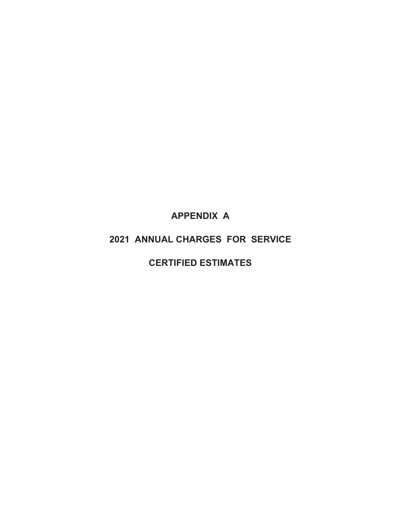**APPENDIX A** 

# **2021 ANNUAL CHARGES FOR SERVICE**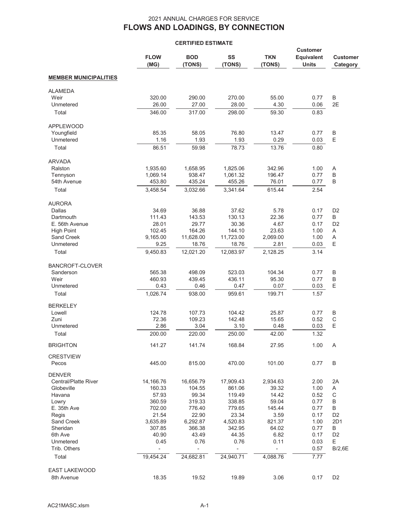|                                     | <b>FLOW</b><br>(MG)      | <b>BOD</b><br>(TONS) | SS<br>(TONS)             | <b>TKN</b><br>(TONS)     | <b>Customer</b><br>Equivalent<br><b>Units</b> | <b>Customer</b><br>Category |
|-------------------------------------|--------------------------|----------------------|--------------------------|--------------------------|-----------------------------------------------|-----------------------------|
| <b>MEMBER MUNICIPALITIES</b>        |                          |                      |                          |                          |                                               |                             |
| <b>ALAMEDA</b>                      |                          |                      |                          |                          |                                               |                             |
| Weir                                | 320.00                   | 290.00               | 270.00                   | 55.00                    | 0.77                                          | B                           |
| Unmetered                           | 26.00                    | 27.00                | 28.00                    | 4.30                     | 0.06                                          | 2E                          |
| Total                               | 346.00                   | 317.00               | 298.00                   | 59.30                    | 0.83                                          |                             |
| <b>APPLEWOOD</b>                    |                          |                      |                          |                          |                                               |                             |
| Youngfield                          | 85.35                    | 58.05                | 76.80                    | 13.47                    | 0.77                                          | B                           |
| Unmetered                           | 1.16                     | 1.93                 | 1.93                     | 0.29                     | 0.03                                          | $\mathsf E$                 |
| Total                               | 86.51                    | 59.98                | 78.73                    | 13.76                    | 0.80                                          |                             |
| <b>ARVADA</b>                       |                          |                      |                          |                          |                                               |                             |
| Ralston                             | 1,935.60                 | 1,658.95             | 1,825.06                 | 342.96                   | 1.00                                          | A                           |
| Tennyson                            | 1,069.14                 | 938.47               | 1,061.32                 | 196.47                   | 0.77                                          | B                           |
| 54th Avenue                         | 453.80                   | 435.24               | 455.26                   | 76.01                    | 0.77                                          | B                           |
| Total                               | 3,458.54                 | 3,032.66             | 3,341.64                 | 615.44                   | 2.54                                          |                             |
| <b>AURORA</b>                       |                          |                      |                          |                          |                                               |                             |
| Dallas                              | 34.69                    | 36.88                | 37.62                    | 5.78                     | 0.17                                          | D <sub>2</sub>              |
| Dartmouth                           | 111.43                   | 143.53               | 130.13                   | 22.36                    | 0.77                                          | B                           |
| E. 56th Avenue                      | 28.01                    | 29.77                | 30.36                    | 4.67                     | 0.17                                          | D <sub>2</sub>              |
| <b>High Point</b><br>Sand Creek     | 102.45                   | 164.26<br>11.628.00  | 144.10                   | 23.63                    | 1.00                                          | A                           |
| Unmetered                           | 9,165.00<br>9.25         | 18.76                | 11,723.00<br>18.76       | 2,069.00<br>2.81         | 1.00<br>0.03                                  | A<br>E                      |
| Total                               | 9,450.83                 | 12,021.20            | 12,083.97                | 2,128.25                 | 3.14                                          |                             |
|                                     |                          |                      |                          |                          |                                               |                             |
| <b>BANCROFT-CLOVER</b><br>Sanderson | 565.38                   | 498.09               | 523.03                   | 104.34                   | 0.77                                          | B                           |
| Weir                                | 460.93                   | 439.45               | 436.11                   | 95.30                    | 0.77                                          | B                           |
| Unmetered                           | 0.43                     | 0.46                 | 0.47                     | 0.07                     | 0.03                                          | $\mathsf E$                 |
| Total                               | 1,026.74                 | 938.00               | 959.61                   | 199.71                   | 1.57                                          |                             |
| <b>BERKELEY</b>                     |                          |                      |                          |                          |                                               |                             |
| Lowell                              | 124.78                   | 107.73               | 104.42                   | 25.87                    | 0.77                                          | B                           |
| Zuni                                | 72.36                    | 109.23               | 142.48                   | 15.65                    | 0.52                                          | $\mathsf C$                 |
| Unmetered                           | 2.86                     | 3.04                 | 3.10                     | 0.48                     | 0.03                                          | E                           |
| Total                               | 200.00                   | 220.00               | 250.00                   | 42.00                    | 1.32                                          |                             |
| <b>BRIGHTON</b>                     | 141.27                   | 141.74               | 168.84                   | 27.95                    | 1.00                                          | A                           |
| <b>CRESTVIEW</b>                    |                          |                      |                          |                          |                                               |                             |
| Pecos                               | 445.00                   | 815.00               | 470.00                   | 101.00                   | 0.77                                          | B                           |
| <b>DENVER</b>                       |                          |                      |                          |                          |                                               |                             |
| <b>Central/Platte River</b>         | 14,166.76                | 16,656.79            | 17,909.43                | 2,934.63                 | 2.00                                          | 2A                          |
| Globeville                          | 160.33                   | 104.55               | 861.06                   | 39.32                    | 1.00                                          | A                           |
| Havana                              | 57.93                    | 99.34                | 119.49                   | 14.42                    | 0.52                                          | C                           |
| Lowry                               | 360.59                   | 319.33               | 338.85                   | 59.04                    | 0.77                                          | B                           |
| E. 35th Ave                         | 702.00                   | 776.40               | 779.65                   | 145.44                   | 0.77                                          | B                           |
| Regis                               | 21.54                    | 22.90                | 23.34                    | 3.59                     | 0.17                                          | D <sub>2</sub>              |
| Sand Creek                          | 3,635.89                 | 6,292.87             | 4,520.83                 | 821.37                   | 1.00                                          | 2D1                         |
| Sheridan                            | 307.85                   | 366.38               | 342.95                   | 64.02                    | 0.77                                          | B                           |
| 6th Ave                             | 40.90                    | 43.49                | 44.35                    | 6.82                     | 0.17                                          | D <sub>2</sub>              |
| Unmetered                           | 0.45                     | 0.76                 | 0.76                     | 0.11                     | 0.03                                          | Е                           |
| Trib. Others                        | $\overline{\phantom{a}}$ | ÷                    | $\overline{\phantom{0}}$ | $\overline{\phantom{0}}$ | 0.57                                          | B/2,6E                      |
| Total                               | 19,454.24                | 24,682.81            | 24,940.71                | 4,088.76                 | 7.77                                          |                             |
| EAST LAKEWOOD                       |                          |                      |                          |                          |                                               |                             |
| 8th Avenue                          | 18.35                    | 19.52                | 19.89                    | 3.06                     | 0.17                                          | D <sub>2</sub>              |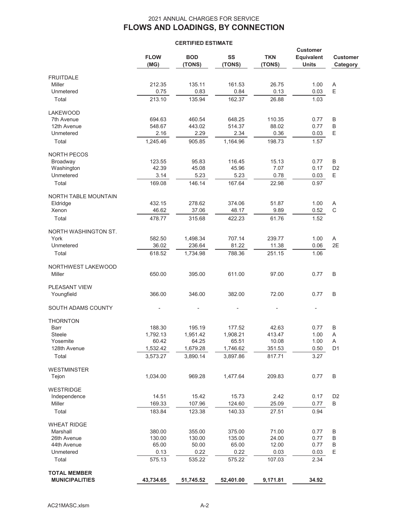|                                              |                     |                      |              |                      | <b>Customer</b>                   |                             |
|----------------------------------------------|---------------------|----------------------|--------------|----------------------|-----------------------------------|-----------------------------|
|                                              | <b>FLOW</b><br>(MG) | <b>BOD</b><br>(TONS) | SS<br>(TONS) | <b>TKN</b><br>(TONS) | <b>Equivalent</b><br><b>Units</b> | <b>Customer</b><br>Category |
| <b>FRUITDALE</b>                             |                     |                      |              |                      |                                   |                             |
| <b>Miller</b>                                | 212.35              | 135.11               | 161.53       | 26.75                | 1.00                              | Α                           |
| Unmetered                                    | 0.75                | 0.83                 | 0.84         | 0.13                 | 0.03                              | E                           |
| Total                                        | 213.10              | 135.94               | 162.37       | 26.88                | 1.03                              |                             |
| <b>LAKEWOOD</b>                              |                     |                      |              |                      |                                   |                             |
| 7th Avenue                                   | 694.63              | 460.54               | 648.25       | 110.35               | 0.77                              | B                           |
| 12th Avenue                                  | 548.67              | 443.02               | 514.37       | 88.02                | 0.77                              | $\sf B$                     |
| Unmetered                                    | 2.16                | 2.29                 | 2.34         | 0.36                 | 0.03                              | Ε                           |
| Total                                        | 1,245.46            | 905.85               | 1,164.96     | 198.73               | 1.57                              |                             |
| <b>NORTH PECOS</b>                           |                     |                      |              |                      |                                   |                             |
| Broadway                                     | 123.55              | 95.83                | 116.45       | 15.13                | 0.77                              | B                           |
| Washington                                   | 42.39               | 45.08                | 45.96        | 7.07                 | 0.17                              | D <sub>2</sub>              |
| Unmetered                                    | 3.14                | 5.23                 | 5.23         | 0.78                 | 0.03                              | E.                          |
| Total                                        | 169.08              | 146.14               | 167.64       | 22.98                | 0.97                              |                             |
| <b>NORTH TABLE MOUNTAIN</b>                  |                     |                      |              |                      |                                   |                             |
| Eldridge                                     | 432.15              | 278.62               | 374.06       | 51.87                | 1.00                              | A                           |
| Xenon                                        | 46.62               | 37.06                | 48.17        | 9.89                 | 0.52                              | $\mathsf C$                 |
| Total                                        | 478.77              | 315.68               | 422.23       | 61.76                | 1.52                              |                             |
| NORTH WASHINGTON ST.                         |                     |                      |              |                      |                                   |                             |
| York                                         | 582.50              | 1,498.34             | 707.14       | 239.77               | 1.00                              | A                           |
| Unmetered                                    | 36.02               | 236.64               | 81.22        | 11.38                | 0.06                              | 2E                          |
| Total                                        | 618.52              | 1,734.98             | 788.36       | 251.15               | 1.06                              |                             |
| NORTHWEST LAKEWOOD                           |                     |                      |              |                      |                                   |                             |
| Miller                                       | 650.00              | 395.00               | 611.00       | 97.00                | 0.77                              | B                           |
| <b>PLEASANT VIEW</b>                         |                     |                      |              |                      |                                   |                             |
| Youngfield                                   | 366.00              | 346.00               | 382.00       | 72.00                | 0.77                              | B                           |
| <b>SOUTH ADAMS COUNTY</b>                    |                     |                      |              |                      | $\overline{\phantom{m}}$          |                             |
| <b>THORNTON</b>                              |                     |                      |              |                      |                                   |                             |
| Barr                                         | 188.30              | 195.19               | 177.52       | 42.63                | 0.77                              | B                           |
| Steele                                       | 1,792.13            | 1,951.42             | 1,908.21     | 413.47               | 1.00                              | A                           |
| Yosemite                                     | 60.42               | 64.25                | 65.51        | 10.08                | 1.00                              | A                           |
| 128th Avenue                                 | 1,532.42            | 1,679.28             | 1,746.62     | 351.53               | 0.50                              | D <sub>1</sub>              |
| Total                                        | 3,573.27            | 3,890.14             | 3,897.86     | 817.71               | 3.27                              |                             |
| <b>WESTMINSTER</b>                           |                     |                      |              |                      |                                   |                             |
| Tejon                                        | 1,034.00            | 969.28               | 1,477.64     | 209.83               | 0.77                              | B                           |
| WESTRIDGE                                    |                     |                      |              |                      |                                   |                             |
| Independence                                 | 14.51               | 15.42                | 15.73        | 2.42                 | 0.17                              | D <sub>2</sub>              |
| Miller                                       | 169.33              | 107.96               | 124.60       | 25.09                | 0.77                              | B                           |
| Total                                        | 183.84              | 123.38               | 140.33       | 27.51                | 0.94                              |                             |
| <b>WHEAT RIDGE</b>                           |                     |                      |              |                      |                                   |                             |
| Marshall                                     | 380.00              | 355.00               | 375.00       | 71.00                | 0.77                              | B                           |
| 26th Avenue                                  | 130.00              | 130.00               | 135.00       | 24.00                | 0.77                              | B                           |
| 44th Avenue                                  | 65.00               | 50.00                | 65.00        | 12.00                | 0.77                              | B                           |
| Unmetered                                    | 0.13                | 0.22                 | 0.22         | 0.03                 | 0.03                              | Ε                           |
| Total                                        | 575.13              | 535.22               | 575.22       | 107.03               | 2.34                              |                             |
| <b>TOTAL MEMBER</b><br><b>MUNICIPALITIES</b> | 43,734.65           | 51,745.52            | 52,401.00    | 9,171.81             | 34.92                             |                             |
|                                              |                     |                      |              |                      |                                   |                             |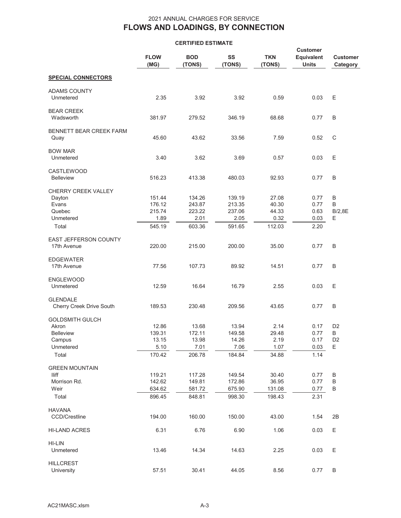|                                                                                     | <b>FLOW</b><br>(MG)                        | <b>BOD</b><br>(TONS)                       | SS<br>(TONS)                               | <b>TKN</b><br>(TONS)                   | <b>Customer</b><br>Equivalent<br><b>Units</b> | <b>Customer</b><br>Category                |
|-------------------------------------------------------------------------------------|--------------------------------------------|--------------------------------------------|--------------------------------------------|----------------------------------------|-----------------------------------------------|--------------------------------------------|
| <b>SPECIAL CONNECTORS</b>                                                           |                                            |                                            |                                            |                                        |                                               |                                            |
| <b>ADAMS COUNTY</b><br>Unmetered                                                    | 2.35                                       | 3.92                                       | 3.92                                       | 0.59                                   | 0.03                                          | Е                                          |
| <b>BEAR CREEK</b><br>Wadsworth                                                      | 381.97                                     | 279.52                                     | 346.19                                     | 68.68                                  | 0.77                                          | B                                          |
| <b>BENNETT BEAR CREEK FARM</b><br>Quay                                              | 45.60                                      | 43.62                                      | 33.56                                      | 7.59                                   | 0.52                                          | C                                          |
| <b>BOW MAR</b><br>Unmetered                                                         | 3.40                                       | 3.62                                       | 3.69                                       | 0.57                                   | 0.03                                          | Е                                          |
| <b>CASTLEWOOD</b><br><b>Belleview</b>                                               | 516.23                                     | 413.38                                     | 480.03                                     | 92.93                                  | 0.77                                          | B                                          |
| <b>CHERRY CREEK VALLEY</b><br>Dayton<br>Evans<br>Quebec<br>Unmetered                | 151.44<br>176.12<br>215.74<br>1.89         | 134.26<br>243.87<br>223.22<br>2.01         | 139.19<br>213.35<br>237.06<br>2.05         | 27.08<br>40.30<br>44.33<br>0.32        | 0.77<br>0.77<br>0.63<br>0.03                  | B<br>B<br>B/2,8E<br>Е                      |
| Total                                                                               | 545.19                                     | 603.36                                     | 591.65                                     | 112.03                                 | 2.20                                          |                                            |
| EAST JEFFERSON COUNTY<br>17th Avenue                                                | 220.00                                     | 215.00                                     | 200.00                                     | 35.00                                  | 0.77                                          | B                                          |
| <b>EDGEWATER</b><br>17th Avenue                                                     | 77.56                                      | 107.73                                     | 89.92                                      | 14.51                                  | 0.77                                          | B                                          |
| <b>ENGLEWOOD</b><br>Unmetered                                                       | 12.59                                      | 16.64                                      | 16.79                                      | 2.55                                   | 0.03                                          | Ε                                          |
| <b>GLENDALE</b><br><b>Cherry Creek Drive South</b>                                  | 189.53                                     | 230.48                                     | 209.56                                     | 43.65                                  | 0.77                                          | B                                          |
| <b>GOLDSMITH GULCH</b><br>Akron<br><b>Belleview</b><br>Campus<br>Unmetered<br>Total | 12.86<br>139.31<br>13.15<br>5.10<br>170.42 | 13.68<br>172.11<br>13.98<br>7.01<br>206.78 | 13.94<br>149.58<br>14.26<br>7.06<br>184.84 | 2.14<br>29.48<br>2.19<br>1.07<br>34.88 | 0.17<br>0.77<br>0.17<br>0.03<br>1.14          | D <sub>2</sub><br>B<br>D <sub>2</sub><br>Е |
| <b>GREEN MOUNTAIN</b><br>lliff<br>Morrison Rd.<br>Weir<br>Total                     | 119.21<br>142.62<br>634.62<br>896.45       | 117.28<br>149.81<br>581.72<br>848.81       | 149.54<br>172.86<br>675.90<br>998.30       | 30.40<br>36.95<br>131.08<br>198.43     | 0.77<br>0.77<br>0.77<br>2.31                  | B<br>B<br>В                                |
| <b>HAVANA</b><br><b>CCD/Crestline</b>                                               | 194.00                                     | 160.00                                     | 150.00                                     | 43.00                                  | 1.54                                          | 2B                                         |
| <b>HI-LAND ACRES</b>                                                                | 6.31                                       | 6.76                                       | 6.90                                       | 1.06                                   | 0.03                                          | E                                          |
| HI-LIN<br>Unmetered                                                                 | 13.46                                      | 14.34                                      | 14.63                                      | 2.25                                   | 0.03                                          | Е                                          |
| <b>HILLCREST</b><br>University                                                      | 57.51                                      | 30.41                                      | 44.05                                      | 8.56                                   | 0.77                                          | B                                          |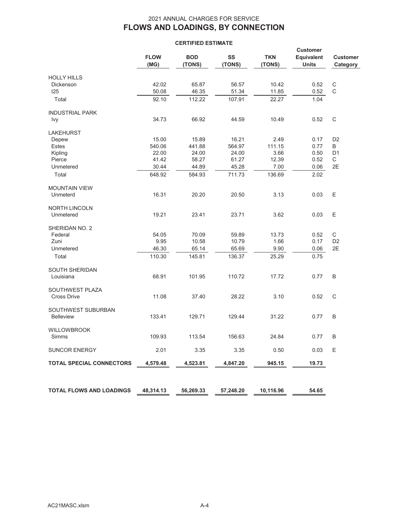|                                 | <b>FLOW</b><br>(MG) | <b>BOD</b><br>(TONS) | SS<br>(TONS) | <b>TKN</b><br>(TONS) | <b>Customer</b><br><b>Equivalent</b><br><b>Units</b> | <b>Customer</b><br>Category |
|---------------------------------|---------------------|----------------------|--------------|----------------------|------------------------------------------------------|-----------------------------|
|                                 |                     |                      |              |                      |                                                      |                             |
| <b>HOLLY HILLS</b>              |                     |                      |              |                      |                                                      |                             |
| Dickenson                       | 42.02               | 65.87                | 56.57        | 10.42                | 0.52                                                 | $\mathsf C$                 |
| 125                             | 50.08               | 46.35                | 51.34        | 11.85                | 0.52                                                 | $\mathsf C$                 |
| Total                           | 92.10               | 112.22               | 107.91       | 22.27                | 1.04                                                 |                             |
| <b>INDUSTRIAL PARK</b>          |                     |                      |              |                      |                                                      |                             |
| Ivy                             | 34.73               | 66.92                | 44.59        | 10.49                | 0.52                                                 | $\mathsf C$                 |
| <b>LAKEHURST</b>                |                     |                      |              |                      |                                                      |                             |
| Depew                           | 15.00               | 15.89                | 16.21        | 2.49                 | 0.17                                                 | D <sub>2</sub>              |
| Estes                           | 540.06              | 441.88               | 564.97       | 111.15               | 0.77                                                 | B                           |
| Kipling                         | 22.00               | 24.00                | 24.00        | 3.66                 | 0.50                                                 | D <sub>1</sub>              |
| Pierce                          | 41.42               | 58.27                | 61.27        | 12.39                | 0.52                                                 | C                           |
| Unmetered                       | 30.44               | 44.89                | 45.28        | 7.00                 | 0.06                                                 | 2E                          |
| Total                           | 648.92              | 584.93               | 711.73       | 136.69               | 2.02                                                 |                             |
| <b>MOUNTAIN VIEW</b>            |                     |                      |              |                      |                                                      |                             |
| Unmeterd                        | 16.31               | 20.20                | 20.50        | 3.13                 | 0.03                                                 | Ε                           |
| <b>NORTH LINCOLN</b>            |                     |                      |              |                      |                                                      |                             |
| Unmetered                       | 19.21               | 23.41                | 23.71        | 3.62                 | 0.03                                                 | Ε                           |
| SHERIDAN NO. 2                  |                     |                      |              |                      |                                                      |                             |
| Federal                         | 54.05               | 70.09                | 59.89        | 13.73                | 0.52                                                 | С                           |
| Zuni                            | 9.95                | 10.58                | 10.79        | 1.66                 | 0.17                                                 | D <sub>2</sub>              |
| Unmetered                       | 46.30               | 65.14                | 65.69        | 9.90                 | 0.06                                                 | 2E                          |
| Total                           | 110.30              | 145.81               | 136.37       | 25.29                | 0.75                                                 |                             |
| <b>SOUTH SHERIDAN</b>           |                     |                      |              |                      |                                                      |                             |
| Louisiana                       | 68.91               | 101.95               | 110.72       | 17.72                | 0.77                                                 | B                           |
|                                 |                     |                      |              |                      |                                                      |                             |
| SOUTHWEST PLAZA                 |                     |                      |              |                      |                                                      |                             |
| <b>Cross Drive</b>              | 11.08               | 37.40                | 28.22        | 3.10                 | 0.52                                                 | C                           |
| SOUTHWEST SUBURBAN              |                     |                      |              |                      |                                                      |                             |
| <b>Belleview</b>                | 133.41              | 129.71               | 129.44       | 31.22                | 0.77                                                 | B                           |
| <b>WILLOWBROOK</b>              |                     |                      |              |                      |                                                      |                             |
| Simms                           | 109.93              | 113.54               | 156.63       | 24.84                | 0.77                                                 | B                           |
| <b>SUNCOR ENERGY</b>            | 2.01                | 3.35                 | 3.35         | 0.50                 | 0.03                                                 | Е                           |
| <b>TOTAL SPECIAL CONNECTORS</b> | 4,579.48            | 4,523.81             | 4,847.20     | 945.15               | 19.73                                                |                             |
|                                 |                     |                      |              |                      |                                                      |                             |
|                                 |                     |                      |              |                      |                                                      |                             |
| TOTAL FLOWS AND LOADINGS        | 48,314.13           | 56,269.33            | 57,248.20    | 10,116.96            | 54.65                                                |                             |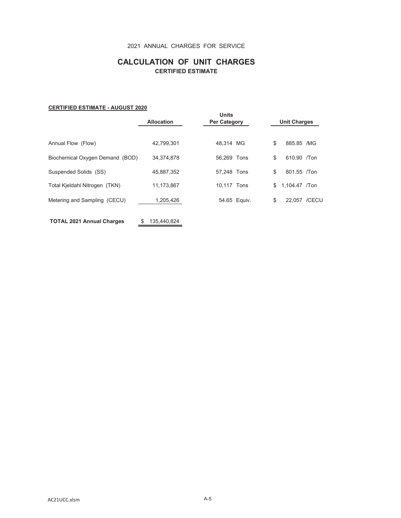#### 2021 ANNUAL CHARGES FOR SERVICE

## **CALCULATION OF UNIT CHARGES CERTIFIED ESTIMATE**

#### **CERTIFIED ESTIMATE - AUGUST 2020**

|                                 | <b>Allocation</b> | <b>Units</b><br><b>Per Category</b> | <b>Unit Charges</b> |               |
|---------------------------------|-------------------|-------------------------------------|---------------------|---------------|
| Annual Flow (Flow)              | 42.799.301        | 48,314 MG                           | \$                  | 885.85 /MG    |
| Biochemical Oxygen Demand (BOD) | 34.374.878        | 56.269 Tons                         | \$                  | 610.90 /Ton   |
| Suspended Solids (SS)           | 45,887,352        | 57.248 Tons                         | \$                  | 801.55 /Ton   |
| Total Kjeldahl Nitrogen (TKN)   | 11,173,867        | 10.117 Tons                         | S.                  | 1.104.47 /Ton |
| Metering and Sampling (CECU)    | 1,205,426         | 54.65 Equiv.                        | \$                  | 22.057 / CECU |
|                                 |                   |                                     |                     |               |

 **TOTAL 2021 Annual Charges** \$ 135,440,824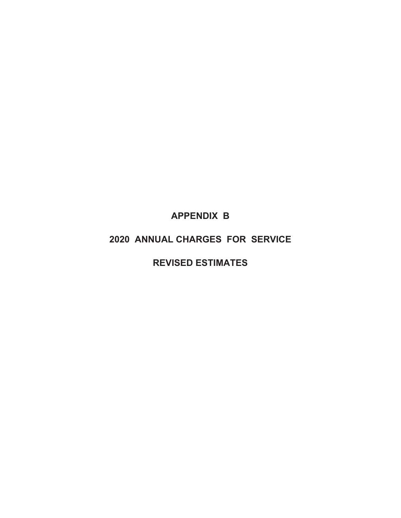**APPENDIX B** 

# **2020 ANNUAL CHARGES FOR SERVICE**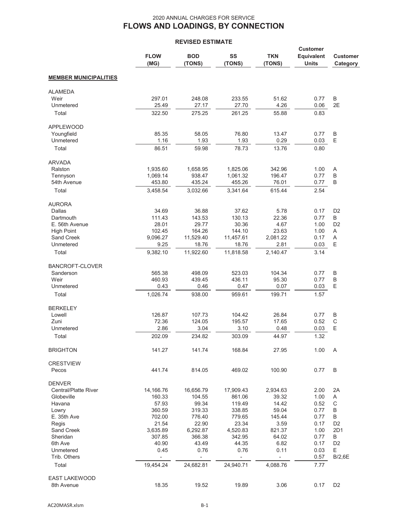|                                     | <b>FLOW</b>       | <b>BOD</b>               | SS                       | <b>TKN</b>     | <b>Customer</b><br>Equivalent | <b>Customer</b>       |
|-------------------------------------|-------------------|--------------------------|--------------------------|----------------|-------------------------------|-----------------------|
|                                     | (MG)              | (TONS)                   | (TONS)                   | (TONS)         | <b>Units</b>                  | Category              |
| <b>MEMBER MUNICIPALITIES</b>        |                   |                          |                          |                |                               |                       |
| <b>ALAMEDA</b>                      |                   |                          |                          |                |                               |                       |
| Weir                                | 297.01            | 248.08                   | 233.55                   | 51.62          | 0.77                          | B                     |
| Unmetered                           | 25.49             | 27.17                    | 27.70                    | 4.26           | 0.06                          | 2E                    |
| Total                               | 322.50            | 275.25                   | 261.25                   | 55.88          | 0.83                          |                       |
| <b>APPLEWOOD</b>                    |                   |                          |                          |                |                               |                       |
| Youngfield                          | 85.35             | 58.05                    | 76.80                    | 13.47          | 0.77                          | B                     |
| Unmetered                           | 1.16              | 1.93                     | 1.93                     | 0.29           | 0.03                          | E                     |
| Total                               | 86.51             | 59.98                    | 78.73                    | 13.76          | 0.80                          |                       |
| <b>ARVADA</b>                       |                   |                          |                          |                |                               |                       |
| Ralston                             | 1,935.60          | 1,658.95                 | 1,825.06                 | 342.96         | 1.00                          | A                     |
| Tennyson                            | 1,069.14          | 938.47                   | 1,061.32                 | 196.47         | 0.77                          | B                     |
| 54th Avenue                         | 453.80            | 435.24                   | 455.26                   | 76.01          | 0.77                          | B                     |
| Total                               | 3,458.54          | 3,032.66                 | 3,341.64                 | 615.44         | 2.54                          |                       |
| <b>AURORA</b>                       |                   |                          |                          |                |                               |                       |
| Dallas                              | 34.69             | 36.88                    | 37.62                    | 5.78           | 0.17                          | D <sub>2</sub>        |
| Dartmouth                           | 111.43            | 143.53<br>29.77          | 130.13                   | 22.36          | 0.77                          | B                     |
| E. 56th Avenue<br><b>High Point</b> | 28.01<br>102.45   | 164.26                   | 30.36<br>144.10          | 4.67<br>23.63  | 1.00<br>1.00                  | D <sub>2</sub><br>A   |
| Sand Creek                          | 9,096.27          | 11,529.40                | 11,457.61                | 2,081.22       | 0.17                          | Α                     |
| Unmetered                           | 9.25              | 18.76                    | 18.76                    | 2.81           | 0.03                          | E                     |
| Total                               | 9,382.10          | 11,922.60                | 11,818.58                | 2,140.47       | 3.14                          |                       |
| <b>BANCROFT-CLOVER</b>              |                   |                          |                          |                |                               |                       |
| Sanderson                           | 565.38            | 498.09                   | 523.03                   | 104.34         | 0.77                          | B                     |
| Weir                                | 460.93            | 439.45                   | 436.11                   | 95.30          | 0.77                          | B                     |
| Unmetered                           | 0.43              | 0.46                     | 0.47                     | 0.07           | 0.03                          | E                     |
| Total                               | 1,026.74          | 938.00                   | 959.61                   | 199.71         | 1.57                          |                       |
| <b>BERKELEY</b>                     |                   |                          |                          |                |                               |                       |
| Lowell                              | 126.87            | 107.73                   | 104.42                   | 26.84          | 0.77                          | B                     |
| Zuni                                | 72.36             | 124.05                   | 195.57                   | 17.65          | 0.52                          | $\mathsf C$           |
| Unmetered                           | 2.86              | 3.04                     | 3.10                     | 0.48           | 0.03                          | Ε                     |
| Total                               | 202.09            | 234.82                   | 303.09                   | 44.97          | 1.32                          |                       |
| <b>BRIGHTON</b>                     | 141.27            | 141.74                   | 168.84                   | 27.95          | 1.00                          | Α                     |
| <b>CRESTVIEW</b>                    |                   |                          |                          |                |                               |                       |
| Pecos                               | 441.74            | 814.05                   | 469.02                   | 100.90         | 0.77                          | B                     |
| <b>DENVER</b>                       |                   |                          |                          |                |                               |                       |
| <b>Central/Platte River</b>         | 14,166.76         | 16,656.79                | 17,909.43                | 2,934.63       | 2.00                          | 2A                    |
| Globeville                          | 160.33            | 104.55                   | 861.06                   | 39.32          | 1.00                          | Α                     |
| Havana                              | 57.93             | 99.34                    | 119.49                   | 14.42          | 0.52                          | $\mathsf C$           |
| Lowry                               | 360.59            | 319.33                   | 338.85                   | 59.04          | 0.77                          | B                     |
| E. 35th Ave                         | 702.00            | 776.40                   | 779.65                   | 145.44         | 0.77                          | B                     |
| Regis<br>Sand Creek                 | 21.54<br>3,635.89 | 22.90<br>6,292.87        | 23.34<br>4,520.83        | 3.59<br>821.37 | 0.17<br>1.00                  | D <sub>2</sub><br>2D1 |
| Sheridan                            | 307.85            | 366.38                   | 342.95                   | 64.02          | 0.77                          | B                     |
| 6th Ave                             | 40.90             | 43.49                    | 44.35                    | 6.82           | 0.17                          | D <sub>2</sub>        |
| Unmetered                           | 0.45              | 0.76                     | 0.76                     | 0.11           | 0.03                          | E                     |
| Trib. Others                        | $\blacksquare$    | $\overline{\phantom{a}}$ | $\overline{\phantom{a}}$ | $\blacksquare$ | 0.57                          | B/2,6E                |
| Total                               | 19,454.24         | 24,682.81                | 24,940.71                | 4,088.76       | 7.77                          |                       |
| <b>EAST LAKEWOOD</b>                |                   |                          |                          |                |                               |                       |
| 8th Avenue                          | 18.35             | 19.52                    | 19.89                    | 3.06           | 0.17                          | D <sub>2</sub>        |
|                                     |                   |                          |                          |                |                               |                       |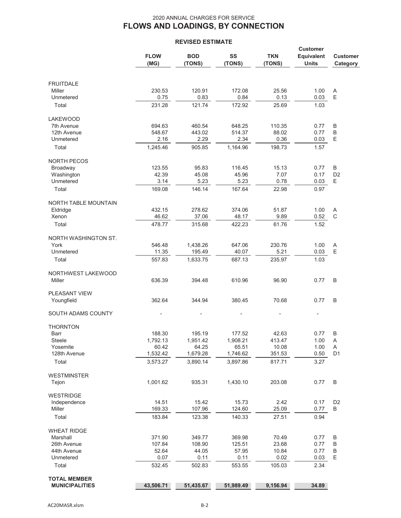|                                | <b>FLOW</b><br>(MG) | <b>BOD</b><br>(TONS) | SS<br>(TONS)      | <b>TKN</b><br>(TONS) | <b>Customer</b><br>Equivalent<br><b>Units</b> | <b>Customer</b><br>Category |
|--------------------------------|---------------------|----------------------|-------------------|----------------------|-----------------------------------------------|-----------------------------|
|                                |                     |                      |                   |                      |                                               |                             |
| <b>FRUITDALE</b>               |                     |                      |                   |                      |                                               |                             |
| <b>Miller</b>                  | 230.53              | 120.91               | 172.08            | 25.56                | 1.00                                          | Α                           |
| Unmetered<br>Total             | 0.75<br>231.28      | 0.83<br>121.74       | 0.84<br>172.92    | 0.13<br>25.69        | 0.03<br>1.03                                  | E                           |
|                                |                     |                      |                   |                      |                                               |                             |
| LAKEWOOD                       |                     |                      |                   |                      |                                               |                             |
| 7th Avenue<br>12th Avenue      | 694.63<br>548.67    | 460.54<br>443.02     | 648.25<br>514.37  | 110.35<br>88.02      | 0.77<br>0.77                                  | B<br>B                      |
| Unmetered                      | 2.16                | 2.29                 | 2.34              | 0.36                 | 0.03                                          | Е                           |
| Total                          | 1,245.46            | 905.85               | 1,164.96          | 198.73               | 1.57                                          |                             |
|                                |                     |                      |                   |                      |                                               |                             |
| <b>NORTH PECOS</b><br>Broadway | 123.55              | 95.83                | 116.45            | 15.13                | 0.77                                          | B                           |
| Washington                     | 42.39               | 45.08                | 45.96             | 7.07                 | 0.17                                          | D <sub>2</sub>              |
| Unmetered                      | 3.14                | 5.23                 | 5.23              | 0.78                 | 0.03                                          | E                           |
| Total                          | 169.08              | 146.14               | 167.64            | 22.98                | 0.97                                          |                             |
| <b>NORTH TABLE MOUNTAIN</b>    |                     |                      |                   |                      |                                               |                             |
| Eldridge                       | 432.15              | 278.62               | 374.06            | 51.87                | 1.00                                          | A                           |
| Xenon                          | 46.62               | 37.06                | 48.17             | 9.89                 | 0.52                                          | $\mathsf C$                 |
| Total                          | 478.77              | 315.68               | 422.23            | 61.76                | 1.52                                          |                             |
| NORTH WASHINGTON ST.           |                     |                      |                   |                      |                                               |                             |
| York<br>Unmetered              | 546.48<br>11.35     | 1,438.26             | 647.06            | 230.76               | 1.00                                          | Α<br>E                      |
| Total                          | 557.83              | 195.49<br>1,633.75   | 40.07<br>687.13   | 5.21<br>235.97       | 0.03<br>1.03                                  |                             |
|                                |                     |                      |                   |                      |                                               |                             |
| NORTHWEST LAKEWOOD             |                     |                      |                   |                      |                                               |                             |
| Miller                         | 636.39              | 394.48               | 610.96            | 96.90                | 0.77                                          | B                           |
| <b>PLEASANT VIEW</b>           |                     |                      |                   |                      |                                               |                             |
| Youngfield                     | 362.64              | 344.94               | 380.45            | 70.68                | 0.77                                          | B                           |
| SOUTH ADAMS COUNTY             |                     |                      |                   |                      |                                               |                             |
| <b>THORNTON</b>                |                     |                      |                   |                      |                                               |                             |
| Barr                           | 188.30              | 195.19               | 177.52            | 42.63                | 0.77                                          | B                           |
| Steele                         | 1,792.13            | 1,951.42             | 1,908.21          | 413.47               | 1.00                                          | A                           |
| Yosemite<br>128th Avenue       | 60.42<br>1,532.42   | 64.25<br>1,679.28    | 65.51<br>1,746.62 | 10.08<br>351.53      | 1.00<br>0.50                                  | A<br>D <sub>1</sub>         |
| Total                          | 3,573.27            | 3,890.14             | 3,897.86          | 817.71               | 3.27                                          |                             |
|                                |                     |                      |                   |                      |                                               |                             |
| WESTMINSTER<br>Tejon           | 1,001.62            | 935.31               | 1,430.10          | 203.08               | 0.77                                          | B                           |
|                                |                     |                      |                   |                      |                                               |                             |
| <b>WESTRIDGE</b>               |                     |                      |                   |                      |                                               |                             |
| Independence<br>Miller         | 14.51<br>169.33     | 15.42<br>107.96      | 15.73<br>124.60   | 2.42<br>25.09        | 0.17<br>0.77                                  | D <sub>2</sub><br>B         |
| Total                          | 183.84              | 123.38               | 140.33            | 27.51                | 0.94                                          |                             |
|                                |                     |                      |                   |                      |                                               |                             |
| <b>WHEAT RIDGE</b><br>Marshall | 371.90              | 349.77               | 369.98            | 70.49                | 0.77                                          | B                           |
| 26th Avenue                    | 107.84              | 108.90               | 125.51            | 23.68                | 0.77                                          | B                           |
| 44th Avenue                    | 52.64               | 44.05                | 57.95             | 10.84                | 0.77                                          | B                           |
| Unmetered                      | 0.07                | 0.11                 | 0.11              | 0.02                 | 0.03                                          | Ε                           |
| Total                          | 532.45              | 502.83               | 553.55            | 105.03               | 2.34                                          |                             |
| <b>TOTAL MEMBER</b>            |                     |                      |                   |                      |                                               |                             |
| <b>MUNICIPALITIES</b>          | 43,506.71           | 51,435.67            | 51,989.49         | 9,156.94             | 34.89                                         |                             |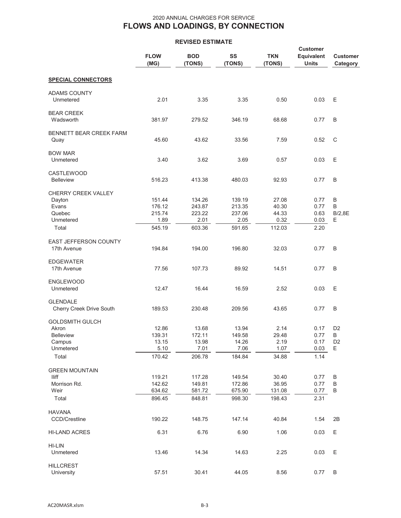|                                                                                     | <b>FLOW</b><br>(MG)                          | <b>BOD</b><br>(TONS)                         | SS<br>(TONS)                                 | <b>TKN</b><br>(TONS)                      | <b>Customer</b><br><b>Equivalent</b><br><b>Units</b> | <b>Customer</b><br>Category                |
|-------------------------------------------------------------------------------------|----------------------------------------------|----------------------------------------------|----------------------------------------------|-------------------------------------------|------------------------------------------------------|--------------------------------------------|
| <b>SPECIAL CONNECTORS</b>                                                           |                                              |                                              |                                              |                                           |                                                      |                                            |
| <b>ADAMS COUNTY</b><br>Unmetered                                                    | 2.01                                         | 3.35                                         | 3.35                                         | 0.50                                      | 0.03                                                 | Е                                          |
| <b>BEAR CREEK</b><br>Wadsworth                                                      | 381.97                                       | 279.52                                       | 346.19                                       | 68.68                                     | 0.77                                                 | B                                          |
| BENNETT BEAR CREEK FARM<br>Quay                                                     | 45.60                                        | 43.62                                        | 33.56                                        | 7.59                                      | 0.52                                                 | C                                          |
| <b>BOW MAR</b><br>Unmetered                                                         | 3.40                                         | 3.62                                         | 3.69                                         | 0.57                                      | 0.03                                                 | E                                          |
| <b>CASTLEWOOD</b><br><b>Belleview</b>                                               | 516.23                                       | 413.38                                       | 480.03                                       | 92.93                                     | 0.77                                                 | B                                          |
| <b>CHERRY CREEK VALLEY</b><br>Dayton<br>Evans<br>Quebec<br>Unmetered<br>Total       | 151.44<br>176.12<br>215.74<br>1.89<br>545.19 | 134.26<br>243.87<br>223.22<br>2.01<br>603.36 | 139.19<br>213.35<br>237.06<br>2.05<br>591.65 | 27.08<br>40.30<br>44.33<br>0.32<br>112.03 | 0.77<br>0.77<br>0.63<br>0.03<br>2.20                 | B<br>B<br>B/2,8E<br>Е                      |
| <b>EAST JEFFERSON COUNTY</b><br>17th Avenue                                         | 194.84                                       | 194.00                                       | 196.80                                       | 32.03                                     | 0.77                                                 | B                                          |
| <b>EDGEWATER</b><br>17th Avenue                                                     | 77.56                                        | 107.73                                       | 89.92                                        | 14.51                                     | 0.77                                                 | B                                          |
| <b>ENGLEWOOD</b><br>Unmetered                                                       | 12.47                                        | 16.44                                        | 16.59                                        | 2.52                                      | 0.03                                                 | E                                          |
| <b>GLENDALE</b><br>Cherry Creek Drive South                                         | 189.53                                       | 230.48                                       | 209.56                                       | 43.65                                     | 0.77                                                 | B                                          |
| <b>GOLDSMITH GULCH</b><br>Akron<br><b>Belleview</b><br>Campus<br>Unmetered<br>Total | 12.86<br>139.31<br>13.15<br>5.10<br>170.42   | 13.68<br>172.11<br>13.98<br>7.01<br>206.78   | 13.94<br>149.58<br>14.26<br>7.06<br>184.84   | 2.14<br>29.48<br>2.19<br>1.07<br>34.88    | 0.17<br>0.77<br>0.17<br>0.03<br>1.14                 | D <sub>2</sub><br>B<br>D <sub>2</sub><br>Е |
| <b>GREEN MOUNTAIN</b><br><b>Iliff</b><br>Morrison Rd.<br>Weir<br>Total              | 119.21<br>142.62<br>634.62<br>896.45         | 117.28<br>149.81<br>581.72<br>848.81         | 149.54<br>172.86<br>675.90<br>998.30         | 30.40<br>36.95<br>131.08<br>198.43        | 0.77<br>0.77<br>0.77<br>2.31                         | B<br>B<br>В                                |
| <b>HAVANA</b><br>CCD/Crestline                                                      | 190.22                                       | 148.75                                       | 147.14                                       | 40.84                                     | 1.54                                                 | 2B                                         |
| <b>HI-LAND ACRES</b>                                                                | 6.31                                         | 6.76                                         | 6.90                                         | 1.06                                      | 0.03                                                 | Е                                          |
| HI-LIN<br>Unmetered                                                                 | 13.46                                        | 14.34                                        | 14.63                                        | 2.25                                      | 0.03                                                 | Е                                          |
| <b>HILLCREST</b><br>University                                                      | 57.51                                        | 30.41                                        | 44.05                                        | 8.56                                      | 0.77                                                 | B                                          |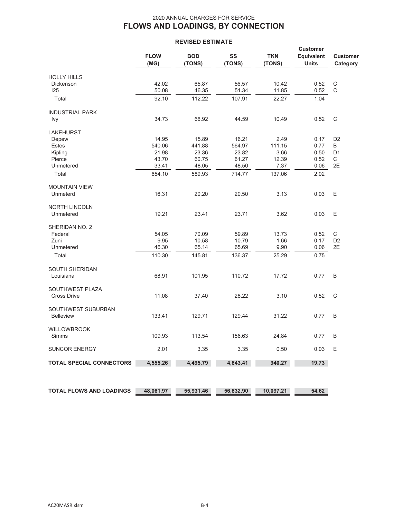|                                 |                     |                      |              |                      | <b>Customer</b>            |                             |
|---------------------------------|---------------------|----------------------|--------------|----------------------|----------------------------|-----------------------------|
|                                 | <b>FLOW</b><br>(MG) | <b>BOD</b><br>(TONS) | SS<br>(TONS) | <b>TKN</b><br>(TONS) | Equivalent<br><b>Units</b> | <b>Customer</b><br>Category |
| <b>HOLLY HILLS</b>              |                     |                      |              |                      |                            |                             |
| Dickenson                       | 42.02               | 65.87                | 56.57        | 10.42                | 0.52                       | C                           |
| 125                             | 50.08               | 46.35                | 51.34        | 11.85                | 0.52                       | $\mathsf{C}$                |
| Total                           | 92.10               | 112.22               | 107.91       | 22.27                | 1.04                       |                             |
| <b>INDUSTRIAL PARK</b>          |                     |                      |              |                      |                            |                             |
| Ivy                             | 34.73               | 66.92                | 44.59        | 10.49                | 0.52                       | C                           |
| <b>LAKEHURST</b>                |                     |                      |              |                      |                            |                             |
| Depew                           | 14.95               | 15.89                | 16.21        | 2.49                 | 0.17                       | D <sub>2</sub>              |
| Estes                           | 540.06              | 441.88               | 564.97       | 111.15               | 0.77                       | B                           |
| Kipling                         | 21.98               | 23.36                | 23.82        | 3.66                 | 0.50                       | D <sub>1</sub>              |
| Pierce                          | 43.70               | 60.75                | 61.27        | 12.39                | 0.52                       | C                           |
| Unmetered                       | 33.41               | 48.05                | 48.50        | 7.37                 | 0.06                       | 2E                          |
| Total                           | 654.10              | 589.93               | 714.77       | 137.06               | 2.02                       |                             |
| <b>MOUNTAIN VIEW</b>            |                     |                      |              |                      |                            |                             |
| Unmeterd                        | 16.31               | 20.20                | 20.50        | 3.13                 | 0.03                       | Ε                           |
| <b>NORTH LINCOLN</b>            |                     |                      |              |                      |                            |                             |
| Unmetered                       | 19.21               | 23.41                | 23.71        | 3.62                 | 0.03                       | Е                           |
| SHERIDAN NO. 2                  |                     |                      |              |                      |                            |                             |
| Federal                         | 54.05               | 70.09                | 59.89        | 13.73                | 0.52                       | C                           |
| Zuni                            | 9.95                | 10.58                | 10.79        | 1.66                 | 0.17                       | D <sub>2</sub>              |
| Unmetered                       | 46.30               | 65.14                | 65.69        | 9.90                 | 0.06                       | 2E                          |
| Total                           | 110.30              | 145.81               | 136.37       | 25.29                | 0.75                       |                             |
| <b>SOUTH SHERIDAN</b>           |                     |                      |              |                      |                            |                             |
| Louisiana                       | 68.91               | 101.95               | 110.72       | 17.72                | 0.77                       | B                           |
| SOUTHWEST PLAZA                 |                     |                      |              |                      |                            |                             |
| <b>Cross Drive</b>              | 11.08               | 37.40                | 28.22        | 3.10                 | 0.52                       | C                           |
| SOUTHWEST SUBURBAN              |                     |                      |              |                      |                            |                             |
| <b>Belleview</b>                | 133.41              | 129.71               | 129.44       | 31.22                | 0.77                       | B                           |
| <b>WILLOWBROOK</b>              |                     |                      |              |                      |                            |                             |
| Simms                           | 109.93              | 113.54               | 156.63       | 24.84                | 0.77                       | B                           |
| <b>SUNCOR ENERGY</b>            | 2.01                | 3.35                 | 3.35         | 0.50                 | 0.03                       | Е                           |
| <b>TOTAL SPECIAL CONNECTORS</b> | 4,555.26            | 4,495.79             | 4,843.41     | 940.27               | 19.73                      |                             |
|                                 |                     |                      |              |                      |                            |                             |
|                                 |                     |                      |              |                      |                            |                             |
| TOTAL FLOWS AND LOADINGS        | 48,061.97           | 55,931.46            | 56,832.90    | 10,097.21            | 54.62                      |                             |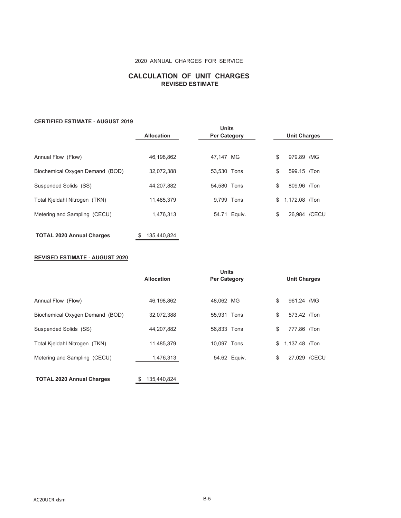### 2020 ANNUAL CHARGES FOR SERVICE

#### **CALCULATION OF UNIT CHARGES REVISED ESTIMATE**

#### **CERTIFIED ESTIMATE - AUGUST 2019**

|                                  | <b>Allocation</b> | <b>Units</b><br><b>Per Category</b> | <b>Unit Charges</b> |
|----------------------------------|-------------------|-------------------------------------|---------------------|
|                                  |                   |                                     |                     |
| Annual Flow (Flow)               | 46.198.862        | 47.147 MG                           | \$<br>979.89 /MG    |
| Biochemical Oxygen Demand (BOD)  | 32,072,388        | 53,530 Tons                         | \$<br>599.15 /Ton   |
| Suspended Solids (SS)            | 44,207,882        | 54.580 Tons                         | 809.96 /Ton<br>\$   |
| Total Kjeldahl Nitrogen (TKN)    | 11,485,379        | 9.799 Tons                          | 1,172.08 /Ton<br>S. |
| Metering and Sampling (CECU)     | 1,476,313         | 54.71 Equiv.                        | 26,984 / CECU<br>\$ |
| <b>TOTAL 2020 Annual Charges</b> | 135,440,824<br>\$ |                                     |                     |

#### **REVISED ESTIMATE - AUGUST 2020**

|                                 | <b>Allocation</b> | <b>Units</b><br><b>Per Category</b> | <b>Unit Charges</b> |               |  |  |
|---------------------------------|-------------------|-------------------------------------|---------------------|---------------|--|--|
| Annual Flow (Flow)              | 46,198,862        | 48.062 MG                           | \$                  | 961.24 /MG    |  |  |
| Biochemical Oxygen Demand (BOD) | 32,072,388        | 55.931 Tons                         | \$                  | 573.42 /Ton   |  |  |
| Suspended Solids (SS)           | 44,207,882        | 56.833 Tons                         | \$                  | 777.86 /Ton   |  |  |
| Total Kjeldahl Nitrogen (TKN)   | 11,485,379        | 10.097 Tons                         | \$                  | 1,137.48 /Ton |  |  |
| Metering and Sampling (CECU)    | 1,476,313         | 54.62 Equiv.                        | \$                  | 27,029 / CECU |  |  |

**TOTAL 2020 Annual Charges** \$ 135,440,824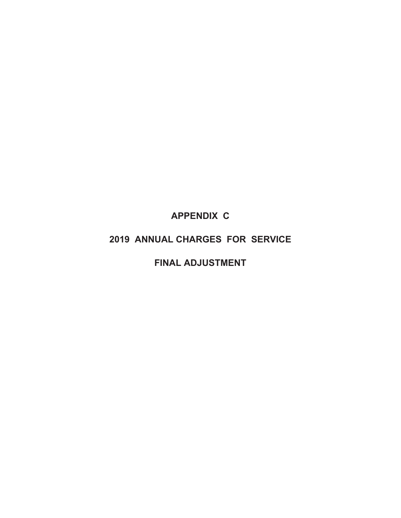**APPENDIX C** 

# **2019 ANNUAL CHARGES FOR SERVICE**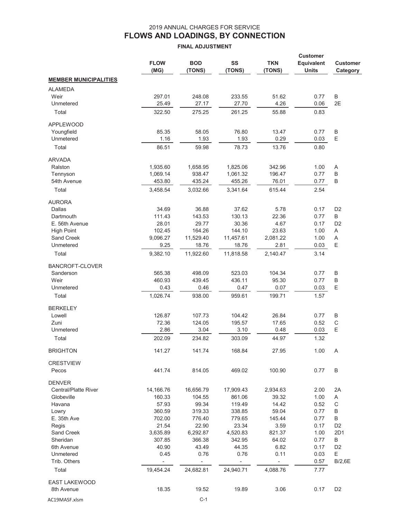|                              | <b>FLOW</b><br>(MG)      | <b>BOD</b><br>(TONS)     | SS<br>(TONS)    | <b>TKN</b><br>(TONS) | <b>Customer</b><br>Equivalent<br><b>Units</b> | <b>Customer</b><br>Category |
|------------------------------|--------------------------|--------------------------|-----------------|----------------------|-----------------------------------------------|-----------------------------|
| <b>MEMBER MUNICIPALITIES</b> |                          |                          |                 |                      |                                               |                             |
| <b>ALAMEDA</b>               |                          |                          |                 |                      |                                               |                             |
| Weir                         | 297.01                   | 248.08                   | 233.55          | 51.62                | 0.77                                          | B                           |
| Unmetered                    | 25.49                    | 27.17                    | 27.70           | 4.26                 | 0.06                                          | 2E                          |
| Total                        | 322.50                   | 275.25                   | 261.25          | 55.88                | 0.83                                          |                             |
| <b>APPLEWOOD</b>             |                          |                          |                 |                      |                                               |                             |
| Youngfield                   | 85.35                    | 58.05                    | 76.80           | 13.47                | 0.77                                          | B                           |
| Unmetered                    | 1.16                     | 1.93                     | 1.93            | 0.29                 | 0.03                                          | E                           |
| Total                        | 86.51                    | 59.98                    | 78.73           | 13.76                | 0.80                                          |                             |
|                              |                          |                          |                 |                      |                                               |                             |
| <b>ARVADA</b><br>Ralston     | 1,935.60                 | 1,658.95                 | 1,825.06        | 342.96               | 1.00                                          | Α                           |
| Tennyson                     | 1,069.14                 | 938.47                   | 1,061.32        | 196.47               | 0.77                                          | B                           |
| 54th Avenue                  | 453.80                   | 435.24                   | 455.26          | 76.01                | 0.77                                          | B                           |
| Total                        | 3,458.54                 | 3,032.66                 | 3,341.64        | 615.44               | 2.54                                          |                             |
|                              |                          |                          |                 |                      |                                               |                             |
| <b>AURORA</b>                |                          |                          |                 |                      |                                               |                             |
| Dallas                       | 34.69<br>111.43          | 36.88<br>143.53          | 37.62           | 5.78                 | 0.17                                          | D <sub>2</sub>              |
| Dartmouth<br>E. 56th Avenue  | 28.01                    | 29.77                    | 130.13<br>30.36 | 22.36<br>4.67        | 0.77<br>0.17                                  | B<br>D <sub>2</sub>         |
| <b>High Point</b>            | 102.45                   | 164.26                   | 144.10          | 23.63                | 1.00                                          | A                           |
| <b>Sand Creek</b>            | 9,096.27                 | 11,529.40                | 11,457.61       | 2,081.22             | 1.00                                          | A                           |
| Unmetered                    | 9.25                     | 18.76                    | 18.76           | 2.81                 | 0.03                                          | E                           |
| Total                        | 9,382.10                 | 11,922.60                | 11,818.58       | 2,140.47             | 3.14                                          |                             |
|                              |                          |                          |                 |                      |                                               |                             |
| <b>BANCROFT-CLOVER</b>       |                          |                          |                 |                      |                                               |                             |
| Sanderson                    | 565.38                   | 498.09                   | 523.03          | 104.34               | 0.77                                          | B                           |
| Weir<br>Unmetered            | 460.93                   | 439.45                   | 436.11          | 95.30                | 0.77                                          | B<br>E                      |
| Total                        | 0.43<br>1,026.74         | 0.46<br>938.00           | 0.47<br>959.61  | 0.07<br>199.71       | 0.03<br>1.57                                  |                             |
|                              |                          |                          |                 |                      |                                               |                             |
| <b>BERKELEY</b>              |                          |                          |                 |                      |                                               |                             |
| Lowell                       | 126.87                   | 107.73                   | 104.42          | 26.84                | 0.77                                          | B                           |
| Zuni                         | 72.36                    | 124.05                   | 195.57          | 17.65                | 0.52                                          | $\mathsf C$                 |
| Unmetered                    | 2.86                     | 3.04                     | 3.10            | 0.48                 | 0.03                                          | Ε                           |
| Total                        | 202.09                   | 234.82                   | 303.09          | 44.97                | 1.32                                          |                             |
| <b>BRIGHTON</b>              | 141.27                   | 141.74                   | 168.84          | 27.95                | 1.00                                          | A                           |
| <b>CRESTVIEW</b>             |                          |                          |                 |                      |                                               |                             |
| Pecos                        | 441.74                   | 814.05                   | 469.02          | 100.90               | 0.77                                          | B                           |
| <b>DENVER</b>                |                          |                          |                 |                      |                                               |                             |
| <b>Central/Platte River</b>  | 14,166.76                | 16,656.79                | 17,909.43       | 2,934.63             | 2.00                                          | 2A                          |
| Globeville                   | 160.33                   | 104.55                   | 861.06          | 39.32                | 1.00                                          | Α                           |
| Havana                       | 57.93                    | 99.34                    | 119.49          | 14.42                | 0.52                                          | $\mathsf C$                 |
| Lowry                        | 360.59                   | 319.33                   | 338.85          | 59.04                | 0.77                                          | B                           |
| E. 35th Ave                  | 702.00                   | 776.40                   | 779.65          | 145.44               | 0.77                                          | В                           |
| Regis                        | 21.54                    | 22.90                    | 23.34           | 3.59                 | 0.17                                          | D <sub>2</sub>              |
| Sand Creek                   | 3,635.89                 | 6,292.87                 | 4,520.83        | 821.37               | 1.00                                          | 2D1                         |
| Sheridan                     | 307.85                   | 366.38                   | 342.95          | 64.02                | 0.77                                          | B                           |
| 6th Avenue                   | 40.90                    | 43.49                    | 44.35           | 6.82                 | 0.17                                          | D <sub>2</sub>              |
| Unmetered                    | 0.45                     | 0.76                     | 0.76            | 0.11                 | 0.03                                          | Ε                           |
| Trib. Others                 | $\overline{\phantom{a}}$ | $\overline{\phantom{a}}$ | ÷,              | $\blacksquare$       | 0.57                                          | B/2,6E                      |
| Total                        | 19,454.24                | 24,682.81                | 24,940.71       | 4,088.76             | 7.77                                          |                             |
| EAST LAKEWOOD                |                          |                          |                 |                      |                                               |                             |
| 8th Avenue                   | 18.35                    | 19.52                    | 19.89           | 3.06                 | 0.17                                          | D <sub>2</sub>              |
| AC19MASF.xlsm                |                          | $C-1$                    |                 |                      |                                               |                             |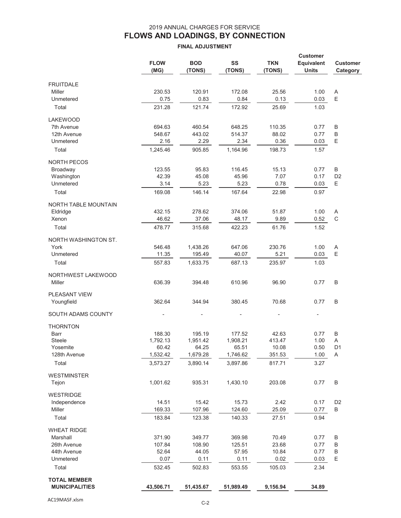|                                              | <b>FLOW</b><br>(MG) | <b>BOD</b><br>(TONS) | SS<br>(TONS)    | <b>TKN</b><br>(TONS) | <b>Customer</b><br>Equivalent<br><b>Units</b> | <b>Customer</b><br>Category |
|----------------------------------------------|---------------------|----------------------|-----------------|----------------------|-----------------------------------------------|-----------------------------|
| <b>FRUITDALE</b>                             |                     |                      |                 |                      |                                               |                             |
| Miller                                       | 230.53              | 120.91               | 172.08          | 25.56                | 1.00                                          | Α                           |
| Unmetered                                    | 0.75                | 0.83                 | 0.84            | 0.13                 | 0.03                                          | E                           |
| Total                                        | 231.28              | 121.74               | 172.92          | 25.69                | 1.03                                          |                             |
| <b>LAKEWOOD</b>                              |                     |                      |                 |                      |                                               |                             |
| 7th Avenue                                   | 694.63              | 460.54               | 648.25          | 110.35               | 0.77                                          | B                           |
| 12th Avenue                                  | 548.67              | 443.02               | 514.37          | 88.02                | 0.77                                          | B                           |
| Unmetered                                    | 2.16                | 2.29                 | 2.34            | 0.36                 | 0.03                                          | E                           |
| Total                                        | 1,245.46            | 905.85               | 1,164.96        | 198.73               | 1.57                                          |                             |
| <b>NORTH PECOS</b>                           |                     |                      |                 |                      |                                               |                             |
| Broadway                                     | 123.55              | 95.83                | 116.45          | 15.13                | 0.77                                          | B                           |
| Washington<br>Unmetered                      | 42.39<br>3.14       | 45.08<br>5.23        | 45.96<br>5.23   | 7.07<br>0.78         | 0.17<br>0.03                                  | D <sub>2</sub><br>Е         |
| Total                                        | 169.08              | 146.14               | 167.64          | 22.98                | 0.97                                          |                             |
|                                              |                     |                      |                 |                      |                                               |                             |
| NORTH TABLE MOUNTAIN                         |                     |                      |                 |                      |                                               |                             |
| Eldridge<br>Xenon                            | 432.15<br>46.62     | 278.62<br>37.06      | 374.06<br>48.17 | 51.87<br>9.89        | 1.00<br>0.52                                  | Α<br>$\mathsf C$            |
| Total                                        | 478.77              | 315.68               | 422.23          | 61.76                | 1.52                                          |                             |
|                                              |                     |                      |                 |                      |                                               |                             |
| NORTH WASHINGTON ST.                         |                     |                      |                 |                      |                                               |                             |
| York<br>Unmetered                            | 546.48<br>11.35     | 1,438.26<br>195.49   | 647.06<br>40.07 | 230.76<br>5.21       | 1.00<br>0.03                                  | Α<br>E                      |
| Total                                        | 557.83              | 1,633.75             | 687.13          | 235.97               | 1.03                                          |                             |
|                                              |                     |                      |                 |                      |                                               |                             |
| NORTHWEST LAKEWOOD<br>Miller                 | 636.39              | 394.48               | 610.96          | 96.90                | 0.77                                          | B                           |
| <b>PLEASANT VIEW</b><br>Youngfield           | 362.64              | 344.94               | 380.45          | 70.68                | 0.77                                          | B                           |
| SOUTH ADAMS COUNTY                           |                     |                      |                 |                      | $\overline{\phantom{a}}$                      |                             |
|                                              |                     |                      |                 |                      |                                               |                             |
| <b>THORNTON</b><br>Barr                      | 188.30              | 195.19               | 177.52          | 42.63                | 0.77                                          | B                           |
| <b>Steele</b>                                | 1,792.13            | 1,951.42             | 1,908.21        | 413.47               | 1.00                                          | A                           |
| Yosemite                                     | 60.42               | 64.25                | 65.51           | 10.08                | 0.50                                          | D <sub>1</sub>              |
| 128th Avenue                                 | 1,532.42            | 1,679.28             | 1,746.62        | 351.53               | 1.00                                          | Α                           |
| Total                                        | 3,573.27            | 3,890.14             | 3,897.86        | 817.71               | 3.27                                          |                             |
| <b>WESTMINSTER</b>                           |                     |                      |                 |                      |                                               |                             |
| Tejon                                        | 1,001.62            | 935.31               | 1,430.10        | 203.08               | 0.77                                          | B                           |
| <b>WESTRIDGE</b>                             |                     |                      |                 |                      |                                               |                             |
| Independence                                 | 14.51               | 15.42                | 15.73           | 2.42                 | 0.17                                          | D <sub>2</sub>              |
| Miller                                       | 169.33              | 107.96               | 124.60          | 25.09                | 0.77                                          | B                           |
| Total                                        | 183.84              | 123.38               | 140.33          | 27.51                | 0.94                                          |                             |
| <b>WHEAT RIDGE</b>                           |                     |                      |                 |                      |                                               |                             |
| Marshall                                     | 371.90              | 349.77               | 369.98          | 70.49                | 0.77                                          | B                           |
| 26th Avenue                                  | 107.84              | 108.90               | 125.51          | 23.68                | 0.77                                          | B                           |
| 44th Avenue<br>Unmetered                     | 52.64<br>0.07       | 44.05<br>0.11        | 57.95<br>0.11   | 10.84<br>0.02        | 0.77<br>0.03                                  | B<br>E                      |
| Total                                        | 532.45              | 502.83               | 553.55          | 105.03               | 2.34                                          |                             |
|                                              |                     |                      |                 |                      |                                               |                             |
| <b>TOTAL MEMBER</b><br><b>MUNICIPALITIES</b> | 43,506.71           | 51,435.67            | 51,989.49       | 9,156.94             | 34.89                                         |                             |
|                                              |                     |                      |                 |                      |                                               |                             |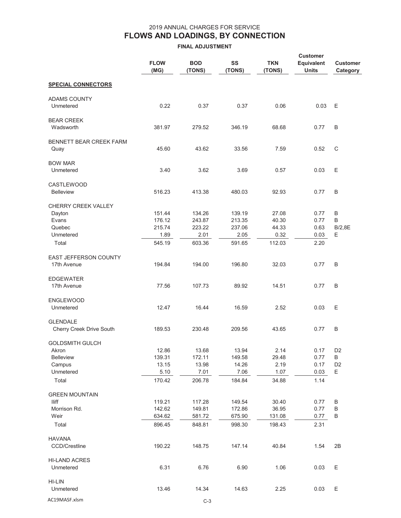**FINAL ADJUSTMENT**

|                                                                                     | <b>FLOW</b><br>(MG)                          | <b>BOD</b><br>(TONS)                         | SS<br>(TONS)                                 | <b>TKN</b><br>(TONS)                      | <b>Customer</b><br><b>Equivalent</b><br><b>Units</b> | <b>Customer</b><br>Category                 |
|-------------------------------------------------------------------------------------|----------------------------------------------|----------------------------------------------|----------------------------------------------|-------------------------------------------|------------------------------------------------------|---------------------------------------------|
| <b>SPECIAL CONNECTORS</b>                                                           |                                              |                                              |                                              |                                           |                                                      |                                             |
| <b>ADAMS COUNTY</b><br>Unmetered                                                    | 0.22                                         | 0.37                                         | 0.37                                         | 0.06                                      | 0.03                                                 | Е                                           |
| <b>BEAR CREEK</b><br>Wadsworth                                                      | 381.97                                       | 279.52                                       | 346.19                                       | 68.68                                     | 0.77                                                 | B                                           |
| BENNETT BEAR CREEK FARM<br>Quay                                                     | 45.60                                        | 43.62                                        | 33.56                                        | 7.59                                      | 0.52                                                 | C                                           |
| <b>BOW MAR</b><br>Unmetered                                                         | 3.40                                         | 3.62                                         | 3.69                                         | 0.57                                      | 0.03                                                 | Е                                           |
| <b>CASTLEWOOD</b><br><b>Belleview</b>                                               | 516.23                                       | 413.38                                       | 480.03                                       | 92.93                                     | 0.77                                                 | B                                           |
| <b>CHERRY CREEK VALLEY</b><br>Dayton<br>Evans<br>Quebec<br>Unmetered<br>Total       | 151.44<br>176.12<br>215.74<br>1.89<br>545.19 | 134.26<br>243.87<br>223.22<br>2.01<br>603.36 | 139.19<br>213.35<br>237.06<br>2.05<br>591.65 | 27.08<br>40.30<br>44.33<br>0.32<br>112.03 | 0.77<br>0.77<br>0.63<br>0.03<br>2.20                 | B<br>B<br>B/2,8E<br>Е                       |
| EAST JEFFERSON COUNTY<br>17th Avenue                                                | 194.84                                       | 194.00                                       | 196.80                                       | 32.03                                     | 0.77                                                 | B                                           |
| <b>EDGEWATER</b><br>17th Avenue                                                     | 77.56                                        | 107.73                                       | 89.92                                        | 14.51                                     | 0.77                                                 | B                                           |
| <b>ENGLEWOOD</b><br>Unmetered                                                       | 12.47                                        | 16.44                                        | 16.59                                        | 2.52                                      | 0.03                                                 | Е                                           |
| <b>GLENDALE</b><br>Cherry Creek Drive South                                         | 189.53                                       | 230.48                                       | 209.56                                       | 43.65                                     | 0.77                                                 | B                                           |
| <b>GOLDSMITH GULCH</b><br>Akron<br><b>Belleview</b><br>Campus<br>Unmetered<br>Total | 12.86<br>139.31<br>13.15<br>5.10<br>170.42   | 13.68<br>172.11<br>13.98<br>7.01<br>206.78   | 13.94<br>149.58<br>14.26<br>7.06<br>184.84   | 2.14<br>29.48<br>2.19<br>1.07<br>34.88    | 0.17<br>0.77<br>0.17<br>0.03<br>1.14                 | D <sub>2</sub><br>B<br>D <sub>2</sub><br>E. |
| <b>GREEN MOUNTAIN</b><br>lliff<br>Morrison Rd.<br>Weir<br>Total                     | 119.21<br>142.62<br>634.62<br>896.45         | 117.28<br>149.81<br>581.72<br>848.81         | 149.54<br>172.86<br>675.90<br>998.30         | 30.40<br>36.95<br>131.08<br>198.43        | 0.77<br>0.77<br>0.77<br>2.31                         | B<br>B<br>B                                 |
| <b>HAVANA</b><br><b>CCD/Crestline</b>                                               | 190.22                                       | 148.75                                       | 147.14                                       | 40.84                                     | 1.54                                                 | 2B                                          |
| <b>HI-LAND ACRES</b><br>Unmetered                                                   | 6.31                                         | 6.76                                         | 6.90                                         | 1.06                                      | 0.03                                                 | Ε                                           |
| HI-LIN<br>Unmetered                                                                 | 13.46                                        | 14.34                                        | 14.63                                        | 2.25                                      | 0.03                                                 | E                                           |

AC19MASF.xlsm C-3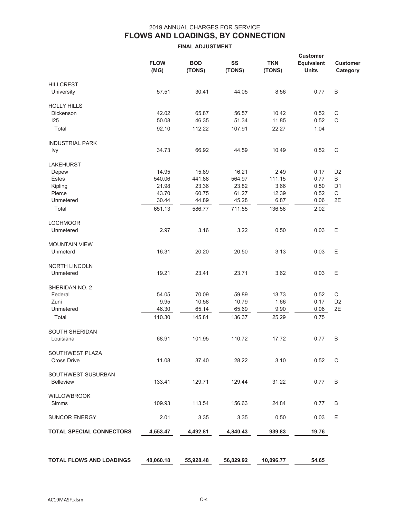|                                 | <b>FLOW</b><br>(MG) | <b>BOD</b><br>(TONS) | SS<br>(TONS) | <b>TKN</b><br>(TONS) | <b>Customer</b><br><b>Equivalent</b><br><b>Units</b> | <b>Customer</b><br>Category |
|---------------------------------|---------------------|----------------------|--------------|----------------------|------------------------------------------------------|-----------------------------|
| <b>HILLCREST</b>                |                     |                      |              |                      |                                                      |                             |
| University                      | 57.51               | 30.41                | 44.05        | 8.56                 | 0.77                                                 | B                           |
| <b>HOLLY HILLS</b>              |                     |                      |              |                      |                                                      |                             |
| Dickenson                       | 42.02               | 65.87                | 56.57        | 10.42                | 0.52                                                 | C                           |
| 125                             | 50.08               | 46.35                | 51.34        | 11.85                | 0.52                                                 | $\mathsf C$                 |
| Total                           | 92.10               | 112.22               | 107.91       | 22.27                | 1.04                                                 |                             |
| <b>INDUSTRIAL PARK</b>          |                     |                      |              |                      |                                                      |                             |
| Ivy                             | 34.73               | 66.92                | 44.59        | 10.49                | 0.52                                                 | C                           |
| <b>LAKEHURST</b>                |                     |                      |              |                      |                                                      |                             |
| Depew                           | 14.95               | 15.89                | 16.21        | 2.49                 | 0.17                                                 | D <sub>2</sub>              |
| Estes                           | 540.06              | 441.88               | 564.97       | 111.15               | 0.77                                                 | B                           |
| Kipling                         | 21.98               | 23.36                | 23.82        | 3.66                 | 0.50                                                 | D <sub>1</sub>              |
| Pierce                          | 43.70               | 60.75                | 61.27        | 12.39                | 0.52                                                 | $\mathsf C$                 |
| Unmetered                       | 30.44               | 44.89                | 45.28        | 6.87                 | 0.06                                                 | 2E                          |
| Total                           | 651.13              | 586.77               | 711.55       | 136.56               | 2.02                                                 |                             |
|                                 |                     |                      |              |                      |                                                      |                             |
| <b>LOCHMOOR</b>                 |                     |                      |              |                      |                                                      |                             |
| Unmetered                       | 2.97                | 3.16                 | 3.22         | 0.50                 | 0.03                                                 | Е                           |
| <b>MOUNTAIN VIEW</b>            |                     |                      |              |                      |                                                      |                             |
| Unmeterd                        | 16.31               | 20.20                | 20.50        | 3.13                 | 0.03                                                 | Е                           |
| <b>NORTH LINCOLN</b>            |                     |                      |              |                      |                                                      |                             |
| Unmetered                       | 19.21               | 23.41                | 23.71        | 3.62                 | 0.03                                                 | E                           |
| SHERIDAN NO. 2                  |                     |                      |              |                      |                                                      |                             |
| Federal                         | 54.05               | 70.09                | 59.89        | 13.73                | 0.52                                                 | C                           |
| Zuni                            | 9.95                | 10.58                | 10.79        | 1.66                 | 0.17                                                 | D <sub>2</sub>              |
| Unmetered                       | 46.30               | 65.14                | 65.69        | 9.90                 | 0.06                                                 | 2E                          |
| Total                           | 110.30              | 145.81               | 136.37       | 25.29                | 0.75                                                 |                             |
|                                 |                     |                      |              |                      |                                                      |                             |
| <b>SOUTH SHERIDAN</b>           |                     |                      |              |                      |                                                      |                             |
| Louisiana                       | 68.91               | 101.95               | 110.72       | 17.72                | 0.77                                                 | B                           |
| SOUTHWEST PLAZA                 |                     |                      |              |                      |                                                      |                             |
| <b>Cross Drive</b>              | 11.08               | 37.40                | 28.22        | 3.10                 | 0.52                                                 | С                           |
| SOUTHWEST SUBURBAN              |                     |                      |              |                      |                                                      |                             |
| <b>Belleview</b>                | 133.41              | 129.71               | 129.44       | 31.22                | 0.77                                                 | B                           |
|                                 |                     |                      |              |                      |                                                      |                             |
| <b>WILLOWBROOK</b><br>Simms     | 109.93              | 113.54               | 156.63       | 24.84                | 0.77                                                 | B                           |
|                                 |                     |                      |              |                      |                                                      |                             |
| <b>SUNCOR ENERGY</b>            | 2.01                | 3.35                 | 3.35         | 0.50                 | 0.03                                                 | Ε                           |
| <b>TOTAL SPECIAL CONNECTORS</b> | 4,553.47            | 4,492.81             | 4,840.43     | 939.83               | 19.76                                                |                             |
|                                 |                     |                      |              |                      |                                                      |                             |
|                                 |                     |                      |              |                      |                                                      |                             |
| <b>TOTAL FLOWS AND LOADINGS</b> | 48,060.18           | 55,928.48            | 56,829.92    | 10,096.77            | 54.65                                                |                             |